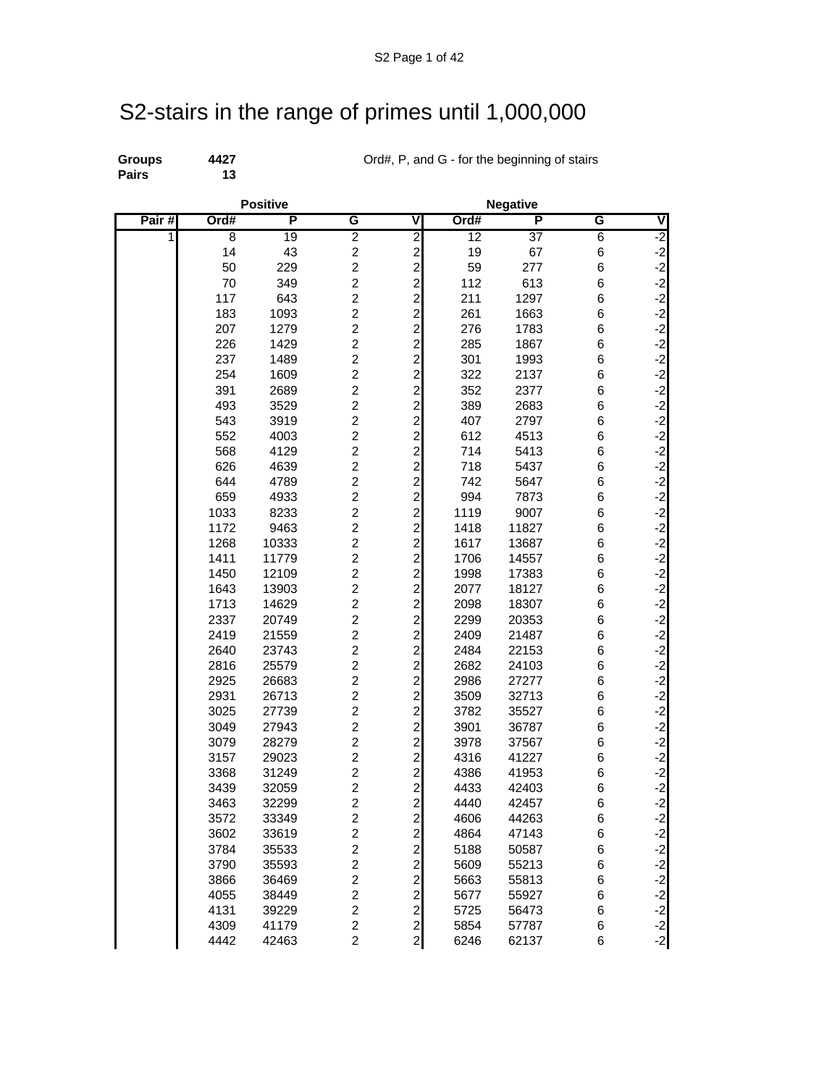## S2-stairs in the range of primes until 1,000,000

**Pairs 13**

**Groups 4427** Ord#, P, and G - for the beginning of stairs **Pairs** 13

|       |              | <b>Positive</b> |                                           |                                           |                 |                 |        |                                          |
|-------|--------------|-----------------|-------------------------------------------|-------------------------------------------|-----------------|-----------------|--------|------------------------------------------|
| Pair# | Ord#         | P               | G                                         | V                                         | Ord#            | P               | G      | ٧                                        |
| 1     | 8            | 19              | $\overline{2}$                            | $\frac{2}{2}$                             | $\overline{12}$ | $\overline{37}$ | 6      | $-2$                                     |
|       | 14           | 43              | $\overline{\mathbf{c}}$                   |                                           | 19              | 67              | 6      | $\begin{bmatrix} -2 \\ -2 \end{bmatrix}$ |
|       | 50           | 229             | $\overline{c}$                            | $\overline{c}$                            | 59              | 277             | 6      |                                          |
|       | 70           | 349             | $\overline{c}$                            | $\overline{\mathbf{c}}$                   | 112             | 613             | 6      | $-2$                                     |
|       | 117          | 643             | $\overline{c}$                            | $\frac{2}{2}$                             | 211             | 1297            | 6      |                                          |
|       | 183          | 1093            | $\overline{c}$                            |                                           | 261             | 1663            | 6      | ے کہ کہ ک                                |
|       | 207          | 1279            | $\overline{\mathbf{c}}$                   | $\overline{\mathbf{c}}$                   | 276             | 1783            | 6      |                                          |
|       | 226          | 1429            | $\overline{\mathbf{c}}$                   | $\frac{2}{2}$                             | 285             | 1867            | 6      |                                          |
|       | 237          | 1489            | $\overline{c}$                            |                                           | 301             | 1993            | 6      | $-2$                                     |
|       | 254          | 1609            | $\overline{c}$                            | $\overline{\mathbf{c}}$                   | 322             | 2137            | 6      | $-2$<br>$-2$                             |
|       | 391          | 2689            | $\overline{c}$                            | $\overline{\mathbf{c}}$                   | 352             | 2377            | 6      |                                          |
|       | 493          | 3529            | $\overline{c}$                            | $\overline{\mathbf{c}}$                   | 389             | 2683            | 6      | $-2$<br>$-2$                             |
|       | 543          | 3919            | $\overline{c}$                            | $\overline{\mathbf{c}}$                   | 407             | 2797            | 6      |                                          |
|       | 552          | 4003            | $\overline{c}$                            | $\overline{c}$                            | 612             | 4513            | 6      | $-2$                                     |
|       | 568          | 4129            | $\overline{\mathbf{c}}$                   | $\overline{\mathbf{c}}$                   | 714             | 5413            | 6      | $-2$                                     |
|       | 626          | 4639            | $\overline{c}$                            | $\overline{a}$                            | 718             | 5437            | 6      | $-2$                                     |
|       | 644          | 4789            | $\overline{c}$                            | $\overline{\mathbf{c}}$                   | 742             | 5647            | 6      | $-2$                                     |
|       | 659          | 4933            | $\overline{c}$                            | $\frac{2}{2}$                             | 994             | 7873            | 6      |                                          |
|       | 1033         | 8233            | $\overline{c}$                            |                                           | 1119            | 9007            | 6      | $-2$<br>$-2$<br>$-2$                     |
|       | 1172         | 9463            | $\overline{2}$                            | $\overline{c}$                            | 1418            | 11827           | 6      |                                          |
|       | 1268         | 10333           | $\overline{c}$                            | $\overline{c}$                            | 1617            | 13687           | 6      | $-2$                                     |
|       | 1411         | 11779           | $\overline{c}$                            | $\overline{\mathbf{c}}$                   | 1706            | 14557           | 6      | $-2$<br>$-2$                             |
|       | 1450         | 12109           | $\overline{c}$                            | $\overline{c}$                            | 1998            | 17383           | 6      |                                          |
|       | 1643         | 13903           | $\overline{c}$                            | $\overline{c}$                            | 2077            | 18127           | 6      | $-2$                                     |
|       | 1713         | 14629           | $\overline{\mathbf{c}}$                   | $\overline{\mathbf{c}}$                   | 2098            | 18307           | 6      | ے کہ کہ ک                                |
|       | 2337         | 20749           | $\overline{c}$                            | $\overline{\mathbf{c}}$                   | 2299            | 20353           | 6      |                                          |
|       | 2419         | 21559           | $\overline{\mathbf{c}}$                   | $\overline{\mathbf{c}}$                   | 2409            | 21487           | 6      |                                          |
|       | 2640         | 23743           | $\overline{c}$                            | $\overline{c}$                            | 2484            | 22153           | 6      |                                          |
|       | 2816         | 25579           | $\overline{c}$                            | $\overline{c}$                            | 2682            | 24103           | 6      | $-2$                                     |
|       | 2925         | 26683           | $\overline{c}$                            | $\overline{a}$                            | 2986            | 27277           | 6      | $-2$                                     |
|       | 2931         | 26713           | $\overline{c}$                            | $\overline{c}$                            | 3509            | 32713           | 6      | $-2$                                     |
|       | 3025         | 27739           | $\overline{\mathbf{c}}$                   | $\overline{\mathbf{c}}$                   | 3782            | 35527           | 6      | $-2$                                     |
|       | 3049         | 27943           | $\overline{c}$                            | $\frac{2}{2}$                             | 3901            | 36787           | 6      |                                          |
|       | 3079         | 28279           | $\overline{\mathbf{c}}$                   |                                           | 3978            | 37567           | 6      | د د د د د                                |
|       | 3157         | 29023           | $\overline{\mathbf{c}}$                   | $\overline{\mathbf{c}}$                   | 4316            | 41227           | 6      |                                          |
|       | 3368         | 31249           | $\overline{c}$                            | $\overline{\mathbf{c}}$                   | 4386            | 41953           | 6      |                                          |
|       | 3439         | 32059           | $\overline{c}$<br>$\overline{2}$          | $\overline{c}$<br>$\overline{a}$          | 4433            | 42403           | 6      | $-2$                                     |
|       | 3463         | 32299           |                                           |                                           | 4440            | 42457           | 6      |                                          |
|       | 3572         | 33349           | $\overline{\mathbf{c}}$                   | $\overline{\mathbf{c}}$                   | 4606            | 44263           | 6      | $-2$                                     |
|       | 3602         | 33619           | $\overline{\mathbf{c}}$<br>$\overline{c}$ | $\overline{\mathbf{c}}$                   | 4864            | 47143           | 6      | ے کہ کہ کہ ک                             |
|       | 3784<br>3790 | 35533<br>35593  | $\overline{\mathbf{c}}$                   | $\overline{a}$                            | 5188<br>5609    | 50587<br>55213  | 6      |                                          |
|       | 3866         | 36469           | $\overline{\mathbf{c}}$                   | $\overline{\mathbf{c}}$                   | 5663            | 55813           | 6      |                                          |
|       | 4055         | 38449           | $\overline{\mathbf{c}}$                   | $\overline{\mathbf{c}}$<br>$\overline{a}$ | 5677            | 55927           | 6<br>6 |                                          |
|       | 4131         | 39229           | $\overline{c}$                            | $\mathbf{z}$                              | 5725            | 56473           | 6      | $-2$                                     |
|       | 4309         | 41179           | $\overline{c}$                            | $\mathbf{2}$                              | 5854            | 57787           | 6      |                                          |
|       | 4442         | 42463           | $\overline{c}$                            | $\mathbf{2}$                              | 6246            | 62137           | 6      | $\begin{bmatrix} -2 \\ -2 \end{bmatrix}$ |
|       |              |                 |                                           |                                           |                 |                 |        |                                          |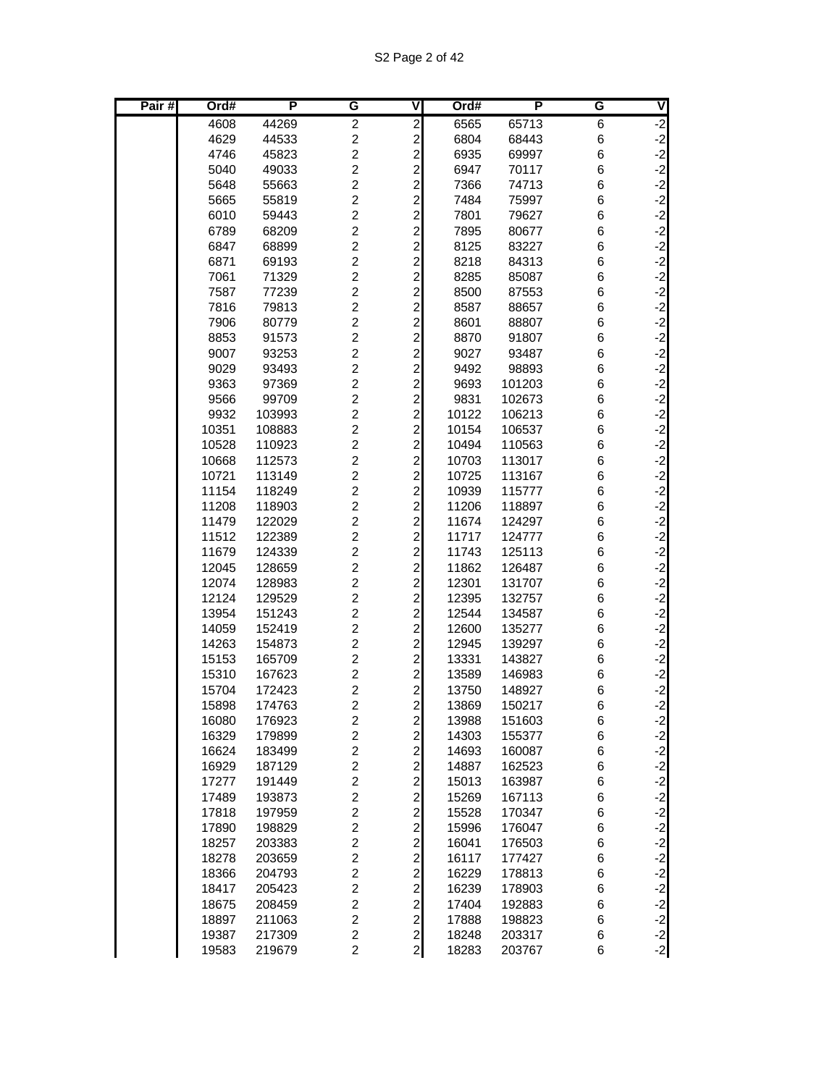| Pair# | Ord#           | P                | G                                | ٧                                         | Ord#           | P                | G      | V                  |
|-------|----------------|------------------|----------------------------------|-------------------------------------------|----------------|------------------|--------|--------------------|
|       | 4608           | 44269            | $\overline{c}$                   | $\overline{c}$                            | 6565           | 65713            | 6      | ر.<br>د            |
|       | 4629           | 44533            | $\overline{c}$                   | $\overline{c}$                            | 6804           | 68443            | 6      |                    |
|       | 4746           | 45823            | $\overline{c}$                   | $\overline{c}$                            | 6935           | 69997            | 6      | $-2$<br>$-2$       |
|       | 5040           | 49033            | $\overline{c}$                   | $\overline{a}$                            | 6947           | 70117            | 6      | $-2$               |
|       | 5648           | 55663            | $\overline{c}$                   | $\overline{c}$                            | 7366           | 74713            | 6      | $-2$               |
|       | 5665           | 55819            | $\overline{c}$                   |                                           | 7484           | 75997            | 6      |                    |
|       | 6010           | 59443            | $\overline{c}$                   | $\frac{2}{2}$                             | 7801           | 79627            | 6      |                    |
|       | 6789           | 68209            | $\overline{c}$                   | $\overline{c}$                            | 7895           | 80677            | 6      |                    |
|       | 6847           | 68899            | $\overline{c}$                   | $\overline{c}$                            | 8125           | 83227            | 6      | دا دا دا دا دا     |
|       | 6871           | 69193            | $\overline{c}$                   | $\overline{c}$                            | 8218           | 84313            | 6      |                    |
|       | 7061           | 71329            | $\overline{c}$                   | $\overline{a}$                            | 8285           | 85087            | 6      | $-2$               |
|       | 7587           | 77239            | $\overline{c}$                   | $\overline{c}$                            | 8500           | 87553            | 6      | $-2$               |
|       | 7816           | 79813            | $\overline{c}$                   | $\overline{\mathbf{c}}$                   | 8587           | 88657            | 6      |                    |
|       | 7906           | 80779            | $\overline{c}$                   | $\overline{\mathbf{c}}$                   | 8601           | 88807            | 6      |                    |
|       | 8853           | 91573            | $\overline{c}$                   | $\overline{\mathbf{c}}$                   | 8870           | 91807            | 6      | دا دا دا دا دا     |
|       | 9007           | 93253            | $\overline{c}$                   | $\overline{c}$                            | 9027           | 93487            | 6      |                    |
|       | 9029           | 93493            | $\overline{c}$                   | $\overline{c}$                            | 9492           | 98893            | 6      |                    |
|       | 9363           | 97369            | $\overline{c}$                   | $\overline{a}$                            | 9693           | 101203           | 6      | $-2$               |
|       | 9566           | 99709            | $\overline{c}$                   | $\overline{\mathbf{c}}$                   | 9831           | 102673           | 6      | $-2$               |
|       | 9932           | 103993           | $\overline{2}$                   | $\overline{\mathbf{c}}$                   | 10122          | 106213           | 6      | $-2$               |
|       | 10351          | 108883           | $\overline{c}$                   | $\overline{\mathbf{c}}$                   | 10154          | 106537           | 6      |                    |
|       | 10528          | 110923           | $\overline{c}$                   | $\overline{c}$                            | 10494          | 110563           | 6      |                    |
|       | 10668          | 112573           | $\overline{c}$                   | $\overline{\mathbf{c}}$                   | 10703          | 113017           | 6      | دا دا دا دا دا دا  |
|       | 10721          | 113149           | $\overline{c}$                   | $\overline{c}$                            | 10725          | 113167           | 6      |                    |
|       | 11154          | 118249           | $\overline{c}$                   | $\overline{c}$                            | 10939          | 115777           | 6      |                    |
|       | 11208          | 118903           | $\overline{c}$                   | $\overline{c}$                            | 11206          | 118897           | 6      |                    |
|       | 11479          | 122029           | $\overline{c}$                   | $\overline{\mathbf{c}}$                   | 11674          | 124297           | 6      | $-2$               |
|       | 11512          | 122389           | $\overline{c}$                   | $\overline{c}$                            | 11717          | 124777           | 6      | دا دا دا دا دا     |
|       | 11679          | 124339           | $\overline{c}$                   | $\overline{c}$                            | 11743          | 125113           | 6      |                    |
|       | 12045          | 128659           | $\overline{c}$<br>$\overline{c}$ | $\overline{\mathbf{c}}$                   | 11862          | 126487           | 6      |                    |
|       | 12074<br>12124 | 128983<br>129529 | $\overline{c}$                   | $\overline{\mathbf{c}}$<br>$\overline{c}$ | 12301<br>12395 | 131707<br>132757 | 6<br>6 |                    |
|       | 13954          | 151243           | $\overline{c}$                   | $\overline{\mathbf{c}}$                   | 12544          | 134587           | 6      |                    |
|       | 14059          | 152419           | $\overline{c}$                   | $\overline{\mathbf{c}}$                   | 12600          | 135277           | 6      | $-2$<br>$-2$       |
|       | 14263          | 154873           | $\overline{c}$                   | $\overline{\mathbf{c}}$                   | 12945          | 139297           | 6      |                    |
|       | 15153          | 165709           | $\overline{c}$                   | $\overline{c}$                            | 13331          | 143827           | 6      |                    |
|       | 15310          | 167623           | $\overline{c}$                   | $\overline{\mathbf{c}}$                   | 13589          | 146983           | 6      |                    |
|       | 15704          | 172423           | $\overline{c}$                   | $\overline{\mathbf{c}}$                   | 13750          | 148927           | 6      | د د د د د د<br>د د |
|       | 15898          | 174763           | $\overline{2}$                   | $\overline{a}$                            | 13869          | 150217           | 6      |                    |
|       | 16080          | 176923           | $\overline{\mathbf{c}}$          | $\mathbf{2}$                              | 13988          | 151603           | 6      |                    |
|       | 16329          | 179899           | $\overline{c}$                   | $\mathbf{z}$                              | 14303          | 155377           | 6      |                    |
|       | 16624          | 183499           | $\overline{c}$                   | $\mathbf{2}$                              | 14693          | 160087           | 6      |                    |
|       | 16929          | 187129           | $\overline{c}$                   | $\overline{a}$                            | 14887          | 162523           | 6      |                    |
|       | 17277          | 191449           | $\overline{c}$                   | $\boldsymbol{2}$                          | 15013          | 163987           | 6      |                    |
|       | 17489          | 193873           | $\overline{c}$                   | $\overline{\mathbf{c}}$                   | 15269          | 167113           | 6      |                    |
|       | 17818          | 197959           | $\overline{c}$                   | $\overline{a}$                            | 15528          | 170347           | 6      |                    |
|       | 17890          | 198829           | $\overline{c}$                   | $\overline{a}$                            | 15996          | 176047           | 6      |                    |
|       | 18257          | 203383           | $\overline{c}$                   | $\overline{c}$                            | 16041          | 176503           | 6      |                    |
|       | 18278          | 203659           | $\overline{c}$                   | $\overline{a}$                            | 16117          | 177427           | 6      |                    |
|       | 18366          | 204793           | $\overline{c}$                   | $\overline{a}$                            | 16229          | 178813           | 6      |                    |
|       | 18417          | 205423           | $\overline{c}$                   | $\overline{c}$                            | 16239          | 178903           | 6      |                    |
|       | 18675          | 208459           | $\overline{c}$                   | $\overline{\mathbf{c}}$                   | 17404          | 192883           | 6      |                    |
|       | 18897          | 211063           | $\overline{c}$                   | $\overline{a}$                            | 17888          | 198823           | 6      |                    |
|       | 19387          | 217309           | $\overline{c}$                   | $\mathbf{z}$                              | 18248          | 203317           | 6      |                    |
|       | 19583          | 219679           | $\overline{2}$                   | $\mathbf{2}$                              | 18283          | 203767           | $\,6$  |                    |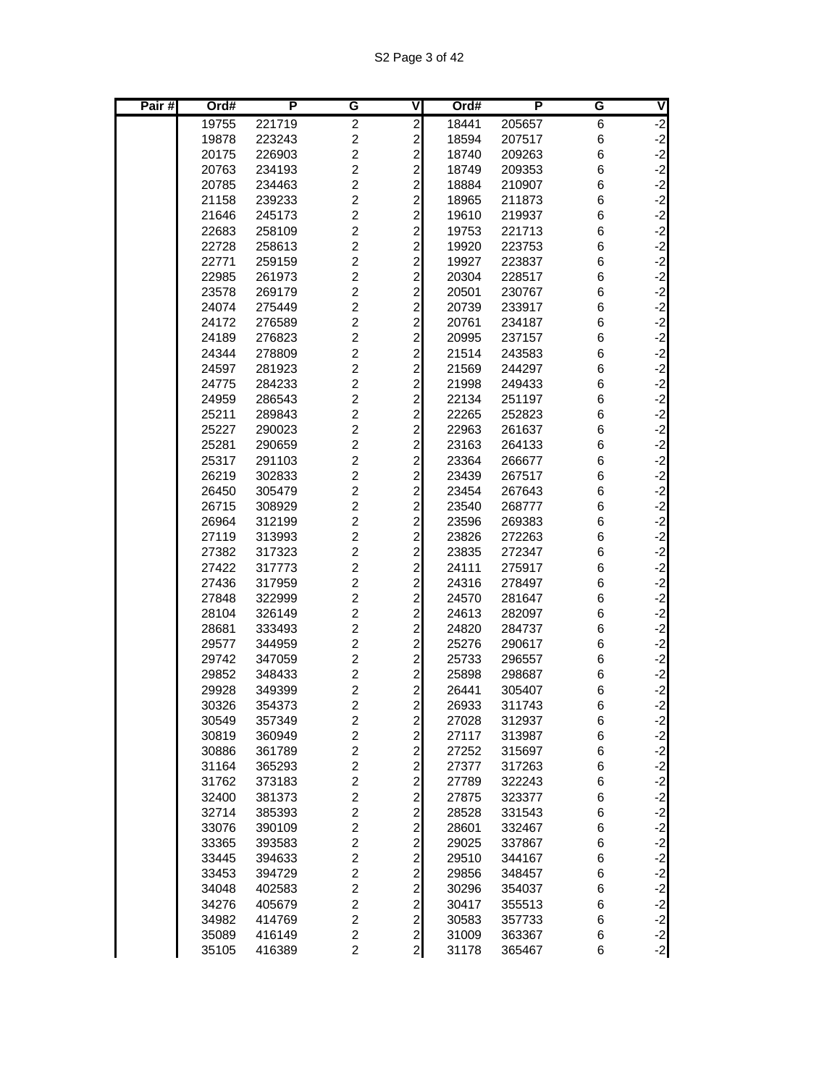| Pair# | Ord#           | P                | G                                  | V                                                  | Ord#           | P                | G      | V                                        |
|-------|----------------|------------------|------------------------------------|----------------------------------------------------|----------------|------------------|--------|------------------------------------------|
|       | 19755          | 221719           | $\overline{c}$                     | $\overline{\mathbf{c}}$                            | 18441          | 205657           | 6      | $\overline{2}$                           |
|       | 19878          | 223243           | $\overline{c}$                     | $\overline{c}$                                     | 18594          | 207517           | 6      | $\begin{bmatrix} -2 \\ -2 \end{bmatrix}$ |
|       | 20175          | 226903           | $\overline{2}$                     | $\overline{c}$                                     | 18740          | 209263           | 6      |                                          |
|       | 20763          | 234193           | $\overline{2}$                     | $\overline{c}$                                     | 18749          | 209353           | 6      | $-2$                                     |
|       | 20785          | 234463           | $\overline{c}$                     | $\overline{\mathbf{c}}$                            | 18884          | 210907           | 6      | $-2$                                     |
|       | 21158          | 239233           | $\overline{c}$                     | $\overline{\mathbf{c}}$                            | 18965          | 211873           | 6      | $-2$<br>$-2$                             |
|       | 21646          | 245173           | $\overline{c}$                     | $\overline{\mathbf{c}}$                            | 19610          | 219937           | 6      |                                          |
|       | 22683          | 258109           | $\overline{c}$                     | $\overline{c}$                                     | 19753          | 221713           | 6      |                                          |
|       | 22728          | 258613           | $\overline{c}$                     | $\overline{c}$                                     | 19920          | 223753           | 6      | $-2$<br>$-2$<br>$-2$                     |
|       | 22771          | 259159           | $\overline{2}$                     | $\overline{c}$                                     | 19927          | 223837           | 6      |                                          |
|       | 22985          | 261973           | $\overline{2}$                     | $\overline{c}$                                     | 20304          | 228517           | 6      | $-2$                                     |
|       | 23578          | 269179           | $\overline{c}$                     | $\overline{c}$                                     | 20501          | 230767           | 6      | $-2$                                     |
|       | 24074          | 275449           | $\overline{c}$                     | $\overline{\mathbf{c}}$                            | 20739          | 233917           | 6      | $-2$<br>$-2$                             |
|       | 24172          | 276589           | $\overline{c}$                     | $\overline{\mathbf{c}}$                            | 20761          | 234187           | 6      |                                          |
|       | 24189          | 276823           | $\overline{c}$                     | $\overline{\mathbf{c}}$                            | 20995          | 237157           | 6      | $-2$                                     |
|       | 24344          | 278809           | $\overline{c}$                     | $\overline{\mathbf{c}}$                            | 21514          | 243583           | 6      | $\begin{bmatrix} -2 \\ -2 \end{bmatrix}$ |
|       | 24597          | 281923           | $\overline{c}$<br>$\overline{2}$   | $\overline{c}$                                     | 21569          | 244297           | 6      | $-2$                                     |
|       | 24775          | 284233           | $\overline{c}$                     | $\overline{c}$                                     | 21998          | 249433           | 6      |                                          |
|       | 24959          | 286543           | $\overline{2}$                     | $\overline{c}$                                     | 22134          | 251197           | 6      | $-2$                                     |
|       | 25211<br>25227 | 289843<br>290023 | $\overline{c}$                     | $\overline{\mathbf{c}}$<br>$\overline{\mathbf{c}}$ | 22265<br>22963 | 252823<br>261637 | 6<br>6 | $-2$<br>$-2$                             |
|       | 25281          | 290659           | $\overline{c}$                     | $\overline{c}$                                     | 23163          | 264133           | 6      | $-2$                                     |
|       | 25317          | 291103           | $\overline{c}$                     | $\overline{\mathbf{c}}$                            | 23364          | 266677           | 6      |                                          |
|       | 26219          | 302833           | $\overline{c}$                     | $\overline{\mathbf{c}}$                            | 23439          | 267517           | 6      | $-2$<br>$-2$<br>$-2$                     |
|       | 26450          | 305479           | $\overline{c}$                     | $\overline{c}$                                     | 23454          | 267643           | 6      |                                          |
|       | 26715          | 308929           | $\overline{c}$                     | $\overline{c}$                                     | 23540          | 268777           | 6      | $-2$                                     |
|       | 26964          | 312199           | $\overline{2}$                     | $\overline{\mathbf{c}}$                            | 23596          | 269383           | 6      | $-2$                                     |
|       | 27119          | 313993           | $\overline{2}$                     | $\overline{c}$                                     | 23826          | 272263           | 6      | $-2$                                     |
|       | 27382          | 317323           | $\overline{2}$                     | $\overline{c}$                                     | 23835          | 272347           | 6      | $-2$                                     |
|       | 27422          | 317773           | $\overline{c}$                     | $\overline{\mathbf{c}}$                            | 24111          | 275917           | 6      |                                          |
|       | 27436          | 317959           | $\overline{c}$                     | $\overline{\mathbf{c}}$                            | 24316          | 278497           | 6      | $-2$<br>$-2$                             |
|       | 27848          | 322999           | $\overline{c}$                     | $\overline{c}$                                     | 24570          | 281647           | 6      | $-2$                                     |
|       | 28104          | 326149           | $\overline{c}$                     | $\overline{\mathbf{c}}$                            | 24613          | 282097           | 6      | $-2$                                     |
|       | 28681          | 333493           | $\overline{2}$                     | $\overline{c}$                                     | 24820          | 284737           | 6      | $-2$                                     |
|       | 29577          | 344959           | $\overline{c}$                     | $\overline{c}$                                     | 25276          | 290617           | 6      | $-2$                                     |
|       | 29742          | 347059           | $\overline{c}$                     | $\overline{c}$                                     | 25733          | 296557           | 6      | $-2$                                     |
|       | 29852          | 348433           | $\overline{c}$                     | $\overline{c}$                                     | 25898          | 298687           | 6      | $-2$                                     |
|       | 29928          | 349399           | $\overline{c}$                     | $\overline{\mathbf{c}}$                            | 26441          | 305407           | 6      | $-2$                                     |
|       | 30326          | 354373           | $\overline{c}$                     | $\overline{2}$                                     | 26933          | 311743           | 6      | $-2$                                     |
|       | 30549          | 357349           | $\overline{\mathbf{c}}$            | $\overline{\mathbf{c}}$                            | 27028          | 312937           | 6      | $-2$                                     |
|       | 30819          | 360949           | $\overline{c}$                     | $\overline{a}$                                     | 27117          | 313987           | 6      | $-2$<br>$-2$<br>$-2$                     |
|       | 30886          | 361789           | $\boldsymbol{2}$                   | $\overline{\mathbf{c}}$                            | 27252          | 315697           | 6      |                                          |
|       | 31164          | 365293           | $\boldsymbol{2}$                   | $\overline{c}$                                     | 27377          | 317263           | 6      |                                          |
|       | 31762          | 373183           | $\boldsymbol{2}$                   | $\overline{a}$                                     | 27789          | 322243           | 6      |                                          |
|       | 32400          | 381373           | $\boldsymbol{2}$                   | $\overline{\mathbf{c}}$                            | 27875          | 323377           | 6      |                                          |
|       | 32714          | 385393           | $\overline{c}$                     | $\overline{c}$                                     | 28528          | 331543           | 6      | دا دا دا دا دا دا دا دا دا دا            |
|       | 33076          | 390109           | $\overline{c}$                     | $\overline{a}$                                     | 28601          | 332467           | 6      |                                          |
|       | 33365          | 393583           | $\overline{c}$                     | $\overline{a}$                                     | 29025          | 337867           | 6      |                                          |
|       | 33445          | 394633           | $\overline{\mathbf{c}}$            | $\overline{\mathbf{c}}$                            | 29510          | 344167           | 6      |                                          |
|       | 33453          | 394729           | $\overline{\mathbf{c}}$            | $\overline{\mathbf{c}}$                            | 29856          | 348457           | 6      |                                          |
|       | 34048          | 402583           | $\boldsymbol{2}$                   | $\overline{c}$                                     | 30296          | 354037           | 6      |                                          |
|       | 34276          | 405679           | $\boldsymbol{2}$<br>$\overline{c}$ | $\overline{c}$<br>$\overline{c}$                   | 30417          | 355513           | 6      |                                          |
|       | 34982<br>35089 | 414769<br>416149 | $\overline{c}$                     | $\mathbf{2}$                                       | 30583<br>31009 | 357733<br>363367 | 6<br>6 |                                          |
|       | 35105          | 416389           | $\overline{c}$                     | $\mathbf{z}$                                       | 31178          | 365467           | 6      | $\begin{bmatrix} -2 \\ -2 \end{bmatrix}$ |
|       |                |                  |                                    |                                                    |                |                  |        |                                          |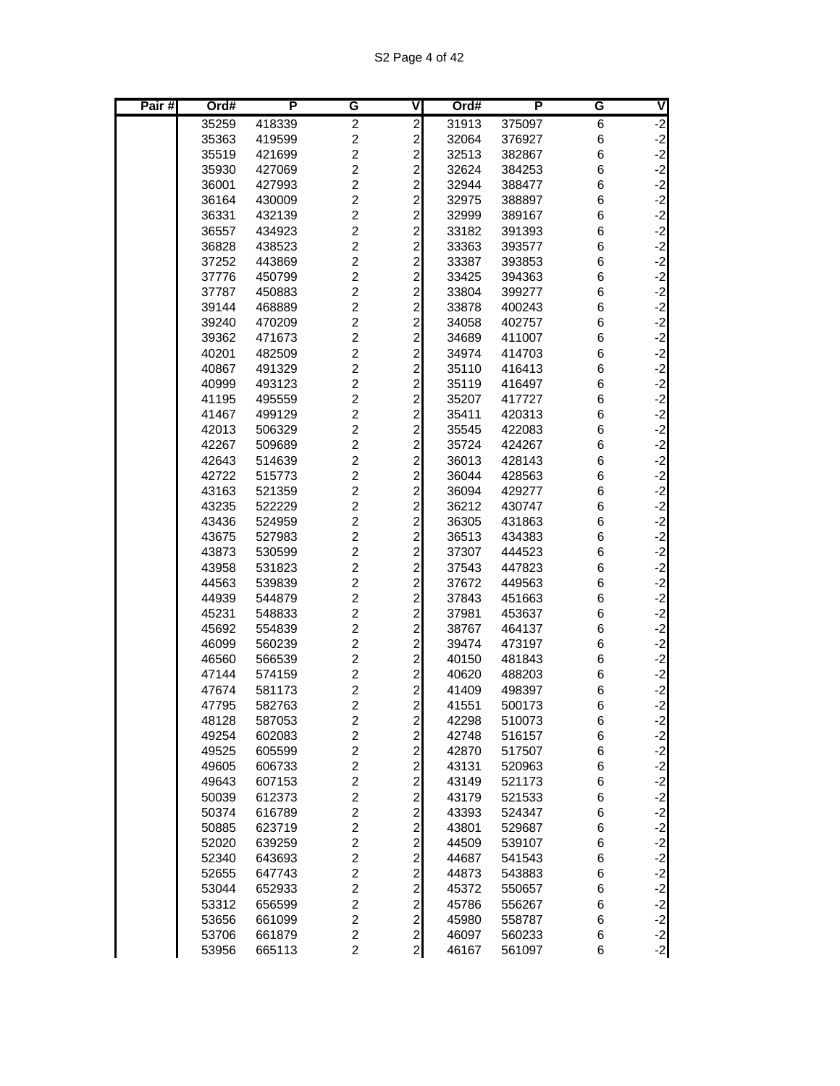S2 Page 4 of 42

| Pair# | Ord#           | P                | G                                | V                                          | Ord#           | P                | G      | $\overline{\mathsf{C}}$      |
|-------|----------------|------------------|----------------------------------|--------------------------------------------|----------------|------------------|--------|------------------------------|
|       | 35259          | 418339           | $\overline{c}$                   | $\overline{\mathbf{c}}$                    | 31913          | 375097           | 6      | $-2$                         |
|       | 35363          | 419599           | $\boldsymbol{2}$                 | $\overline{c}$                             | 32064          | 376927           | 6      |                              |
|       | 35519          | 421699           | $\boldsymbol{2}$                 | $\overline{c}$                             | 32513          | 382867           | 6      |                              |
|       | 35930          | 427069           | $\overline{c}$                   | $\overline{c}$                             | 32624          | 384253           | 6      | $-2$<br>$-2$<br>$-2$         |
|       | 36001          | 427993           | $\overline{c}$                   | $\overline{a}$                             | 32944          | 388477           | 6      | $-2$                         |
|       | 36164          | 430009           | $\overline{c}$                   | $\overline{\mathbf{c}}$                    | 32975          | 388897           | 6      | $-2$                         |
|       | 36331          | 432139           | $\overline{c}$                   | $\overline{\mathbf{c}}$                    | 32999          | 389167           | 6      | $-2$                         |
|       | 36557          | 434923           | $\overline{c}$                   | $\overline{a}$                             | 33182          | 391393           | 6      | $-2$                         |
|       | 36828          | 438523           | $\overline{c}$                   |                                            | 33363          | 393577           | 6      |                              |
|       | 37252          | 443869           | $\overline{\mathbf{c}}$          | $\begin{array}{c} 2 \\ 2 \\ 2 \end{array}$ | 33387          | 393853           | 6      | $-2$<br>$-2$<br>$-2$         |
|       | 37776          | 450799           | $\overline{c}$                   |                                            | 33425          | 394363           | 6      |                              |
|       | 37787          | 450883           | $\overline{c}$                   | $\overline{\mathbf{c}}$                    | 33804          | 399277           | 6      | $-2$                         |
|       | 39144          | 468889           | $\overline{2}$                   | $\overline{c}$                             | 33878          | 400243           | 6      | $-2$                         |
|       | 39240          | 470209           | $\overline{c}$                   | $\overline{\mathbf{c}}$                    | 34058          | 402757           | 6      | $-2$                         |
|       | 39362          | 471673           | $\overline{c}$                   | $\overline{c}$                             | 34689          | 411007           | 6      | $-2$                         |
|       | 40201          | 482509           | $\overline{c}$                   | $\overline{\mathbf{c}}$                    | 34974          | 414703           | 6      | $-2$                         |
|       | 40867          | 491329           | $\overline{c}$                   | $\frac{2}{2}$                              | 35110          | 416413           | 6      | $-2$<br>$-2$                 |
|       | 40999          | 493123           | $\overline{c}$                   |                                            | 35119          | 416497           | 6      |                              |
|       | 41195          | 495559           | $\overline{c}$                   | $\overline{\mathbf{c}}$                    | 35207          | 417727           | 6      | $-2$                         |
|       | 41467          | 499129           | $\overline{c}$                   | $\overline{a}$                             | 35411          | 420313           | 6      | $-2$                         |
|       | 42013          | 506329           | $\overline{c}$                   | $\overline{\mathbf{c}}$                    | 35545          | 422083           | 6      | $-2$                         |
|       | 42267          | 509689           | $\overline{c}$                   | $\overline{a}$                             | 35724          | 424267           | 6      | $-2$                         |
|       | 42643          | 514639           | $\overline{c}$                   | $\overline{c}$                             | 36013          | 428143           | 6      | $-2$                         |
|       | 42722          | 515773           | $\overline{c}$                   | $\overline{c}$                             | 36044          | 428563           | 6      | $-2$<br>$-2$                 |
|       | 43163          | 521359           | $\overline{c}$<br>$\overline{c}$ | $\overline{c}$                             | 36094          | 429277           | 6      |                              |
|       | 43235          | 522229           | $\overline{c}$                   | $\overline{c}$                             | 36212          | 430747           | 6      | $-2$                         |
|       | 43436          | 524959           | $\overline{c}$                   | $\overline{a}$                             | 36305          | 431863           | 6      | $-2$                         |
|       | 43675<br>43873 | 527983<br>530599 | $\overline{c}$                   | $\overline{\mathbf{c}}$<br>$\overline{a}$  | 36513<br>37307 | 434383<br>444523 | 6<br>6 | $-2$<br>$-2$                 |
|       | 43958          | 531823           | $\overline{c}$                   | $\overline{c}$                             | 37543          | 447823           | 6      | $-2$                         |
|       | 44563          | 539839           | $\overline{c}$                   | $\overline{c}$                             | 37672          | 449563           | 6      | $-2$                         |
|       | 44939          | 544879           | $\overline{c}$                   | $\overline{c}$                             | 37843          | 451663           | 6      | $-2$                         |
|       | 45231          | 548833           | $\overline{c}$                   | $\overline{c}$                             | 37981          | 453637           | 6      | $-2$                         |
|       | 45692          | 554839           | $\overline{c}$                   | $\overline{\mathbf{c}}$                    | 38767          | 464137           | 6      | $-2$                         |
|       | 46099          | 560239           | $\overline{c}$                   | $\overline{\mathbf{c}}$                    | 39474          | 473197           | 6      | $-2$                         |
|       | 46560          | 566539           | $\overline{c}$                   | $\overline{\mathbf{c}}$                    | 40150          | 481843           | 6      | $-2$                         |
|       | 47144          | 574159           | $\overline{\mathbf{c}}$          | $\overline{\mathbf{c}}$                    | 40620          | 488203           | 6      |                              |
|       | 47674          | 581173           | $\overline{c}$                   | $\overline{c}$                             | 41409          | 498397           | 6      | $-2$<br>$-2$<br>$-2$         |
|       | 47795          | 582763           | $\overline{c}$                   | $\overline{a}$                             | 41551          | 500173           | 6      |                              |
|       | 48128          | 587053           | $\overline{\mathbf{c}}$          | $\mathbf{2}$                               | 42298          | 510073           | 6      | $-2$                         |
|       | 49254          | 602083           | $\overline{c}$                   | $\mathbf{2}$                               | 42748          | 516157           | $\,6$  | $-2$                         |
|       | 49525          | 605599           | $\boldsymbol{2}$                 |                                            | 42870          | 517507           | 6      | $-2$<br>$-2$                 |
|       | 49605          | 606733           | $\overline{\mathbf{c}}$          |                                            | 43131          | 520963           | 6      |                              |
|       | 49643          | 607153           | $\boldsymbol{2}$                 |                                            | 43149          | 521173           | 6      |                              |
|       | 50039          | 612373           | $\boldsymbol{2}$                 |                                            | 43179          | 521533           | 6      |                              |
|       | 50374          | 616789           | $\boldsymbol{2}$                 | $20000$                                    | 43393          | 524347           | $\,6$  | $-2$<br>$-2$<br>$-2$         |
|       | 50885          | 623719           | $\overline{c}$                   | $\overline{a}$                             | 43801          | 529687           | $\,6$  | $-2$                         |
|       | 52020          | 639259           | $\overline{c}$                   | $\overline{2}$                             | 44509          | 539107           | $\,6$  | $-2$                         |
|       | 52340          | 643693           | $\overline{c}$                   | $\overline{a}$                             | 44687          | 541543           | 6      | $-2$                         |
|       | 52655          | 647743           | $\boldsymbol{2}$                 |                                            | 44873          | 543883           | 6      | $-2$                         |
|       | 53044          | 652933           | $\boldsymbol{2}$                 |                                            | 45372          | 550657           | 6      | $-2$                         |
|       | 53312          | 656599           | $\boldsymbol{2}$                 |                                            | 45786          | 556267           | 6      |                              |
|       | 53656          | 661099           | $\boldsymbol{2}$                 | 22222                                      | 45980          | 558787           | 6      | $-2$<br>$-2$<br>$-2$<br>$-2$ |
|       | 53706          | 661879           | $\overline{\mathbf{c}}$          |                                            | 46097          | 560233           | $\,6$  |                              |
|       | 53956          | 665113           | $\overline{c}$                   | $\mathbf{z}$                               | 46167          | 561097           | 6      |                              |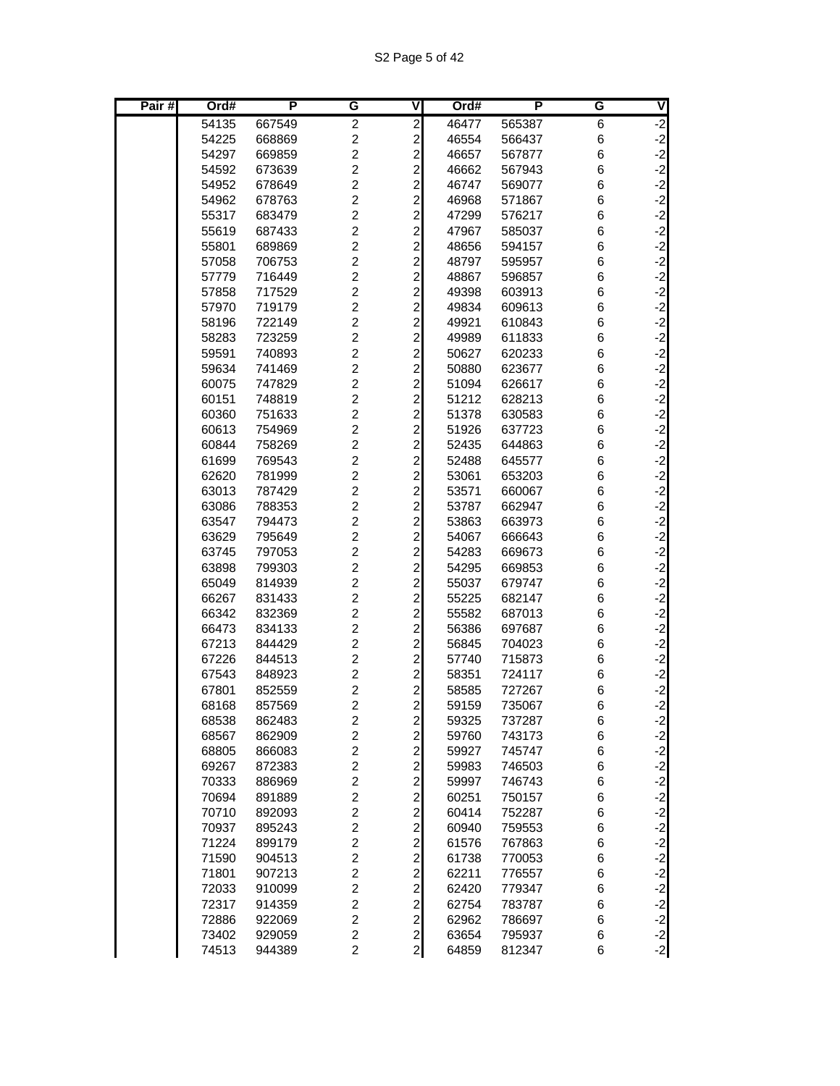| Pair# | Ord#           | P                | G                                         | V                                                  | Ord#           | Р                | G      | V                                        |
|-------|----------------|------------------|-------------------------------------------|----------------------------------------------------|----------------|------------------|--------|------------------------------------------|
|       | 54135          | 667549           | $\overline{c}$                            | $\overline{\mathbf{c}}$                            | 46477          | 565387           | 6      | $-2$                                     |
|       | 54225          | 668869           | $\overline{c}$                            | $\overline{\mathbf{c}}$                            | 46554          | 566437           | 6      | $-2$                                     |
|       | 54297          | 669859           | $\overline{2}$                            | $\overline{c}$                                     | 46657          | 567877           | 6      | $-2$                                     |
|       | 54592          | 673639           | $\overline{2}$                            | $\overline{c}$                                     | 46662          | 567943           | 6      | $-2$                                     |
|       | 54952          | 678649           | $\overline{c}$                            | $\overline{\mathbf{c}}$                            | 46747          | 569077           | 6      | $-2$                                     |
|       | 54962          | 678763           | $\overline{2}$                            | $\overline{\mathbf{c}}$                            | 46968          | 571867           | 6      | $-2$                                     |
|       | 55317          | 683479           | $\overline{c}$                            | $\overline{c}$                                     | 47299          | 576217           | 6      | $-2$                                     |
|       | 55619          | 687433           | $\overline{c}$                            | $\overline{c}$                                     | 47967          | 585037           | 6      | $-2$                                     |
|       | 55801          | 689869           | $\overline{c}$                            | $\overline{c}$                                     | 48656          | 594157           | 6      | $-2$                                     |
|       | 57058          | 706753           | $\overline{2}$                            | $\overline{c}$                                     | 48797          | 595957           | 6      | $-2$                                     |
|       | 57779          | 716449           | $\overline{2}$                            | $\overline{c}$                                     | 48867          | 596857           | 6      | $-2$                                     |
|       | 57858          | 717529           | $\overline{2}$                            | $\overline{c}$                                     | 49398          | 603913           | 6      | $-2$                                     |
|       | 57970          | 719179           | $\overline{c}$                            | $\overline{\mathbf{c}}$                            | 49834          | 609613           | 6      | $-2$                                     |
|       | 58196          | 722149           | $\overline{c}$                            | $\overline{\mathbf{c}}$                            | 49921          | 610843           | 6      | $-2$                                     |
|       | 58283          | 723259           | $\overline{2}$                            | $\overline{c}$                                     | 49989          | 611833           | 6      | $-2$                                     |
|       | 59591          | 740893           | $\overline{c}$                            | $\overline{\mathbf{c}}$                            | 50627          | 620233           | 6      | $\begin{bmatrix} -2 \\ -2 \end{bmatrix}$ |
|       | 59634          | 741469           | $\overline{c}$                            | $\overline{c}$                                     | 50880          | 623677           | 6      |                                          |
|       | 60075          | 747829           | $\overline{2}$                            | $\overline{c}$                                     | 51094          | 626617           | 6      | $-2$                                     |
|       | 60151          | 748819           | $\overline{2}$                            | $\overline{\mathbf{c}}$                            | 51212          | 628213           | 6      | $-2$                                     |
|       | 60360          | 751633           | $\overline{2}$                            | $\overline{\mathbf{c}}$                            | 51378          | 630583           | 6      | $-2$                                     |
|       | 60613          | 754969           | $\overline{c}$                            | $\overline{\mathbf{c}}$                            | 51926          | 637723           | 6      | $-2$                                     |
|       | 60844          | 758269           | $\overline{c}$                            | $\overline{c}$                                     | 52435          | 644863           | 6      | $-2$                                     |
|       | 61699          | 769543           | $\overline{c}$                            | $\overline{\mathbf{c}}$                            | 52488          | 645577           | 6      | $\begin{bmatrix} -2 \\ -2 \end{bmatrix}$ |
|       | 62620          | 781999           | $\overline{c}$                            | $\overline{c}$                                     | 53061          | 653203           | 6      |                                          |
|       | 63013          | 787429           | $\overline{c}$                            | $\overline{c}$                                     | 53571          | 660067           | 6      | $-2$                                     |
|       | 63086          | 788353           | $\overline{2}$                            | $\overline{c}$                                     | 53787          | 662947           | 6      | $-2$                                     |
|       | 63547          | 794473           | $\overline{2}$                            | $\overline{\mathbf{c}}$                            | 53863          | 663973           | 6      | $-2$                                     |
|       | 63629          | 795649           | $\overline{2}$                            | $\overline{c}$                                     | 54067          | 666643           | 6      | $-2$                                     |
|       | 63745          | 797053           | $\overline{2}$                            | $\overline{c}$                                     | 54283          | 669673           | 6      | $-2$                                     |
|       | 63898          | 799303           | $\overline{\mathbf{c}}$                   | $\overline{\mathbf{c}}$                            | 54295          | 669853           | 6      | $-2$                                     |
|       | 65049          | 814939           | $\overline{\mathbf{c}}$                   | $\overline{c}$                                     | 55037          | 679747           | 6      | $-2$                                     |
|       | 66267          | 831433           | $\overline{c}$                            | $\overline{c}$                                     | 55225          | 682147           | 6      | $-2$                                     |
|       | 66342          | 832369           | $\overline{2}$                            | $\overline{c}$                                     | 55582          | 687013           | 6      | $-2$                                     |
|       | 66473          | 834133           | $\overline{2}$                            | $\overline{c}$                                     | 56386          | 697687           | 6      | $-2$                                     |
|       | 67213          | 844429           | $\overline{2}$                            | $\overline{\mathbf{c}}$                            | 56845          | 704023           | 6      | $-2$                                     |
|       | 67226          | 844513           | $\overline{c}$                            | $\overline{c}$                                     | 57740          | 715873           | 6      | $-2$                                     |
|       | 67543          | 848923           | $\overline{c}$                            | $\overline{\mathbf{c}}$                            | 58351          | 724117           | 6      | $-2$                                     |
|       | 67801          | 852559           | $\overline{\mathbf{c}}$<br>$\overline{c}$ | $\overline{\mathbf{c}}$<br>$\overline{2}$          | 58585<br>59159 | 727267           | 6<br>6 | $-2$<br>$-2$                             |
|       | 68168          | 857569           |                                           |                                                    |                | 735067           |        |                                          |
|       | 68538<br>68567 | 862483<br>862909 | $\overline{\mathbf{c}}$<br>$\overline{c}$ | $\overline{\mathbf{c}}$<br>$\overline{\mathbf{c}}$ | 59325<br>59760 | 737287<br>743173 | 6<br>6 | $-2$                                     |
|       | 68805          | 866083           | $\overline{c}$                            | $\overline{a}$                                     | 59927          | 745747           | 6      | $-2$<br>$-2$<br>$-2$                     |
|       | 69267          | 872383           | $\overline{\mathbf{c}}$                   | $\overline{a}$                                     | 59983          | 746503           | 6      |                                          |
|       | 70333          | 886969           | $\overline{c}$                            | $\overline{\mathbf{c}}$                            | 59997          | 746743           | 6      | $-2$                                     |
|       | 70694          | 891889           | $\boldsymbol{2}$                          | $\overline{\mathbf{c}}$                            | 60251          | 750157           | 6      |                                          |
|       | 70710          | 892093           | $\overline{c}$                            | $\overline{a}$                                     | 60414          | 752287           | 6      | $-2$<br>$-2$                             |
|       | 70937          | 895243           | $\overline{c}$                            | $\overline{a}$                                     | 60940          | 759553           | 6      | $-2$                                     |
|       | 71224          | 899179           | $\overline{c}$                            | $\overline{\mathbf{c}}$                            | 61576          | 767863           | 6      |                                          |
|       | 71590          | 904513           | $\boldsymbol{2}$                          | $\overline{\mathbf{c}}$                            | 61738          | 770053           | 6      | د<br>د د د د                             |
|       | 71801          | 907213           | $\overline{c}$                            | $\overline{c}$                                     | 62211          | 776557           | 6      |                                          |
|       | 72033          | 910099           | $\overline{c}$                            | $\overline{c}$                                     | 62420          | 779347           | 6      |                                          |
|       | 72317          | 914359           | $\boldsymbol{2}$                          | $\overline{\mathbf{c}}$                            | 62754          | 783787           | 6      |                                          |
|       | 72886          | 922069           | $\overline{c}$                            | $\overline{a}$                                     | 62962          | 786697           | 6      | $-2$<br>$-2$                             |
|       | 73402          | 929059           | $\overline{c}$                            | $\mathbf{z}$                                       | 63654          | 795937           | 6      |                                          |
|       | 74513          | 944389           | $\overline{c}$                            | $\mathbf{z}$                                       | 64859          | 812347           | 6      | $\begin{bmatrix} -2 \\ -2 \end{bmatrix}$ |
|       |                |                  |                                           |                                                    |                |                  |        |                                          |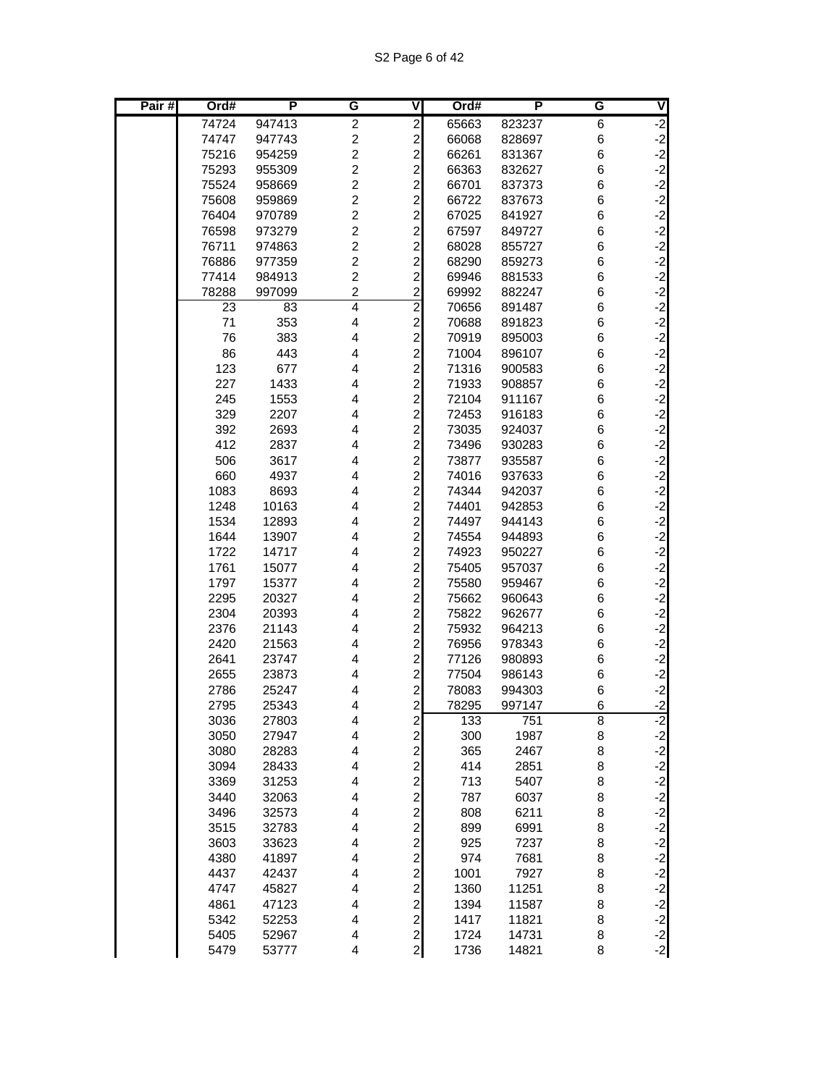| Pair# | Ord#         | P              | G              | V                               | Ord#           | P                | G      | V                                        |
|-------|--------------|----------------|----------------|---------------------------------|----------------|------------------|--------|------------------------------------------|
|       | 74724        | 947413         | 2              | $\overline{c}$                  | 65663          | 823237           | 6      | $-2$                                     |
|       | 74747        | 947743         | $\overline{c}$ | $\overline{\mathbf{c}}$         | 66068          | 828697           | 6      | $-2$                                     |
|       | 75216        | 954259         | $\overline{c}$ | $\overline{c}$                  | 66261          | 831367           | 6      | $-2$                                     |
|       | 75293        | 955309         | $\overline{c}$ | $\overline{c}$                  | 66363          | 832627           | 6      | $-2$                                     |
|       | 75524        | 958669         | $\overline{c}$ | $\overline{\mathbf{c}}$         | 66701          | 837373           | 6      | $-2$                                     |
|       | 75608        | 959869         | $\overline{c}$ | $\overline{\mathbf{c}}$         | 66722          | 837673           | 6      | $-2$                                     |
|       | 76404        | 970789         | $\overline{c}$ | $\overline{\mathbf{c}}$         | 67025          | 841927           | 6      | $-2$                                     |
|       | 76598        | 973279         | $\overline{c}$ | $\frac{2}{2}$                   | 67597          | 849727           | 6      | $\begin{bmatrix} -2 \\ -2 \end{bmatrix}$ |
|       | 76711        | 974863         | $\overline{c}$ |                                 | 68028          | 855727           | 6      |                                          |
|       | 76886        | 977359         | $\overline{c}$ | $\overline{c}$                  | 68290          | 859273           | 6      | $-2$                                     |
|       | 77414        | 984913         | $\overline{c}$ | $\overline{c}$                  | 69946          | 881533           | 6      | $-2$                                     |
|       | 78288        | 997099         | $\overline{c}$ | $\overline{\mathbf{c}}$         | 69992          | 882247           | 6      | $-2$                                     |
|       | 23           | 83             | $\overline{4}$ | $\overline{2}$                  | 70656          | 891487           | 6      | $-2$                                     |
|       | 71           | 353            | 4              | $\overline{\mathbf{c}}$         | 70688          | 891823           | 6      | $-2$                                     |
|       | 76           | 383            | 4              | $\overline{\mathbf{c}}$         | 70919          | 895003           | 6      | $-2$                                     |
|       | 86           | 443            | 4              | $\overline{c}$                  | 71004          | 896107           | 6      | $\begin{bmatrix} -2 \\ -2 \end{bmatrix}$ |
|       | 123          | 677            | 4              | $\overline{c}$                  | 71316          | 900583           | 6      |                                          |
|       | 227          | 1433           | 4              | $\overline{c}$                  | 71933          | 908857           | 6      | $-2$                                     |
|       | 245          | 1553           | 4              | $\overline{c}$                  | 72104          | 911167           | 6      | $-2$                                     |
|       | 329          | 2207           | 4              | $\overline{\mathbf{c}}$         | 72453          | 916183           | 6      | $-2$                                     |
|       | 392          | 2693           | 4              | $\overline{\mathbf{c}}$         | 73035          | 924037           | 6      | $-2$                                     |
|       | 412          | 2837           | 4              | $\overline{\mathbf{c}}$         | 73496          | 930283           | 6      | $-2$                                     |
|       | 506          | 3617           | 4              | $\overline{\mathbf{c}}$         | 73877          | 935587           | 6      | $\begin{bmatrix} -2 \\ -2 \end{bmatrix}$ |
|       | 660          | 4937           | 4              | $\overline{c}$                  | 74016          | 937633           | 6      |                                          |
|       | 1083         | 8693           | 4              | $\overline{c}$                  | 74344          | 942037           | 6      | $-2$                                     |
|       | 1248         | 10163          | 4              | $\overline{\mathbf{c}}$         | 74401          | 942853           | 6      | $-2$                                     |
|       | 1534         | 12893          | 4              | $\overline{\mathbf{c}}$         | 74497          | 944143           | 6      | $-2$                                     |
|       | 1644         | 13907          | 4              | $\overline{\mathbf{c}}$         | 74554          | 944893           | 6      | $-2$                                     |
|       | 1722         | 14717          | 4              | $\overline{\mathbf{c}}$         | 74923          | 950227           | 6      | $-2$                                     |
|       | 1761         | 15077          | 4              | $\overline{\mathbf{c}}$         | 75405          | 957037           | 6      | $-2$<br>$-2$                             |
|       | 1797         | 15377          | 4<br>4         | $\frac{2}{2}$                   | 75580          | 959467           | 6<br>6 | $-2$                                     |
|       | 2295<br>2304 | 20327<br>20393 | 4              | $\overline{c}$                  | 75662          | 960643           | 6      | $-2$                                     |
|       | 2376         | 21143          | 4              | $\overline{\mathbf{c}}$         | 75822<br>75932 | 962677<br>964213 | 6      | $-2$                                     |
|       | 2420         | 21563          | 4              | $\overline{\mathbf{c}}$         | 76956          | 978343           | 6      | $-2$                                     |
|       | 2641         | 23747          | 4              | $\overline{\mathbf{c}}$         | 77126          | 980893           | 6      | $-2$                                     |
|       | 2655         | 23873          | 4              | $\overline{\mathbf{c}}$         | 77504          | 986143           | 6      | $-2$                                     |
|       | 2786         | 25247          | 4              | $\overline{\mathbf{c}}$         | 78083          | 994303           | 6      | $-2$                                     |
|       | 2795         | 25343          | 4              | $\mathbf{z}$                    | 78295          | 997147           | 6      | $-2$                                     |
|       | 3036         | 27803          | 4              |                                 | 133            | 751              | 8      | $-2$                                     |
|       | 3050         | 27947          | 4              | ט ט ט ט ט ט ט ט ט ט ט ט ט ט ט ט | 300            | 1987             | 8      |                                          |
|       | 3080         | 28283          | 4              |                                 | 365            | 2467             | 8      |                                          |
|       | 3094         | 28433          | 4              |                                 | 414            | 2851             | 8      |                                          |
|       | 3369         | 31253          | 4              |                                 | 713            | 5407             | 8      |                                          |
|       | 3440         | 32063          | 4              |                                 | 787            | 6037             | 8      |                                          |
|       | 3496         | 32573          | 4              |                                 | 808            | 6211             | 8      |                                          |
|       | 3515         | 32783          | 4              |                                 | 899            | 6991             | 8      |                                          |
|       | 3603         | 33623          | 4              |                                 | 925            | 7237             | 8      |                                          |
|       | 4380         | 41897          | 4              |                                 | 974            | 7681             | 8      |                                          |
|       | 4437         | 42437          | 4              |                                 | 1001           | 7927             | 8      |                                          |
|       | 4747         | 45827          | 4              |                                 | 1360           | 11251            | 8      |                                          |
|       | 4861         | 47123          | 4              |                                 | 1394           | 11587            | 8      |                                          |
|       | 5342         | 52253          | 4              |                                 | 1417           | 11821            | 8      |                                          |
|       | 5405         | 52967          | 4              |                                 | 1724           | 14731            | 8      |                                          |
|       | 5479         | 53777          | 4              |                                 | 1736           | 14821            | 8      |                                          |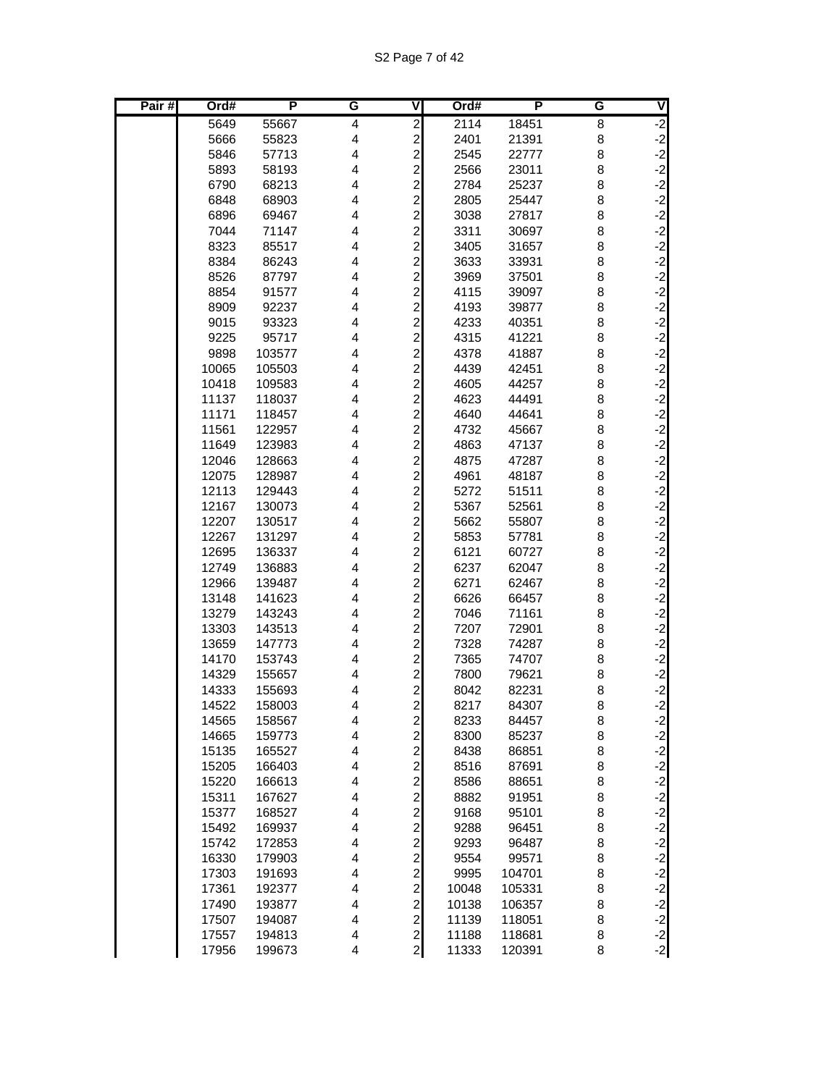S2 Page 7 of 42

| Pair# | Ord#           | P                | G                       | V                                                  | Ord#         | P              | G      | $\overline{\mathsf{v}}$                  |
|-------|----------------|------------------|-------------------------|----------------------------------------------------|--------------|----------------|--------|------------------------------------------|
|       | 5649           | 55667            | $\overline{\mathbf{4}}$ | $\overline{\mathbf{c}}$                            | 2114         | 18451          | 8      | $-2$                                     |
|       | 5666           | 55823            | 4                       | $\overline{\mathbf{c}}$                            | 2401         | 21391          | 8      |                                          |
|       | 5846           | 57713            | 4                       | $\overline{c}$                                     | 2545         | 22777          | 8      | $\begin{bmatrix} -2 \\ -2 \end{bmatrix}$ |
|       | 5893           | 58193            | $\overline{\mathbf{4}}$ | $\overline{c}$                                     | 2566         | 23011          | 8      | $-2$                                     |
|       | 6790           | 68213            | 4                       | $\overline{\mathbf{c}}$                            | 2784         | 25237          | 8      | $-2$                                     |
|       | 6848           | 68903            | 4                       | $\overline{\mathbf{c}}$                            | 2805         | 25447          | 8      | $-2$                                     |
|       | 6896           | 69467            | 4                       | $\overline{\mathbf{c}}$                            | 3038         | 27817          | 8      | $-2$                                     |
|       | 7044           | 71147            | 4                       | $\overline{\mathbf{c}}$                            | 3311         | 30697          | 8      | $-2$                                     |
|       | 8323           | 85517            | 4                       | $\overline{c}$                                     | 3405         | 31657          | 8      |                                          |
|       | 8384           | 86243            | 4                       | $\overline{a}$                                     | 3633         | 33931          | 8      | $-2$<br>$-2$<br>$-2$                     |
|       | 8526           | 87797            | 4                       | $\overline{c}$                                     | 3969         | 37501          | 8      |                                          |
|       | 8854           | 91577            | 4                       | $\overline{c}$                                     | 4115         | 39097          | 8      | $-2$                                     |
|       | 8909           | 92237            | 4                       | $\overline{c}$                                     | 4193         | 39877          | 8      | $-2$                                     |
|       | 9015           | 93323            | 4                       | $\overline{\mathbf{c}}$                            | 4233         | 40351          | 8      | $-2$                                     |
|       | 9225           | 95717            | 4                       | $\overline{\mathbf{c}}$                            | 4315         | 41221          | 8      | $-2$                                     |
|       | 9898           | 103577           | 4                       | $\overline{\mathbf{c}}$                            | 4378         | 41887          | 8      | $-2$                                     |
|       | 10065          | 105503           | 4                       | $\overline{c}$                                     | 4439         | 42451          | 8      | $-2$                                     |
|       | 10418          | 109583           | 4                       | $\overline{c}$                                     | 4605         | 44257          | 8      | $-2$                                     |
|       | 11137          | 118037           | 4                       | $\overline{c}$                                     | 4623         | 44491          | 8      | $-2$                                     |
|       | 11171          | 118457           | 4                       | $\overline{\mathbf{c}}$                            | 4640         | 44641          | 8      | $-2$                                     |
|       | 11561          | 122957           | 4                       | $\overline{c}$                                     | 4732         | 45667          | 8      | $-2$                                     |
|       | 11649          | 123983           | 4                       | $\overline{c}$                                     | 4863         | 47137          | 8      | $-2$                                     |
|       | 12046          | 128663           | 4                       | $\overline{c}$                                     | 4875         | 47287          | 8      | $-2$                                     |
|       | 12075          | 128987           | 4                       | $\overline{c}$                                     | 4961         | 48187          | 8      | $-2$<br>$-2$                             |
|       | 12113          | 129443           | 4                       | $\overline{c}$                                     | 5272         | 51511          | 8      | $-2$                                     |
|       | 12167          | 130073           | 4<br>4                  | $\overline{\mathbf{c}}$                            | 5367         | 52561          | 8      |                                          |
|       | 12207          | 130517           | 4                       | $\overline{\mathbf{c}}$                            | 5662         | 55807          | 8      | $-2$                                     |
|       | 12267<br>12695 | 131297<br>136337 | 4                       | $\overline{\mathbf{c}}$<br>$\overline{\mathbf{c}}$ | 5853<br>6121 | 57781<br>60727 | 8<br>8 | $-2$<br>$-2$                             |
|       | 12749          | 136883           | 4                       | $\overline{c}$                                     | 6237         | 62047          | 8      | $-2$                                     |
|       | 12966          | 139487           | 4                       | $\overline{\mathbf{c}}$                            | 6271         | 62467          | 8      | $-2$                                     |
|       | 13148          | 141623           | 4                       | $\overline{c}$                                     | 6626         | 66457          | 8      | $-2$                                     |
|       | 13279          | 143243           | $\overline{\mathbf{4}}$ | $\overline{c}$                                     | 7046         | 71161          | 8      | $-2$                                     |
|       | 13303          | 143513           | 4                       | $\overline{\mathbf{c}}$                            | 7207         | 72901          | 8      | $-2$                                     |
|       | 13659          | 147773           | 4                       | $\overline{\mathbf{c}}$                            | 7328         | 74287          | 8      | $-2$                                     |
|       | 14170          | 153743           | 4                       | $\overline{\mathbf{c}}$                            | 7365         | 74707          | 8      | $-2$                                     |
|       | 14329          | 155657           | 4                       | $\overline{c}$                                     | 7800         | 79621          | 8      | $-2$                                     |
|       | 14333          | 155693           | 4                       | $\overline{c}$                                     | 8042         | 82231          | 8      |                                          |
|       | 14522          | 158003           | 4                       | $\overline{a}$                                     | 8217         | 84307          | 8      | $\begin{bmatrix} -2 \\ -2 \end{bmatrix}$ |
|       | 14565          | 158567           | 4                       | $\overline{\mathbf{c}}$                            | 8233         | 84457          | 8      | $-2$                                     |
|       | 14665          | 159773           | $\overline{\mathbf{4}}$ |                                                    | 8300         | 85237          | 8      | $-2$                                     |
|       | 15135          | 165527           | $\overline{\mathbf{4}}$ |                                                    | 8438         | 86851          | 8      | $-2$<br>$-2$                             |
|       | 15205          | 166403           | $\overline{\mathbf{4}}$ |                                                    | 8516         | 87691          | 8      |                                          |
|       | 15220          | 166613           | $\overline{\mathbf{4}}$ | 22222                                              | 8586         | 88651          | 8      |                                          |
|       | 15311          | 167627           | 4                       |                                                    | 8882         | 91951          | 8      | $-2$<br>$-2$<br>$-2$                     |
|       | 15377          | 168527           | $\overline{\mathbf{4}}$ |                                                    | 9168         | 95101          | 8      |                                          |
|       | 15492          | 169937           | $\overline{\mathbf{4}}$ | $\overline{a}$                                     | 9288         | 96451          | 8      | $-2$                                     |
|       | 15742          | 172853           | $\overline{\mathbf{4}}$ | $\mathbf{2}$                                       | 9293         | 96487          | 8      | $-2$                                     |
|       | 16330          | 179903           | $\overline{\mathbf{4}}$ | $\overline{a}$                                     | 9554         | 99571          | 8      | $-2$                                     |
|       | 17303          | 191693           | $\overline{\mathbf{4}}$ |                                                    | 9995         | 104701         | 8      | $-2$                                     |
|       | 17361          | 192377           | $\overline{\mathbf{4}}$ | $\frac{2}{2}$                                      | 10048        | 105331         | 8      | $-2$                                     |
|       | 17490          | 193877           | 4                       | $\overline{\mathbf{c}}$                            | 10138        | 106357         | 8      |                                          |
|       | 17507          | 194087           | $\overline{\mathbf{4}}$ | $\overline{\mathbf{c}}$                            | 11139        | 118051         | 8      | $-2$<br>$-2$<br>$-2$<br>$-2$             |
|       | 17557          | 194813           | $\overline{\mathbf{4}}$ | $\overline{c}$                                     | 11188        | 118681         | 8      |                                          |
|       | 17956          | 199673           | $\overline{\mathbf{4}}$ | $\mathbf{2}$                                       | 11333        | 120391         | 8      |                                          |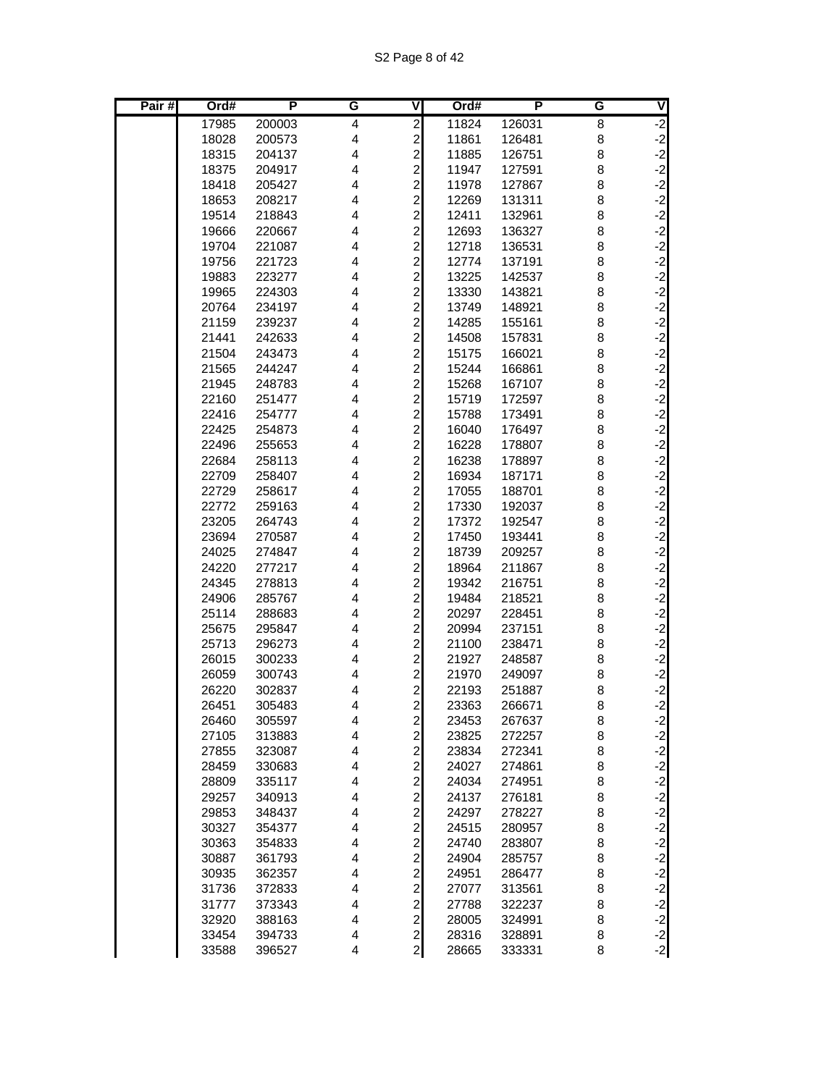| Pair# | Ord#           | P                | G                            | V                                                  | Ord#           | P                | G      | V                 |
|-------|----------------|------------------|------------------------------|----------------------------------------------------|----------------|------------------|--------|-------------------|
|       | 17985          | 200003           | 4                            | $\overline{\mathbf{c}}$                            | 11824          | 126031           | 8      | $-2$              |
|       | 18028          | 200573           | 4                            | $\overline{\mathbf{c}}$                            | 11861          | 126481           | 8      | $-2$<br>$-2$      |
|       | 18315          | 204137           | 4                            | $\overline{c}$                                     | 11885          | 126751           | 8      |                   |
|       | 18375          | 204917           | 4                            | $\overline{c}$                                     | 11947          | 127591           | 8      | $-2$<br>$-2$      |
|       | 18418          | 205427           | 4                            | $\overline{a}$                                     | 11978          | 127867           | 8      |                   |
|       | 18653          | 208217           | 4                            | $\overline{a}$                                     | 12269          | 131311           | 8      |                   |
|       | 19514          | 218843           | 4                            | $\overline{\mathbf{c}}$                            | 12411          | 132961           | 8      | $-2$<br>$-2$      |
|       | 19666          | 220667           | 4                            | $\overline{\mathbf{c}}$                            | 12693          | 136327           | 8      |                   |
|       | 19704          | 221087           | 4                            | $\overline{\mathbf{c}}$                            | 12718          | 136531           | 8      |                   |
|       | 19756          | 221723           | 4                            | $\overline{c}$                                     | 12774          | 137191           | 8      | د د د د د         |
|       | 19883          | 223277           | 4                            | $\overline{a}$                                     | 13225          | 142537           | 8      |                   |
|       | 19965          | 224303           | 4                            | $\overline{c}$                                     | 13330          | 143821           | 8      |                   |
|       | 20764          | 234197           | 4                            | $\overline{a}$                                     | 13749          | 148921           | 8      | $-2$<br>$-2$      |
|       | 21159          | 239237           | $\overline{4}$               | $\overline{c}$                                     | 14285          | 155161           | 8      |                   |
|       | 21441          | 242633           | 4                            | $\overline{c}$                                     | 14508          | 157831           | 8      | $-2$              |
|       | 21504          | 243473           | 4                            | $\overline{\mathbf{c}}$                            | 15175          | 166021           | 8      | $-2$<br>$-2$      |
|       | 21565          | 244247           | 4                            | $\overline{c}$                                     | 15244          | 166861           | 8      |                   |
|       | 21945          | 248783           | 4                            | $\overline{a}$                                     | 15268          | 167107           | 8      | $-2$              |
|       | 22160          | 251477           | 4                            | $\overline{c}$                                     | 15719          | 172597           | 8      | $-2$              |
|       | 22416          | 254777           | 4                            | $\overline{c}$                                     | 15788          | 173491           | 8      | $-2$<br>$-2$      |
|       | 22425          | 254873           | 4                            | $\overline{c}$                                     | 16040          | 176497           | 8      |                   |
|       | 22496          | 255653           | 4                            | $\overline{\mathbf{c}}$                            | 16228          | 178807           | 8      | $-2$              |
|       | 22684          | 258113           | 4                            | $\overline{\mathbf{c}}$                            | 16238          | 178897           | 8      | $-2$<br>$-2$      |
|       | 22709          | 258407           | 4                            | $\overline{c}$                                     | 16934          | 187171           | 8      |                   |
|       | 22729          | 258617           | 4                            | $\overline{a}$                                     | 17055          | 188701           | 8      | $-2$              |
|       | 22772          | 259163           | $\overline{4}$               | $\overline{a}$                                     | 17330          | 192037           | 8      | $-2$              |
|       | 23205          | 264743           | 4                            | $\overline{\mathbf{c}}$                            | 17372          | 192547           | 8      |                   |
|       | 23694          | 270587           | 4                            | $\overline{\mathbf{c}}$                            | 17450          | 193441           | 8      | دا دا دا دا دا    |
|       | 24025          | 274847           | 4                            | $\overline{\mathbf{c}}$                            | 18739          | 209257           | 8      |                   |
|       | 24220          | 277217           | $\overline{4}$               | $\overline{\mathbf{c}}$                            | 18964          | 211867           | 8      |                   |
|       | 24345          | 278813           | 4                            | $\overline{c}$                                     | 19342          | 216751           | 8      |                   |
|       | 24906          | 285767           | 4                            | $\overline{a}$                                     | 19484          | 218521           | 8      | $-2$              |
|       | 25114<br>25675 | 288683           | $\overline{\mathbf{4}}$<br>4 | $\overline{a}$                                     | 20297          | 228451           | 8      | $-2$              |
|       | 25713          | 295847           | 4                            | $\overline{\mathbf{c}}$                            | 20994          | 237151<br>238471 | 8      |                   |
|       | 26015          | 296273<br>300233 | 4                            | $\overline{\mathbf{c}}$                            | 21100          |                  | 8      |                   |
|       |                |                  |                              | $\overline{\mathbf{c}}$                            | 21927<br>21970 | 248587<br>249097 | 8      |                   |
|       | 26059<br>26220 | 300743           | 4<br>4                       | $\overline{\mathbf{c}}$<br>$\overline{\mathbf{c}}$ | 22193          | 251887           | 8<br>8 |                   |
|       | 26451          | 302837<br>305483 | 4                            | $\overline{2}$                                     | 23363          | 266671           | 8      | یا یا یا یا یا یا |
|       | 26460          | 305597           | 4                            | $\mathbf{2}$                                       | 23453          | 267637           | 8      |                   |
|       | 27105          | 313883           | $\overline{\mathbf{4}}$      | $\mathbf{2}$                                       | 23825          | 272257           | 8      | $-2$              |
|       | 27855          | 323087           | $\overline{\mathbf{4}}$      | $\mathbf{2}$                                       | 23834          | 272341           | 8      |                   |
|       | 28459          | 330683           | $\overline{\mathbf{4}}$      | $\overline{a}$                                     | 24027          | 274861           | 8      |                   |
|       | 28809          | 335117           | 4                            | $\overline{a}$                                     | 24034          | 274951           | 8      |                   |
|       | 29257          | 340913           | $\overline{\mathbf{4}}$      |                                                    | 24137          | 276181           | 8      |                   |
|       | 29853          | 348437           | $\overline{\mathbf{4}}$      | $\frac{2}{2}$                                      | 24297          | 278227           | 8      |                   |
|       | 30327          | 354377           | $\overline{\mathbf{4}}$      | $\mathbf{z}$                                       | 24515          | 280957           | 8      |                   |
|       | 30363          | 354833           | $\overline{\mathbf{4}}$      | $\mathbf{2}$                                       | 24740          | 283807           | 8      |                   |
|       | 30887          | 361793           | $\overline{\mathbf{4}}$      | $\mathbf{2}$                                       | 24904          | 285757           | 8      |                   |
|       | 30935          | 362357           | $\overline{\mathbf{4}}$      | $\mathbf{2}$                                       | 24951          | 286477           | 8      |                   |
|       | 31736          | 372833           | 4                            | $\mathbf{2}$                                       | 27077          | 313561           | 8      |                   |
|       | 31777          | 373343           | 4                            | $\overline{a}$                                     | 27788          | 322237           | 8      |                   |
|       | 32920          | 388163           | $\overline{\mathbf{4}}$      | $\overline{2}$                                     | 28005          | 324991           | 8      |                   |
|       | 33454          | 394733           | 4                            | $\overline{2}$                                     | 28316          | 328891           | 8      |                   |
|       | 33588          | 396527           | 4                            | $\overline{2}$                                     | 28665          | 333331           | 8      |                   |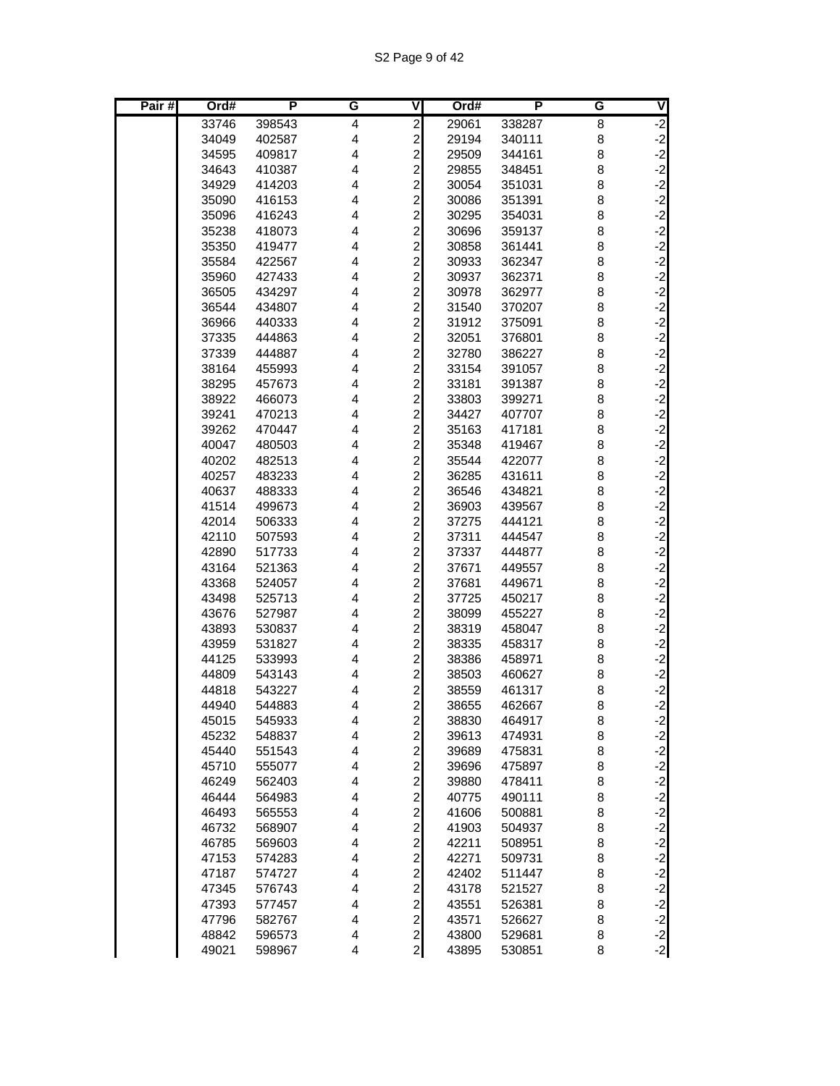| Pair# | Ord#           | P                | G                            | $\overline{\mathsf{V}}$                            | Ord#           | P                | G      | V                         |
|-------|----------------|------------------|------------------------------|----------------------------------------------------|----------------|------------------|--------|---------------------------|
|       | 33746          | 398543           | 4                            | $\overline{c}$                                     | 29061          | 338287           | 8      | $-2$                      |
|       | 34049          | 402587           | 4                            | $\overline{\mathbf{c}}$                            | 29194          | 340111           | 8      |                           |
|       | 34595          | 409817           | $\overline{\mathbf{4}}$      | $\overline{c}$                                     | 29509          | 344161           | 8      |                           |
|       | 34643          | 410387           | 4                            | $\overline{\mathbf{c}}$                            | 29855          | 348451           | 8      | ے کہ کہ ک                 |
|       | 34929          | 414203           | 4                            | $\overline{\mathbf{c}}$                            | 30054          | 351031           | 8      |                           |
|       | 35090          | 416153           | 4                            | $\overline{a}$                                     | 30086          | 351391           | 8      |                           |
|       | 35096          | 416243           | 4                            | $\overline{\mathbf{c}}$                            | 30295          | 354031           | 8      | $-2$<br>$-2$              |
|       | 35238          | 418073           | 4                            | $\overline{\mathbf{c}}$                            | 30696          | 359137           | 8      |                           |
|       | 35350          | 419477           | 4                            | $\overline{\mathbf{c}}$                            | 30858          | 361441           | 8      |                           |
|       | 35584          | 422567           | 4                            | $\overline{c}$                                     | 30933          | 362347           | 8      | د د د د د                 |
|       | 35960          | 427433           | 4                            | $\overline{a}$                                     | 30937          | 362371           | 8      |                           |
|       | 36505          | 434297           | 4                            | $\overline{\mathbf{c}}$                            | 30978          | 362977           | 8      |                           |
|       | 36544          | 434807           | 4                            | $\overline{a}$                                     | 31540          | 370207           | 8      | $-2$<br>$-2$              |
|       | 36966          | 440333           | 4                            | $\overline{\mathbf{c}}$                            | 31912          | 375091           | 8      |                           |
|       | 37335          | 444863           | 4                            | $\overline{\mathbf{c}}$                            | 32051          | 376801           | 8      | $-2$                      |
|       | 37339          | 444887           | 4                            | $\overline{\mathbf{c}}$                            | 32780          | 386227           | 8      | $-2$<br>$-2$              |
|       | 38164          | 455993           | 4                            | $\overline{c}$                                     | 33154          | 391057           | 8      |                           |
|       | 38295          | 457673           | 4                            | $\overline{a}$                                     | 33181          | 391387           | 8      | $-2$<br>$-2$              |
|       | 38922          | 466073           | 4                            | $\overline{\mathbf{c}}$                            | 33803          | 399271           | 8      |                           |
|       | 39241          | 470213           | 4                            | $\overline{\mathbf{c}}$                            | 34427          | 407707           | 8      | $-2$<br>$-2$              |
|       | 39262          | 470447           | 4                            | $\overline{c}$                                     | 35163          | 417181           | 8      |                           |
|       | 40047          | 480503           | 4                            | $\overline{\mathbf{c}}$                            | 35348          | 419467           | 8      | $-2$                      |
|       | 40202          | 482513           | 4                            | $\overline{\mathbf{c}}$                            | 35544          | 422077           | 8      | $-2$<br>$-2$              |
|       | 40257          | 483233           | 4                            | $\overline{c}$                                     | 36285          | 431611           | 8      |                           |
|       | 40637          | 488333           | 4                            | $\overline{a}$                                     | 36546          | 434821           | 8      | $-2$                      |
|       | 41514          | 499673           | 4                            | $\overline{\mathbf{c}}$                            | 36903          | 439567           | 8      | $-2$                      |
|       | 42014          | 506333           | 4                            | $\overline{\mathbf{c}}$                            | 37275          | 444121           | 8      |                           |
|       | 42110          | 507593           | 4                            | $\overline{\mathbf{c}}$                            | 37311          | 444547           | 8      | دا دا دا دا دا            |
|       | 42890          | 517733           | 4                            | $\overline{\mathbf{c}}$                            | 37337          | 444877           | 8      |                           |
|       | 43164          | 521363           | 4                            | $\overline{\mathbf{c}}$                            | 37671          | 449557           | 8      |                           |
|       | 43368          | 524057           | 4                            | $\overline{c}$                                     | 37681          | 449671           | 8      |                           |
|       | 43498          | 525713           | 4                            | $\overline{a}$                                     | 37725          | 450217           | 8      | $-2$                      |
|       | 43676          | 527987           | $\overline{\mathbf{4}}$<br>4 | $\overline{a}$                                     | 38099          | 455227           | 8      | $-2$                      |
|       | 43893          | 530837           | 4                            | $\overline{c}$                                     | 38319          | 458047           | 8      | ے۔<br>دے دے دے دے دے<br>د |
|       | 43959          | 531827<br>533993 | 4                            | $\overline{\mathbf{c}}$                            | 38335          | 458317           | 8      |                           |
|       | 44125          |                  |                              | $\overline{\mathbf{c}}$                            | 38386          | 458971<br>460627 | 8      |                           |
|       | 44809<br>44818 | 543143<br>543227 | 4<br>4                       | $\overline{\mathbf{c}}$<br>$\overline{\mathbf{c}}$ | 38503          | 461317           | 8<br>8 |                           |
|       | 44940          | 544883           | $\overline{4}$               | $\overline{2}$                                     | 38559<br>38655 | 462667           | 8      |                           |
|       | 45015          | 545933           | 4                            |                                                    | 38830          | 464917           |        |                           |
|       | 45232          | 548837           | 4                            | $\mathbf{2}$<br>$\mathbf{2}$                       | 39613          | 474931           | 8<br>8 | $-2$                      |
|       | 45440          | 551543           | 4                            | $\mathbf{2}$                                       | 39689          | 475831           | 8      |                           |
|       | 45710          | 555077           | $\overline{\mathbf{4}}$      | $\overline{a}$                                     | 39696          | 475897           | 8      |                           |
|       | 46249          | 562403           | 4                            | $\overline{a}$                                     | 39880          | 478411           | 8      |                           |
|       | 46444          | 564983           | $\overline{\mathbf{4}}$      |                                                    | 40775          | 490111           | 8      |                           |
|       | 46493          | 565553           | $\overline{\mathbf{4}}$      | $\frac{2}{2}$                                      | 41606          | 500881           | 8      |                           |
|       | 46732          | 568907           | 4                            | $\mathbf{z}$                                       | 41903          | 504937           | 8      |                           |
|       | 46785          | 569603           | $\overline{\mathbf{4}}$      | $\mathbf{2}$                                       | 42211          | 508951           | 8      |                           |
|       | 47153          | 574283           | $\overline{\mathbf{4}}$      | $\mathbf{2}$                                       | 42271          | 509731           | 8      |                           |
|       | 47187          | 574727           | $\overline{\mathbf{4}}$      | $\mathbf{2}$                                       | 42402          | 511447           | 8      |                           |
|       | 47345          | 576743           | 4                            | $\overline{a}$                                     | 43178          | 521527           | 8      |                           |
|       | 47393          | 577457           | 4                            | $\overline{a}$                                     | 43551          | 526381           | 8      |                           |
|       | 47796          | 582767           | $\overline{\mathbf{4}}$      | $\mathbf{2}$                                       | 43571          | 526627           | 8      |                           |
|       | 48842          | 596573           | 4                            | $\overline{2}$                                     | 43800          | 529681           | 8      |                           |
|       | 49021          | 598967           | 4                            | $\mathbf{z}$                                       | 43895          | 530851           | 8      |                           |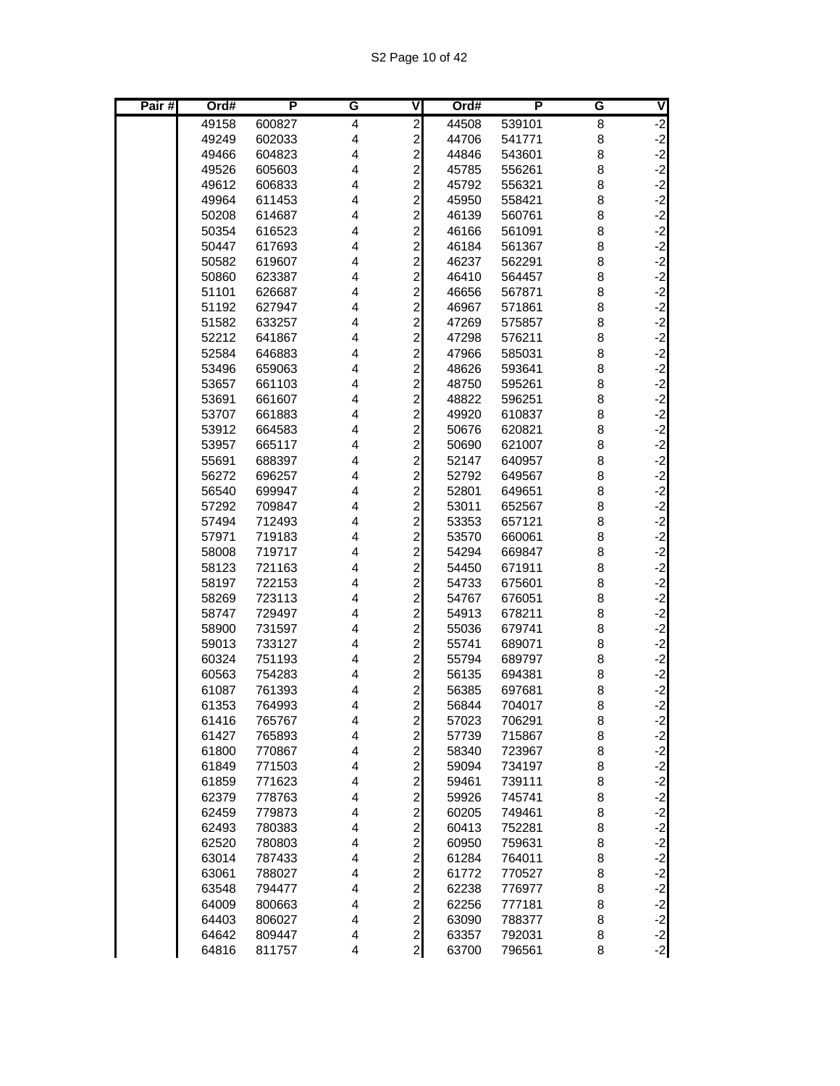| Pair# | Ord#           | P                | G      | V                                            | Ord#           | P                | G      | V                                        |
|-------|----------------|------------------|--------|----------------------------------------------|----------------|------------------|--------|------------------------------------------|
|       | 49158          | 600827           | 4      | $\overline{\mathbf{c}}$                      | 44508          | 539101           | 8      |                                          |
|       | 49249          | 602033           | 4      | $\frac{2}{2}$                                | 44706          | 541771           | 8      | $-2$<br>$-2$<br>$-2$                     |
|       | 49466          | 604823           | 4      |                                              | 44846          | 543601           | 8      |                                          |
|       | 49526          | 605603           | 4      | $\frac{2}{2}$                                | 45785          | 556261           | 8      | $-2$                                     |
|       | 49612          | 606833           | 4      |                                              | 45792          | 556321           | 8      | $-2$                                     |
|       | 49964          | 611453           | 4      | $\overline{c}$                               | 45950          | 558421           | 8      | $-2$                                     |
|       | 50208          | 614687           | 4      | $\overline{c}$                               | 46139          | 560761           | 8      | $-2$                                     |
|       | 50354          | 616523           | 4      | $\overline{c}$                               | 46166          | 561091           | 8      | $-2$                                     |
|       | 50447          | 617693           | 4      | $\frac{2}{2}$                                | 46184          | 561367           | 8      | $-2$<br>$-2$                             |
|       | 50582          | 619607           | 4      |                                              | 46237          | 562291           | 8      |                                          |
|       | 50860          | 623387           | 4      | $\overline{a}$                               | 46410          | 564457           | 8      | $-2$                                     |
|       | 51101          | 626687           | 4      | $\overline{\mathbf{c}}$                      | 46656          | 567871           | 8      | $-2$<br>$-2$                             |
|       | 51192          | 627947           | 4      | $\overline{c}$                               | 46967          | 571861           | 8      |                                          |
|       | 51582          | 633257           | 4      | $\overline{\mathbf{c}}$                      | 47269          | 575857           | 8      | $-2$                                     |
|       | 52212          | 641867           | 4      | $\overline{\mathbf{c}}$                      | 47298          | 576211           | 8      | $-2$                                     |
|       | 52584          | 646883           | 4      | $\frac{2}{2}$                                | 47966          | 585031           | 8      | $-2$<br>$-2$                             |
|       | 53496          | 659063           | 4      |                                              | 48626          | 593641           | 8      |                                          |
|       | 53657          | 661103           | 4      | $\overline{a}$                               | 48750          | 595261           | 8      | $-2$                                     |
|       | 53691          | 661607           | 4      | $\begin{array}{c} 2 \\ 2 \\ 2 \end{array}$   | 48822          | 596251           | 8      | $-2$<br>$-2$<br>$-2$                     |
|       | 53707          | 661883           | 4      |                                              | 49920          | 610837           | 8      |                                          |
|       | 53912          | 664583           | 4      |                                              | 50676          | 620821           | 8      |                                          |
|       | 53957          | 665117           | 4      | $\overline{\mathbf{c}}$                      | 50690          | 621007           | 8      | $-2$                                     |
|       | 55691          | 688397           | 4      | $\overline{c}$                               | 52147          | 640957           | 8      | $-2$<br>$-2$                             |
|       | 56272          | 696257           | 4      | $\overline{c}$                               | 52792          | 649567           | 8      |                                          |
|       | 56540          | 699947           | 4      | $\overline{c}$                               | 52801          | 649651           | 8      | $-2$                                     |
|       | 57292          | 709847           | 4      | $\overline{\mathbf{c}}$                      | 53011          | 652567           | 8      | $-2$                                     |
|       | 57494          | 712493           | 4      | $\begin{array}{c}\n2 \\ 2 \\ 2\n\end{array}$ | 53353          | 657121           | 8      | $-2$<br>$-2$                             |
|       | 57971          | 719183           | 4      |                                              | 53570          | 660061           | 8      |                                          |
|       | 58008          | 719717           | 4      |                                              | 54294          | 669847           | 8      | $-2$<br>$-2$<br>$-2$                     |
|       | 58123          | 721163           | 4      |                                              | 54450          | 671911           | 8      |                                          |
|       | 58197          | 722153           | 4      | $\overline{c}$                               | 54733          | 675601           | 8      | $-2$                                     |
|       | 58269          | 723113           | 4      | $\overline{c}$                               | 54767          | 676051           | 8      |                                          |
|       | 58747          | 729497           | 4<br>4 | $\overline{\mathbf{c}}$                      | 54913          | 678211           | 8      | $-2$                                     |
|       | 58900<br>59013 | 731597<br>733127 | 4      | $\begin{array}{c} 2 \\ 2 \\ 2 \end{array}$   | 55036<br>55741 | 679741<br>689071 | 8<br>8 | $-2$<br>$-2$<br>$-2$                     |
|       | 60324          | 751193           | 4      |                                              | 55794          | 689797           | 8      |                                          |
|       | 60563          | 754283           | 4      | $\overline{\mathbf{c}}$                      | 56135          | 694381           | 8      |                                          |
|       | 61087          | 761393           | 4      | $\overline{c}$                               | 56385          | 697681           | 8      | $\begin{bmatrix} -2 \\ -2 \end{bmatrix}$ |
|       | 61353          | 764993           | 4      | $\mathbf{z}$                                 | 56844          | 704017           | 8      | $-2$                                     |
|       | 61416          | 765767           | 4      |                                              | 57023          | 706291           | 8      | $-2$                                     |
|       | 61427          | 765893           | 4      |                                              | 57739          | 715867           | 8      |                                          |
|       | 61800          | 770867           | 4      |                                              | 58340          | 723967           | 8      |                                          |
|       | 61849          | 771503           | 4      | 222222                                       | 59094          | 734197           | 8      | یا یا یا یا یا یا                        |
|       | 61859          | 771623           | 4      |                                              | 59461          | 739111           | 8      |                                          |
|       | 62379          | 778763           | 4      |                                              | 59926          | 745741           | 8      |                                          |
|       | 62459          | 779873           | 4      |                                              | 60205          | 749461           | 8      |                                          |
|       | 62493          | 780383           | 4      | $\mathbf{2}$                                 | 60413          | 752281           | 8      | $-2$                                     |
|       | 62520          | 780803           | 4      | $\overline{a}$                               | 60950          | 759631           | 8      |                                          |
|       | 63014          | 787433           | 4      |                                              | 61284          | 764011           | 8      |                                          |
|       | 63061          | 788027           | 4      | ט ט ט ט ט ט                                  | 61772          | 770527           | 8      | یا یا یا یا یا یا یا یا                  |
|       | 63548          | 794477           | 4      |                                              | 62238          | 776977           | 8      |                                          |
|       | 64009          | 800663           | 4      |                                              | 62256          | 777181           | 8      |                                          |
|       | 64403          | 806027           | 4      |                                              | 63090          | 788377           | 8      |                                          |
|       | 64642          | 809447           | 4      |                                              | 63357          | 792031           | 8      |                                          |
|       | 64816          | 811757           | 4      |                                              | 63700          | 796561           | 8      |                                          |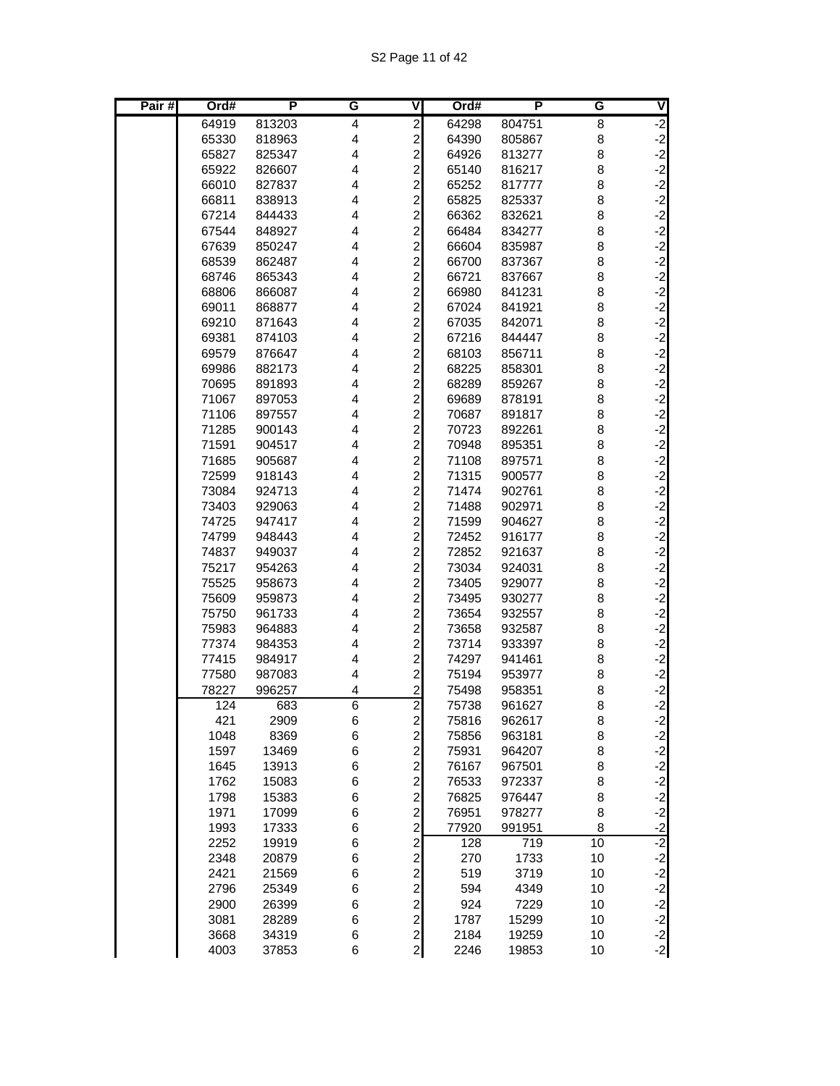S2 Page 11 of 42

| Pair# | Ord#           | P                | G      | V                                            | Ord#           | P                | G      | V                                        |
|-------|----------------|------------------|--------|----------------------------------------------|----------------|------------------|--------|------------------------------------------|
|       | 64919          | 813203           | 4      | $\overline{2}$                               | 64298          | 804751           | 8      | $-2$                                     |
|       | 65330          | 818963           | 4      | $\overline{\mathbf{c}}$                      | 64390          | 805867           | 8      | $-2$                                     |
|       | 65827          | 825347           | 4      | $\overline{c}$                               | 64926          | 813277           | 8      | $-2$                                     |
|       | 65922          | 826607           | 4      | $\overline{c}$                               | 65140          | 816217           | 8      | $-2$                                     |
|       | 66010          | 827837           | 4      | $\overline{c}$                               | 65252          | 817777           | 8      | $-2$                                     |
|       | 66811          | 838913           | 4      | $\overline{\mathbf{c}}$                      | 65825          | 825337           | 8      | $-2$                                     |
|       | 67214          | 844433           | 4      | $\begin{array}{c} 2 \\ 2 \\ 2 \end{array}$   | 66362          | 832621           | 8      | $-2$                                     |
|       | 67544          | 848927           | 4      |                                              | 66484          | 834277           | 8      | $-2$                                     |
|       | 67639          | 850247           | 4      |                                              | 66604          | 835987           | 8      | $-2$                                     |
|       | 68539          | 862487           | 4      | $\overline{a}$                               | 66700          | 837367           | 8      | $-2$                                     |
|       | 68746          | 865343           | 4      | $\overline{a}$                               | 66721          | 837667           | 8      | $-2$                                     |
|       | 68806          | 866087           | 4      | $\overline{c}$                               | 66980          | 841231           | 8      | $-2$                                     |
|       | 69011          | 868877           | 4      | $\overline{\mathbf{c}}$                      | 67024          | 841921           | 8      | $-2$                                     |
|       | 69210          | 871643           | 4<br>4 | $\overline{\mathbf{c}}$                      | 67035          | 842071           | 8      | $-2$<br>$-2$                             |
|       | 69381          | 874103           | 4      | $\begin{array}{c} 2 \\ 2 \\ 2 \end{array}$   | 67216          | 844447           | 8<br>8 |                                          |
|       | 69579<br>69986 | 876647<br>882173 | 4      |                                              | 68103<br>68225 | 856711<br>858301 | 8      | $-2$<br>$-2$                             |
|       | 70695          | 891893           | 4      | $\overline{a}$                               | 68289          | 859267           | 8      | $-2$                                     |
|       | 71067          | 897053           | 4      | $\overline{c}$                               | 69689          | 878191           | 8      | $-2$                                     |
|       | 71106          | 897557           | 4      | $\overline{c}$                               | 70687          | 891817           | 8      | $-2$                                     |
|       | 71285          | 900143           | 4      |                                              | 70723          | 892261           | 8      | $-2$                                     |
|       | 71591          | 904517           | 4      | 2222                                         | 70948          | 895351           | 8      | $-2$                                     |
|       | 71685          | 905687           | 4      |                                              | 71108          | 897571           | 8      | $-2$                                     |
|       | 72599          | 918143           | 4      |                                              | 71315          | 900577           | 8      |                                          |
|       | 73084          | 924713           | 4      |                                              | 71474          | 902761           | 8      | $-2$<br>$-2$<br>$-2$                     |
|       | 73403          | 929063           | 4      | $\overline{c}$                               | 71488          | 902971           | 8      |                                          |
|       | 74725          | 947417           | 4      | $\overline{c}$                               | 71599          | 904627           | 8      | $-2$                                     |
|       | 74799          | 948443           | 4      | $\overline{c}$                               | 72452          | 916177           | 8      | $-2$                                     |
|       | 74837          | 949037           | 4      | $\overline{\mathbf{c}}$                      | 72852          | 921637           | 8      | $-2$                                     |
|       | 75217          | 954263           | 4      | $\begin{array}{c} 2 \\ 2 \\ 2 \end{array}$   | 73034          | 924031           | 8      | $-2$                                     |
|       | 75525          | 958673           | 4      |                                              | 73405          | 929077           | 8      | $-2$                                     |
|       | 75609          | 959873           | 4      |                                              | 73495          | 930277           | 8      | $-2$                                     |
|       | 75750          | 961733           | 4      | $\overline{a}$                               | 73654          | 932557           | 8      | $-2$                                     |
|       | 75983          | 964883           | 4      | $\overline{c}$                               | 73658          | 932587           | 8      | $-2$                                     |
|       | 77374          | 984353           | 4      | $\overline{c}$                               | 73714          | 933397           | 8      | $-2$                                     |
|       | 77415          | 984917           | 4      | $\overline{c}$                               | 74297          | 941461           | 8      | $-2$                                     |
|       | 77580          | 987083           | 4      | $\overline{c}$                               | 75194          | 953977           | 8      | $-2$                                     |
|       | 78227          | 996257           | 4      | $\overline{c}$                               | 75498          | 958351           | 8      | $\begin{bmatrix} -2 \\ -2 \end{bmatrix}$ |
|       | 124            | 683              | 6      | $\overline{2}$                               | 75738          | 961627           | 8      |                                          |
|       | 421<br>1048    | 2909<br>8369     | 6<br>6 | $\begin{array}{c} 2 \\ 2 \\ 2 \end{array}$   | 75816<br>75856 | 962617<br>963181 | 8<br>8 | $-2$                                     |
|       | 1597           | 13469            | 6      |                                              | 75931          | 964207           | 8      | $-2$<br>$-2$                             |
|       | 1645           | 13913            | 6      |                                              | 76167          | 967501           | 8      | $-2$                                     |
|       | 1762           | 15083            | 6      | $\frac{2}{2}$                                | 76533          | 972337           | 8      | $-2$                                     |
|       | 1798           | 15383            | 6      |                                              | 76825          | 976447           | 8      |                                          |
|       | 1971           | 17099            | 6      |                                              | 76951          | 978277           | 8      |                                          |
|       | 1993           | 17333            | 6      |                                              | 77920          | 991951           | 8      | $-2$<br>$-2$<br>$-2$                     |
|       | 2252           | 19919            | 6      | $\begin{array}{c}\n2 \\ 2 \\ 2\n\end{array}$ | 128            | 719              | 10     | $-2$                                     |
|       | 2348           | 20879            | 6      |                                              | 270            | 1733             | 10     |                                          |
|       | 2421           | 21569            | 6      | <b>2222222</b>                               | 519            | 3719             | 10     | $-2$<br>$-2$<br>$-2$                     |
|       | 2796           | 25349            | 6      |                                              | 594            | 4349             | 10     |                                          |
|       | 2900           | 26399            | 6      |                                              | 924            | 7229             | 10     | $-2$                                     |
|       | 3081           | 28289            | 6      |                                              | 1787           | 15299            | 10     | $-2$<br>$-2$<br>$-2$                     |
|       | 3668           | 34319            | 6      |                                              | 2184           | 19259            | 10     |                                          |
|       | 4003           | 37853            | 6      |                                              | 2246           | 19853            | 10     |                                          |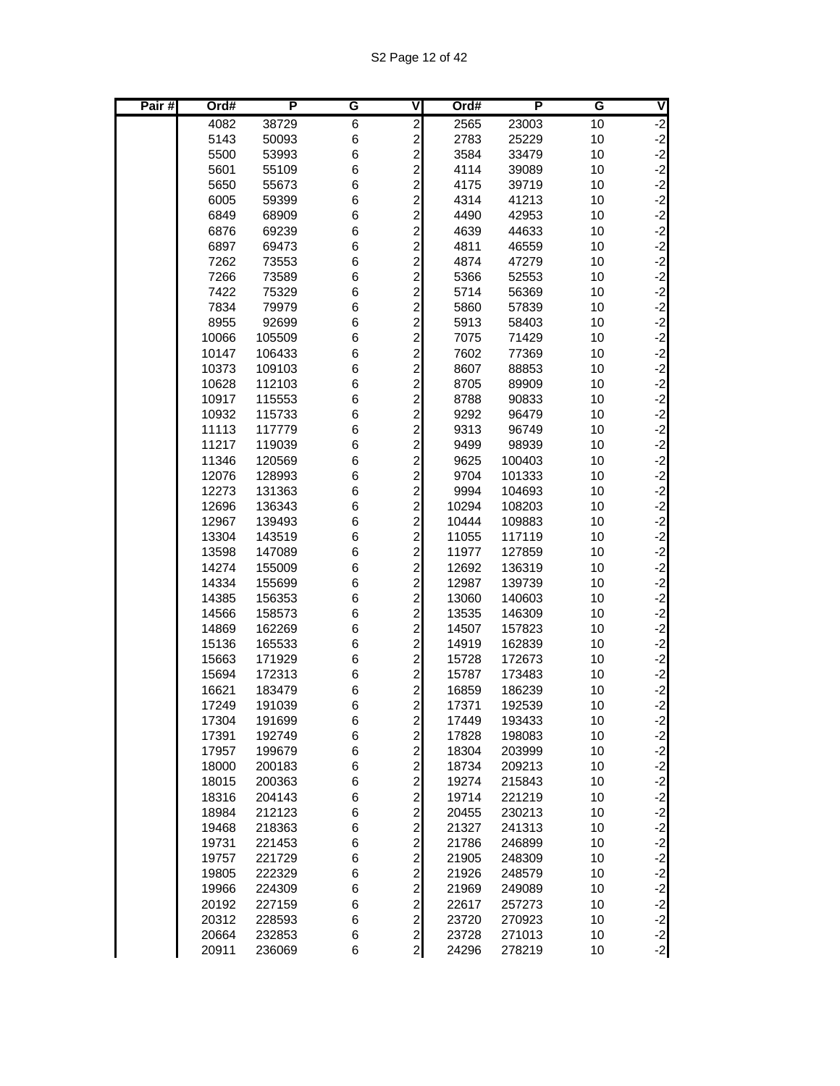| Pair# | Ord#           | P                | G      | V                            | Ord#           | P                | G        | V                                        |
|-------|----------------|------------------|--------|------------------------------|----------------|------------------|----------|------------------------------------------|
|       | 4082           | 38729            | 6      | $\overline{\mathbf{c}}$      | 2565           | 23003            | 10       | $-2$                                     |
|       | 5143           | 50093            | 6      | $\overline{a}$               | 2783           | 25229            | 10       | $-2$<br>$-2$                             |
|       | 5500           | 53993            | 6      | $\overline{a}$               | 3584           | 33479            | 10       |                                          |
|       | 5601           | 55109            | 6      | $\overline{a}$               | 4114           | 39089            | 10       | $-2$                                     |
|       | 5650           | 55673            | 6      | $\overline{a}$               | 4175           | 39719            | 10       | $-2$                                     |
|       | 6005           | 59399            | 6      | $\overline{a}$               | 4314           | 41213            | 10       | $-2$                                     |
|       | 6849           | 68909            | 6      | $\overline{a}$               | 4490           | 42953            | 10       | $-2$                                     |
|       | 6876           | 69239            | 6      | $\overline{a}$               | 4639           | 44633            | 10       | $-2$                                     |
|       | 6897           | 69473            | 6      | $\overline{c}$               | 4811           | 46559            | 10       | $-2$                                     |
|       | 7262           | 73553            | 6      | $\overline{a}$               | 4874           | 47279            | 10       | $-2$                                     |
|       | 7266           | 73589            | 6      | $\overline{a}$               | 5366           | 52553            | 10       | $-2$                                     |
|       | 7422           | 75329            | 6      | $\mathbf{z}$                 | 5714           | 56369            | 10       | $-2$                                     |
|       | 7834           | 79979            | 6      | $\overline{a}$               | 5860           | 57839            | 10       | $-2$                                     |
|       | 8955           | 92699            | 6      | $\overline{c}$               | 5913           | 58403            | 10       | $-2$                                     |
|       | 10066          | 105509           | 6      | $\overline{\mathbf{c}}$      | 7075           | 71429            | 10       | $-2$                                     |
|       | 10147          | 106433           | 6      | $\overline{\mathbf{c}}$      | 7602           | 77369            | 10       | $\begin{bmatrix} -2 \\ -2 \end{bmatrix}$ |
|       | 10373          | 109103           | 6      | $\overline{a}$               | 8607           | 88853            | 10       |                                          |
|       | 10628          | 112103           | 6      | $\overline{a}$               | 8705           | 89909            | 10       | $-2$                                     |
|       | 10917          | 115553           | 6      | $\mathbf{2}$                 | 8788<br>9292   | 90833            | 10       | $-2$                                     |
|       | 10932<br>11113 | 115733<br>117779 | 6<br>6 | $\frac{2}{2}$                | 9313           | 96479<br>96749   | 10<br>10 | $\begin{bmatrix} -2 \\ -2 \end{bmatrix}$ |
|       | 11217          | 119039           | 6      | $\overline{a}$               | 9499           | 98939            | 10       | $-2$                                     |
|       | 11346          | 120569           | 6      | $\overline{\mathbf{c}}$      | 9625           | 100403           | 10       |                                          |
|       | 12076          | 128993           | 6      | $\overline{a}$               | 9704           | 101333           | 10       | $-2$<br>$-2$                             |
|       | 12273          | 131363           | 6      | $\overline{a}$               | 9994           | 104693           | 10       | $-2$                                     |
|       | 12696          | 136343           | 6      | $\overline{c}$               | 10294          | 108203           | 10       | $-2$                                     |
|       | 12967          | 139493           | 6      | $\overline{\mathbf{c}}$      | 10444          | 109883           | 10       | $-2$                                     |
|       | 13304          | 143519           | 6      | $\overline{\mathbf{c}}$      | 11055          | 117119           | 10       | $-2$                                     |
|       | 13598          | 147089           | 6      | $\overline{\mathbf{c}}$      | 11977          | 127859           | 10       | $-2$                                     |
|       | 14274          | 155009           | 6      | $\overline{\mathbf{c}}$      | 12692          | 136319           | 10       |                                          |
|       | 14334          | 155699           | 6      | $\overline{c}$               | 12987          | 139739           | 10       | $-2$<br>$-2$                             |
|       | 14385          | 156353           | 6      | $\overline{a}$               | 13060          | 140603           | 10       | $-2$                                     |
|       | 14566          | 158573           | 6      | $\overline{c}$               | 13535          | 146309           | 10       | $-2$                                     |
|       | 14869          | 162269           | 6      | $\overline{\mathbf{c}}$      | 14507          | 157823           | 10       | $-2$                                     |
|       | 15136          | 165533           | 6      | $\overline{\mathbf{c}}$      | 14919          | 162839           | 10       | $-2$                                     |
|       | 15663          | 171929           | 6      | $\overline{\mathbf{c}}$      | 15728          | 172673           | 10       | $-2$                                     |
|       | 15694          | 172313           | 6      | $\overline{\mathbf{c}}$      | 15787          | 173483           | 10       | $\begin{bmatrix} -2 \\ -2 \end{bmatrix}$ |
|       | 16621          | 183479           | 6      | $\overline{\mathbf{c}}$      | 16859          | 186239           | 10       |                                          |
|       | 17249          | 191039           | 6      | $\mathsf{2}$                 | 17371          | 192539           | 10       | $-2$                                     |
|       | 17304          | 191699           | 6      | $\mathbf{2}$                 | 17449          | 193433           | 10       | $-2$                                     |
|       | 17391          | 192749           | 6      | $\mathbf{2}$                 | 17828          | 198083           | 10       |                                          |
|       | 17957          | 199679           | 6      | $\mathbf{2}$                 | 18304          | 203999           | 10       |                                          |
|       | 18000          | 200183           | 6      | $\overline{c}$               | 18734          | 209213           | 10       | دا دا دا دا دا دا                        |
|       | 18015          | 200363           | 6      | $\overline{a}$               | 19274          | 215843           | 10       |                                          |
|       | 18316          | 204143           | 6      | $\frac{2}{2}$                | 19714          | 221219           | 10       |                                          |
|       | 18984          | 212123           | 6      |                              | 20455          | 230213           | 10       |                                          |
|       | 19468          | 218363           | 6      | $\overline{c}$               | 21327          | 241313           | 10       | $-2$                                     |
|       | 19731          | 221453           | 6      | $\mathbf{2}$                 | 21786          | 246899           | 10       |                                          |
|       | 19757<br>19805 | 221729           | 6      | $\mathbf{2}$                 | 21905          | 248309           | 10       | $-2$<br>$-2$<br>$-2$                     |
|       | 19966          | 222329<br>224309 | 6<br>6 | $\mathbf{2}$<br>$\mathbf{2}$ | 21926<br>21969 | 248579<br>249089 | 10<br>10 |                                          |
|       | 20192          | 227159           | 6      | $\overline{a}$               | 22617          | 257273           | 10       |                                          |
|       | 20312          | 228593           | 6      | $\mathbf{2}$                 | 23720          | 270923           | 10       | $-2$<br>$-2$<br>$-2$                     |
|       | 20664          | 232853           | 6      | $\overline{2}$               | 23728          | 271013           | 10       |                                          |
|       | 20911          | 236069           | 6      | $\mathbf{2}$                 | 24296          | 278219           | 10       | $-2$<br>$-2$                             |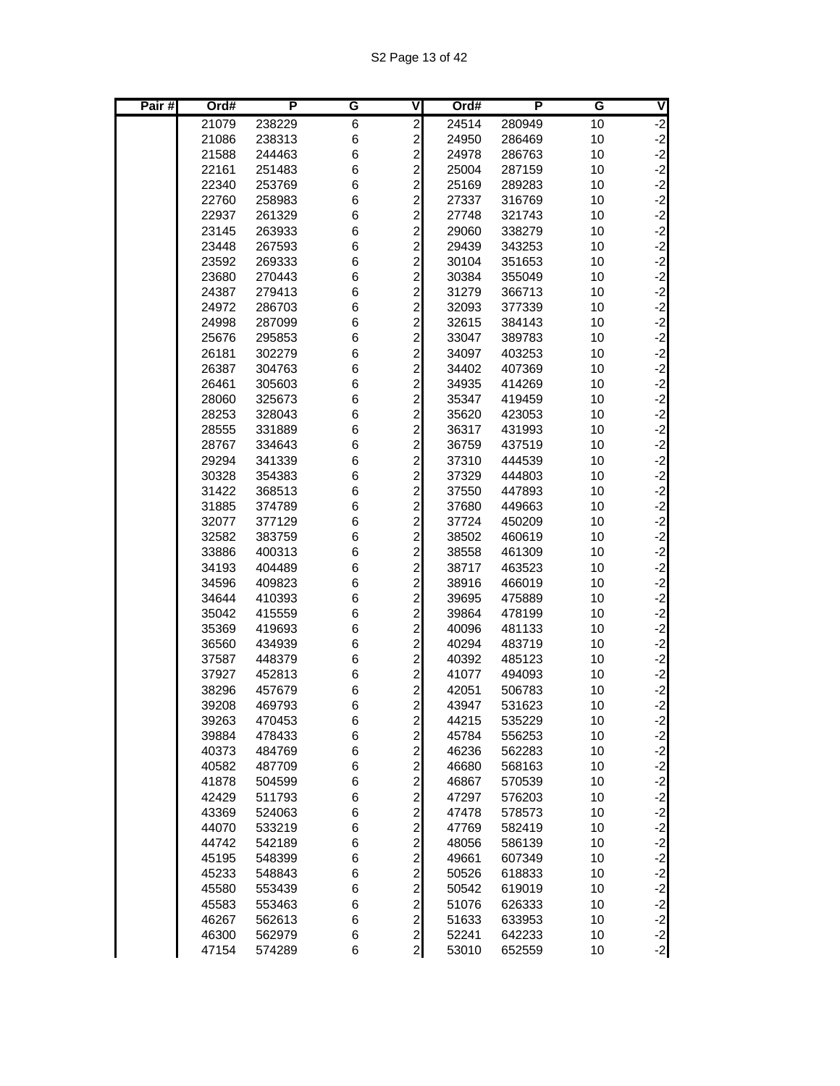| Pair# | Ord#           | P                | G      | ۷                                         | Ord#           | P                | G        | V                                        |
|-------|----------------|------------------|--------|-------------------------------------------|----------------|------------------|----------|------------------------------------------|
|       | 21079          | 238229           | 6      | $\overline{\mathbf{c}}$                   | 24514          | 280949           | 10       |                                          |
|       | 21086          | 238313           | 6      | $\overline{\mathbf{c}}$                   | 24950          | 286469           | 10       | $-2$<br>$-2$<br>$-2$                     |
|       | 21588          | 244463           | 6      | $\overline{c}$                            | 24978          | 286763           | 10       |                                          |
|       | 22161          | 251483           | 6      | $\overline{\mathbf{c}}$                   | 25004          | 287159           | 10       | $-2$                                     |
|       | 22340          | 253769           | 6      | $\overline{\mathbf{c}}$                   | 25169          | 289283           | 10       | $-2$                                     |
|       | 22760          | 258983           | 6      | $\overline{\mathbf{c}}$                   | 27337          | 316769           | 10       | $-2$                                     |
|       | 22937          | 261329           | 6      | $\overline{\mathbf{c}}$                   | 27748          | 321743           | 10       | $-2$                                     |
|       | 23145          | 263933           | 6      | $\overline{\mathbf{c}}$                   | 29060          | 338279           | 10       | $-2$                                     |
|       | 23448          | 267593           | 6      | $\overline{\mathbf{c}}$                   | 29439          | 343253           | 10       | $-2$<br>$-2$                             |
|       | 23592          | 269333           | 6      | $\overline{c}$                            | 30104          | 351653           | 10       |                                          |
|       | 23680          | 270443           | 6      | $\overline{\mathbf{c}}$                   | 30384          | 355049           | 10       | $-2$                                     |
|       | 24387          | 279413           | 6      | $\overline{\mathbf{c}}$                   | 31279          | 366713           | 10       | $-2$<br>$-2$                             |
|       | 24972          | 286703           | 6      | $\overline{\mathbf{c}}$                   | 32093          | 377339           | 10       |                                          |
|       | 24998          | 287099           | 6      | $\overline{\mathbf{c}}$                   | 32615          | 384143           | 10       | $-2$                                     |
|       | 25676          | 295853           | 6      | $\overline{\mathbf{c}}$                   | 33047          | 389783           | 10       | $-2$                                     |
|       | 26181          | 302279           | 6      | $\overline{\mathbf{c}}$                   | 34097          | 403253           | 10       | $-2$<br>$-2$                             |
|       | 26387          | 304763           | 6      | $\overline{\mathbf{c}}$                   | 34402          | 407369           | 10       |                                          |
|       | 26461          | 305603           | 6      | $\overline{\mathbf{c}}$                   | 34935          | 414269           | 10       | $-2$                                     |
|       | 28060          | 325673           | 6      | $\overline{\mathbf{c}}$                   | 35347          | 419459           | 10       | $-2$                                     |
|       | 28253          | 328043           | 6      | $\overline{\mathbf{c}}$                   | 35620          | 423053           | 10       | $-2$<br>$-2$                             |
|       | 28555          | 331889           | 6      | $\overline{c}$                            | 36317          | 431993           | 10       |                                          |
|       | 28767          | 334643           | 6      | $\overline{c}$                            | 36759          | 437519           | 10       | $-2$                                     |
|       | 29294          | 341339           | 6      | $\overline{\mathbf{c}}$                   | 37310          | 444539           | 10       | $-2$<br>$-2$                             |
|       | 30328          | 354383           | 6      | $\overline{c}$                            | 37329          | 444803           | 10       |                                          |
|       | 31422          | 368513           | 6      | $\overline{c}$                            | 37550          | 447893           | 10       | $-2$                                     |
|       | 31885          | 374789           | 6      | $\overline{\mathbf{c}}$                   | 37680          | 449663           | 10       |                                          |
|       | 32077          | 377129           | 6      | $\overline{\mathbf{c}}$                   | 37724          | 450209           | 10       | $-2$<br>$-2$<br>$-2$                     |
|       | 32582          | 383759           | 6      | $\overline{\mathbf{c}}$                   | 38502          | 460619           | 10       |                                          |
|       | 33886          | 400313           | 6      | $\overline{\mathbf{c}}$<br>$\overline{a}$ | 38558          | 461309           | 10       | $-2$<br>$-2$<br>$-2$                     |
|       | 34193          | 404489           | 6      | $\overline{c}$                            | 38717          | 463523           | 10       |                                          |
|       | 34596          | 409823           | 6<br>6 | $\overline{c}$                            | 38916          | 466019           | 10       | $-2$                                     |
|       | 34644          | 410393           |        | $\overline{\mathbf{c}}$                   | 39695          | 475889           | 10       | $-2$                                     |
|       | 35042<br>35369 | 415559<br>419693 | 6<br>6 | $\overline{\mathbf{c}}$                   | 39864<br>40096 | 478199           | 10<br>10 |                                          |
|       | 36560          | 434939           | 6      | $\overline{\mathbf{c}}$                   | 40294          | 481133<br>483719 | 10       | $-2$<br>$-2$<br>$-2$                     |
|       | 37587          | 448379           | 6      | $\overline{\mathbf{c}}$                   | 40392          | 485123           | 10       |                                          |
|       | 37927          | 452813           | 6      | $\overline{\mathbf{c}}$                   | 41077          | 494093           | 10       |                                          |
|       | 38296          | 457679           | 6      | $\overline{\mathbf{c}}$                   | 42051          | 506783           | 10       | $\begin{bmatrix} -2 \\ -2 \end{bmatrix}$ |
|       | 39208          | 469793           | 6      | $\overline{a}$                            | 43947          | 531623           | 10       | $-2$                                     |
|       | 39263          | 470453           | 6      | $\mathbf{2}$                              | 44215          | 535229           | 10       | $-2$                                     |
|       | 39884          | 478433           | 6      | $\overline{a}$                            | 45784          | 556253           | 10       |                                          |
|       | 40373          | 484769           | 6      |                                           | 46236          | 562283           | 10       | دا دا دا دا دا دا                        |
|       | 40582          | 487709           | 6      | $\frac{2}{2}$                             | 46680          | 568163           | 10       |                                          |
|       | 41878          | 504599           | 6      | $\overline{\mathbf{c}}$                   | 46867          | 570539           | 10       |                                          |
|       | 42429          | 511793           | 6      |                                           | 47297          | 576203           | 10       |                                          |
|       | 43369          | 524063           | 6      | $\frac{2}{2}$                             | 47478          | 578573           | 10       |                                          |
|       | 44070          | 533219           | 6      | $\overline{a}$                            | 47769          | 582419           | 10       | $-2$                                     |
|       | 44742          | 542189           | 6      | $\overline{a}$                            | 48056          | 586139           | 10       |                                          |
|       | 45195          | 548399           | 6      | $\overline{\mathbf{c}}$                   | 49661          | 607349           | 10       |                                          |
|       | 45233          | 548843           | 6      | $\overline{\mathbf{c}}$                   | 50526          | 618833           | 10       | $-2$<br>$-2$<br>$-2$                     |
|       | 45580          | 553439           | 6      | $\overline{\mathbf{c}}$                   | 50542          | 619019           | 10       |                                          |
|       | 45583          | 553463           | 6      | $\overline{\mathbf{c}}$                   | 51076          | 626333           | 10       | $-2$<br>$-2$<br>$-2$                     |
|       | 46267          | 562613           | 6      | $\overline{c}$                            | 51633          | 633953           | 10       |                                          |
|       | 46300          | 562979           | 6      | $\frac{2}{2}$                             | 52241          | 642233           | 10       | $-2$<br>$-2$                             |
|       | 47154          | 574289           | 6      |                                           | 53010          | 652559           | 10       |                                          |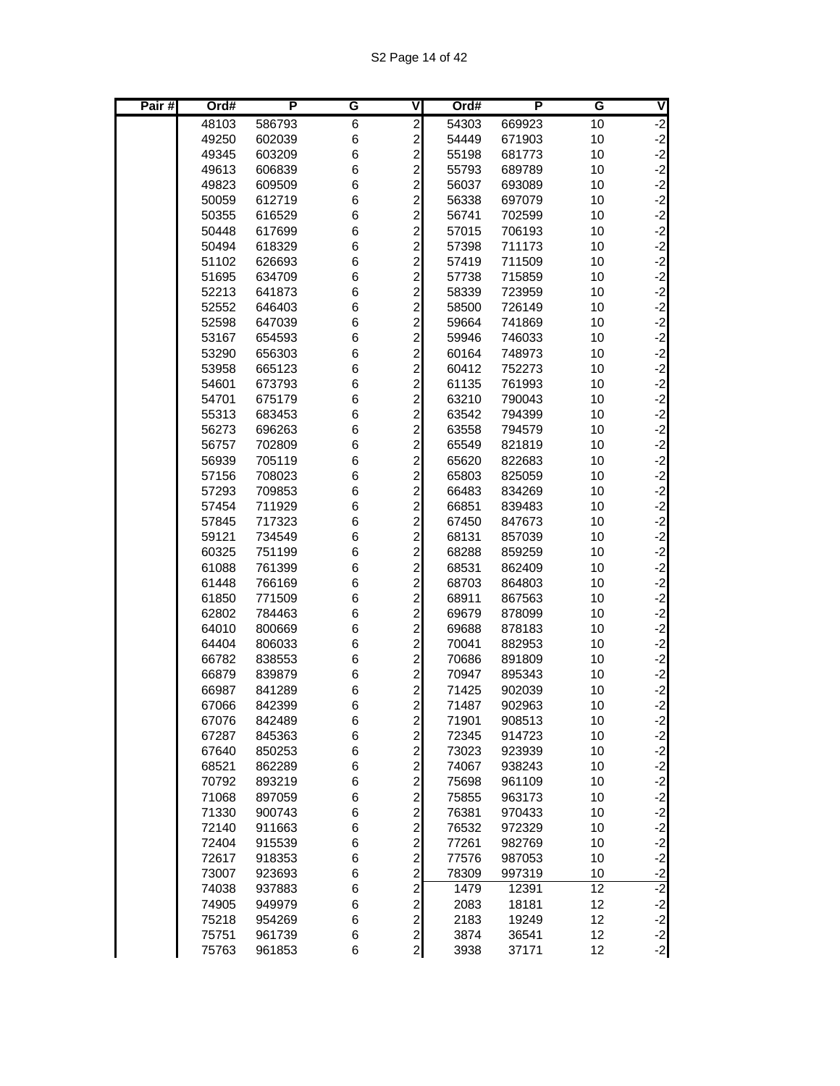| Pair# | Ord#  | P      | G | ۷                       | Ord#  | P      | G  | V                                        |
|-------|-------|--------|---|-------------------------|-------|--------|----|------------------------------------------|
|       | 48103 | 586793 | 6 | $\overline{\mathbf{c}}$ | 54303 | 669923 | 10 | $-2$                                     |
|       | 49250 | 602039 | 6 | $\overline{c}$          | 54449 | 671903 | 10 |                                          |
|       | 49345 | 603209 | 6 | $\overline{c}$          | 55198 | 681773 | 10 | $\begin{bmatrix} -2 \\ -2 \end{bmatrix}$ |
|       | 49613 | 606839 | 6 | $\overline{c}$          | 55793 | 689789 | 10 | $-2$                                     |
|       | 49823 | 609509 | 6 | $\overline{c}$          | 56037 | 693089 | 10 | $-2$                                     |
|       | 50059 | 612719 | 6 | $\overline{\mathbf{c}}$ | 56338 | 697079 | 10 | $-2$                                     |
|       | 50355 | 616529 | 6 | $\overline{c}$          | 56741 | 702599 | 10 | $-2$                                     |
|       | 50448 | 617699 | 6 |                         | 57015 | 706193 | 10 | $-2$                                     |
|       | 50494 | 618329 | 6 | $\frac{2}{2}$           | 57398 | 711173 | 10 | $-2$<br>$-2$                             |
|       | 51102 | 626693 | 6 | $\overline{c}$          | 57419 | 711509 | 10 |                                          |
|       | 51695 | 634709 | 6 | $\overline{a}$          | 57738 | 715859 | 10 | $-2$                                     |
|       | 52213 | 641873 | 6 | $\overline{a}$          | 58339 | 723959 | 10 | $-2$                                     |
|       | 52552 | 646403 | 6 | $\overline{\mathbf{c}}$ | 58500 | 726149 | 10 | $-2$                                     |
|       | 52598 | 647039 | 6 | $\overline{\mathbf{c}}$ | 59664 | 741869 | 10 | $-2$                                     |
|       | 53167 | 654593 | 6 | $\overline{\mathbf{c}}$ | 59946 | 746033 | 10 | $-2$                                     |
|       | 53290 | 656303 | 6 | $\overline{\mathbf{c}}$ | 60164 | 748973 | 10 |                                          |
|       | 53958 | 665123 | 6 | $\overline{c}$          | 60412 | 752273 | 10 | $\begin{bmatrix} -2 \\ -2 \end{bmatrix}$ |
|       | 54601 | 673793 | 6 | $\overline{a}$          | 61135 | 761993 | 10 | $-2$                                     |
|       | 54701 | 675179 | 6 | $\overline{a}$          | 63210 | 790043 | 10 | $-2$                                     |
|       | 55313 | 683453 | 6 | $\overline{a}$          | 63542 | 794399 | 10 | $-2$                                     |
|       | 56273 | 696263 | 6 | $\overline{\mathbf{c}}$ | 63558 | 794579 | 10 | $-2$                                     |
|       | 56757 | 702809 | 6 | $\overline{\mathbf{c}}$ | 65549 | 821819 | 10 | $-2$                                     |
|       | 56939 | 705119 | 6 | $\overline{\mathbf{c}}$ | 65620 | 822683 | 10 |                                          |
|       | 57156 | 708023 | 6 | $\overline{\mathbf{c}}$ | 65803 | 825059 | 10 | $-2$<br>$-2$<br>$-2$                     |
|       | 57293 | 709853 | 6 | $\overline{c}$          | 66483 | 834269 | 10 |                                          |
|       | 57454 | 711929 | 6 | $\overline{a}$          | 66851 | 839483 | 10 | $-2$                                     |
|       | 57845 | 717323 | 6 | $\overline{a}$          | 67450 | 847673 | 10 | $-2$                                     |
|       | 59121 | 734549 | 6 | $\overline{\mathbf{c}}$ | 68131 | 857039 | 10 | $-2$                                     |
|       | 60325 | 751199 | 6 | $\overline{c}$          | 68288 | 859259 | 10 | $-2$                                     |
|       | 61088 | 761399 | 6 | $\overline{\mathbf{c}}$ | 68531 | 862409 | 10 |                                          |
|       | 61448 | 766169 | 6 | $\overline{a}$          | 68703 | 864803 | 10 | $-2$<br>$-2$                             |
|       | 61850 | 771509 | 6 | $\overline{\mathbf{c}}$ | 68911 | 867563 | 10 | $-2$                                     |
|       | 62802 | 784463 | 6 | $\overline{a}$          | 69679 | 878099 | 10 | $-2$                                     |
|       | 64010 | 800669 | 6 | $\overline{c}$          | 69688 | 878183 | 10 | $-2$                                     |
|       | 64404 | 806033 | 6 | $\overline{c}$          | 70041 | 882953 | 10 | $-2$                                     |
|       | 66782 | 838553 | 6 | $\overline{c}$          | 70686 | 891809 | 10 | $-2$                                     |
|       | 66879 | 839879 | 6 | $\overline{\mathbf{c}}$ | 70947 | 895343 | 10 | $-2$                                     |
|       | 66987 | 841289 | 6 | $\overline{\mathbf{c}}$ | 71425 | 902039 | 10 |                                          |
|       | 67066 | 842399 | 6 | $\overline{2}$          | 71487 | 902963 | 10 | $\begin{bmatrix} -2 \\ -2 \end{bmatrix}$ |
|       | 67076 | 842489 | 6 | $\overline{\mathbf{c}}$ | 71901 | 908513 | 10 | $-2$                                     |
|       | 67287 | 845363 | 6 | $\overline{a}$          | 72345 | 914723 | 10 |                                          |
|       | 67640 | 850253 | 6 | $\overline{a}$          | 73023 | 923939 | 10 | $-2$<br>$-2$<br>$-2$                     |
|       | 68521 | 862289 | 6 | $\overline{a}$          | 74067 | 938243 | 10 |                                          |
|       | 70792 | 893219 | 6 | $\overline{a}$          | 75698 | 961109 | 10 | $-2$                                     |
|       | 71068 | 897059 | 6 |                         | 75855 | 963173 | 10 |                                          |
|       | 71330 | 900743 | 6 | $\frac{2}{2}$           | 76381 | 970433 | 10 | $-2$<br>$-2$                             |
|       | 72140 | 911663 | 6 | $\overline{a}$          | 76532 | 972329 | 10 | $-2$                                     |
|       | 72404 | 915539 | 6 | $\overline{a}$          | 77261 | 982769 | 10 | $-2$                                     |
|       | 72617 | 918353 | 6 |                         | 77576 | 987053 | 10 | $-2$                                     |
|       | 73007 | 923693 | 6 | $\frac{2}{2}$           | 78309 | 997319 | 10 |                                          |
|       | 74038 | 937883 | 6 | $\overline{a}$          | 1479  | 12391  | 12 | $\frac{-2}{-2}$                          |
|       | 74905 | 949979 | 6 | $\overline{a}$          | 2083  | 18181  | 12 |                                          |
|       | 75218 | 954269 | 6 | $\overline{a}$          | 2183  | 19249  | 12 | $\begin{bmatrix} -2 \\ -2 \end{bmatrix}$ |
|       | 75751 | 961739 | 6 | $\mathbf{2}$            | 3874  | 36541  | 12 | $-2$                                     |
|       | 75763 | 961853 | 6 | $\overline{a}$          | 3938  | 37171  | 12 | $-2$                                     |
|       |       |        |   |                         |       |        |    |                                          |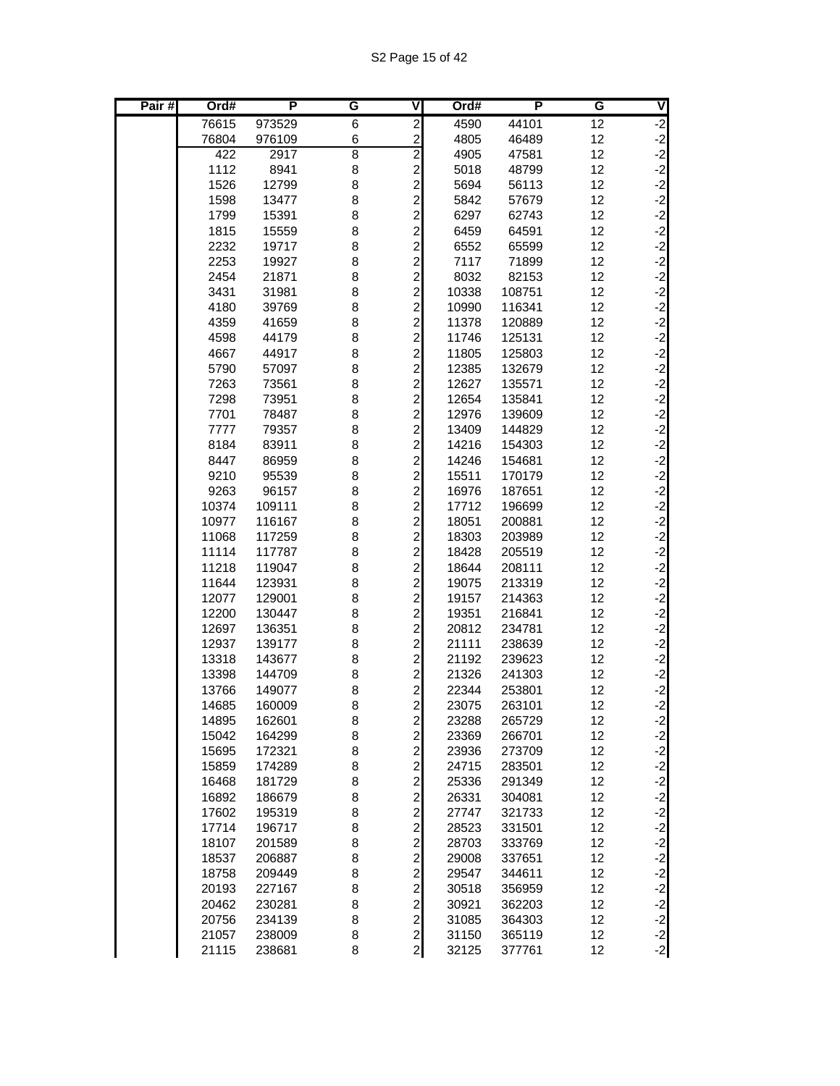| Pair# | Ord#           | P                | G              | V                                | Ord#           | P                | G        | V                                        |
|-------|----------------|------------------|----------------|----------------------------------|----------------|------------------|----------|------------------------------------------|
|       | 76615          | 973529           | 6              | $\overline{\mathbf{c}}$          | 4590           | 44101            | 12       | $-2$                                     |
|       | 76804          | 976109           | 6              | $\overline{c}$                   | 4805           | 46489            | 12       | $-2$                                     |
|       | 422            | 2917             | $\overline{8}$ | $\overline{2}$                   | 4905           | 47581            | 12       | $-2$                                     |
|       | 1112           | 8941             | 8              | $\overline{c}$                   | 5018           | 48799            | 12       | $-2$                                     |
|       | 1526           | 12799            | 8              | $\overline{\mathbf{c}}$          | 5694           | 56113            | 12       | $-2$                                     |
|       | 1598           | 13477            | 8              | $\overline{c}$                   | 5842           | 57679            | 12       | $-2$                                     |
|       | 1799           | 15391            | 8              | $\overline{\mathbf{c}}$          | 6297           | 62743            | 12       | $-2$                                     |
|       | 1815<br>2232   | 15559<br>19717   | 8<br>8         | $\overline{c}$<br>$\overline{c}$ | 6459<br>6552   | 64591<br>65599   | 12<br>12 | $-2$<br>$-2$                             |
|       | 2253           | 19927            | 8              | $\overline{c}$                   | 7117           | 71899            | 12       | $-2$                                     |
|       | 2454           | 21871            | 8              | $\overline{c}$                   | 8032           | 82153            | 12       | $-2$                                     |
|       | 3431           | 31981            | 8              | $\overline{\mathbf{c}}$          | 10338          | 108751           | 12       | $-2$                                     |
|       | 4180           | 39769            | 8              | $\overline{c}$                   | 10990          | 116341           | 12       | $-2$                                     |
|       | 4359           | 41659            | 8              | $\overline{c}$                   | 11378          | 120889           | 12       | $-2$                                     |
|       | 4598           | 44179            | 8              | $\overline{c}$                   | 11746          | 125131           | 12       | $-2$                                     |
|       | 4667           | 44917            | 8              | $\overline{\mathbf{c}}$          | 11805          | 125803           | 12       | $-2$                                     |
|       | 5790           | 57097            | 8              | $\overline{c}$                   | 12385          | 132679           | 12       | $-2$                                     |
|       | 7263           | 73561            | 8              | $\overline{c}$                   | 12627          | 135571           | 12       | $-2$                                     |
|       | 7298           | 73951            | 8              | $\overline{\mathbf{c}}$          | 12654          | 135841           | 12       | $-2$                                     |
|       | 7701           | 78487            | 8              | $\overline{\mathbf{c}}$          | 12976          | 139609           | 12       | $\begin{bmatrix} -2 \\ -2 \end{bmatrix}$ |
|       | 7777           | 79357            | 8              | $\overline{c}$                   | 13409          | 144829           | 12       |                                          |
|       | 8184           | 83911            | 8              | $\overline{\mathbf{c}}$          | 14216          | 154303           | 12       | $-2$                                     |
|       | 8447           | 86959            | 8              | $\overline{c}$                   | 14246          | 154681           | 12       | $-2$                                     |
|       | 9210           | 95539            | 8              | $\overline{c}$                   | 15511          | 170179           | 12       | $-2$                                     |
|       | 9263           | 96157            | 8              | $\overline{c}$                   | 16976          | 187651           | 12       | $-2$                                     |
|       | 10374          | 109111           | 8              | $\overline{\mathbf{c}}$          | 17712          | 196699           | 12       | $-2$                                     |
|       | 10977          | 116167           | 8              | $\overline{c}$                   | 18051          | 200881           | 12       | $-2$                                     |
|       | 11068          | 117259           | 8              | $\overline{c}$<br>$\overline{c}$ | 18303          | 203989           | 12       | $-2$<br>$-2$                             |
|       | 11114<br>11218 | 117787<br>119047 | 8<br>8         | $\overline{c}$                   | 18428<br>18644 | 205519<br>208111 | 12<br>12 | $-2$                                     |
|       | 11644          | 123931           | 8              | $\overline{c}$                   | 19075          | 213319           | 12       | $-2$                                     |
|       | 12077          | 129001           | 8              | $\overline{c}$                   | 19157          | 214363           | 12       | $-2$                                     |
|       | 12200          | 130447           | 8              | $\overline{\mathbf{c}}$          | 19351          | 216841           | 12       | $-2$                                     |
|       | 12697          | 136351           | 8              | $\overline{\mathbf{c}}$          | 20812          | 234781           | 12       | $-2$                                     |
|       | 12937          | 139177           | 8              | $\overline{\mathbf{c}}$          | 21111          | 238639           | 12       | $-2$                                     |
|       | 13318          | 143677           | 8              | $\overline{c}$                   | 21192          | 239623           | 12       | $-2$                                     |
|       | 13398          | 144709           | 8              | $\overline{\mathbf{c}}$          | 21326          | 241303           | 12       |                                          |
|       | 13766          | 149077           | 8              | $\overline{\mathbf{c}}$          | 22344          | 253801           | 12       | $\begin{bmatrix} -2 \\ -2 \end{bmatrix}$ |
|       | 14685          | 160009           | 8              | $\overline{a}$                   | 23075          | 263101           | 12       | $-2$                                     |
|       | 14895          | 162601           | 8              | $\mathbf{2}$                     | 23288          | 265729           | 12       | $-2$                                     |
|       | 15042          | 164299           | 8              | $\overline{c}$                   | 23369          | 266701           | 12       |                                          |
|       | 15695          | 172321           | 8              | $\overline{a}$                   | 23936          | 273709           | 12       | یا یا یا یا یا یا                        |
|       | 15859          | 174289           | 8              | $\overline{a}$                   | 24715          | 283501           | 12       |                                          |
|       | 16468          | 181729           | 8              | $\overline{\mathbf{c}}$          | 25336          | 291349           | 12       |                                          |
|       | 16892          | 186679           | 8              | $\frac{2}{2}$                    | 26331          | 304081           | 12       |                                          |
|       | 17602          | 195319           | 8              |                                  | 27747          | 321733           | 12       |                                          |
|       | 17714          | 196717           | 8<br>8         | $\mathbf{2}$<br>$\overline{a}$   | 28523          | 331501           | 12<br>12 | $-2$                                     |
|       | 18107<br>18537 | 201589<br>206887 | 8              | $\overline{a}$                   | 28703<br>29008 | 333769           | 12       | $-2$                                     |
|       | 18758          | 209449           | 8              | $\overline{c}$                   | 29547          | 337651<br>344611 | 12       | $-2$<br>$-2$                             |
|       | 20193          | 227167           | 8              | $\overline{\mathbf{c}}$          | 30518          | 356959           | 12       |                                          |
|       | 20462          | 230281           | 8              |                                  | 30921          | 362203           | 12       | $-2$<br>$-2$                             |
|       | 20756          | 234139           | 8              | $\frac{2}{2}$                    | 31085          | 364303           | 12       | $-2$                                     |
|       | 21057          | 238009           | 8              | $\mathbf{2}$                     | 31150          | 365119           | 12       |                                          |
|       | 21115          | 238681           | 8              | $\mathbf{2}$                     | 32125          | 377761           | 12       | $\begin{bmatrix} -2 \\ -2 \end{bmatrix}$ |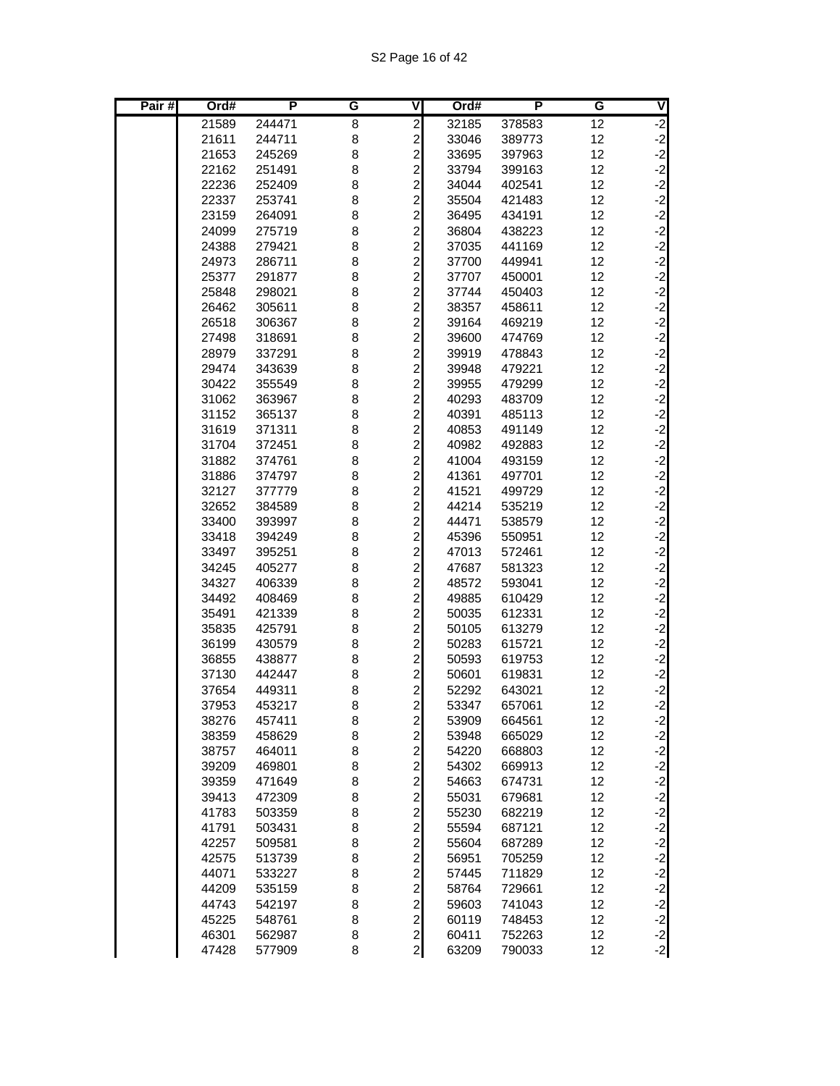| Pair# | Ord#           | P                | G      | V                                         | Ord#           | Р                | G        | V                                        |
|-------|----------------|------------------|--------|-------------------------------------------|----------------|------------------|----------|------------------------------------------|
|       | 21589          | 244471           | 8      | $\overline{2}$                            | 32185          | 378583           | 12       | $\overline{2}$                           |
|       | 21611          | 244711           | 8      | $\overline{c}$                            | 33046          | 389773           | 12       | $-2$                                     |
|       | 21653          | 245269           | 8      | $\overline{c}$                            | 33695          | 397963           | 12       | $-2$                                     |
|       | 22162          | 251491           | 8      | $\overline{\mathbf{c}}$                   | 33794          | 399163           | 12       | $-2$                                     |
|       | 22236          | 252409           | 8      | $\overline{\mathbf{c}}$                   | 34044          | 402541           | 12       | $-2$                                     |
|       | 22337          | 253741           | 8      | $\overline{c}$                            | 35504          | 421483           | 12       | $-2$                                     |
|       | 23159          | 264091           | 8      | $\overline{c}$                            | 36495          | 434191           | 12       | $-2$                                     |
|       | 24099          | 275719           | 8      | $\overline{\mathbf{c}}$                   | 36804          | 438223           | 12       | $\begin{bmatrix} -2 \\ -2 \end{bmatrix}$ |
|       | 24388          | 279421           | 8      | $\overline{c}$                            | 37035          | 441169           | 12       |                                          |
|       | 24973          | 286711           | 8      | $\overline{c}$                            | 37700          | 449941           | 12       | $-2$                                     |
|       | 25377          | 291877           | 8      | $\overline{\mathbf{c}}$                   | 37707          | 450001           | 12       | $-2$                                     |
|       | 25848          | 298021           | 8      | $\overline{\mathbf{c}}$                   | 37744          | 450403           | 12       | $-2$                                     |
|       | 26462          | 305611           | 8      | $\overline{c}$                            | 38357          | 458611           | 12       | $-2$                                     |
|       | 26518          | 306367           | 8      | $\overline{c}$                            | 39164          | 469219           | 12       | $-2$                                     |
|       | 27498          | 318691           | 8      | $\overline{\mathbf{c}}$                   | 39600          | 474769           | 12       | $\begin{bmatrix} -2 \\ -2 \end{bmatrix}$ |
|       | 28979          | 337291           | 8      | $\overline{c}$                            | 39919          | 478843           | 12       |                                          |
|       | 29474          | 343639           | 8      | $\overline{c}$                            | 39948          | 479221           | 12       | $-2$                                     |
|       | 30422          | 355549           | 8      | $\overline{c}$                            | 39955          | 479299           | 12       | $-2$                                     |
|       | 31062          | 363967           | 8      | $\overline{\mathbf{c}}$                   | 40293          | 483709           | 12       | $-2$                                     |
|       | 31152          | 365137           | 8      | $\overline{\mathbf{c}}$                   | 40391          | 485113           | 12       | $-2$                                     |
|       | 31619          | 371311           | 8      | $\overline{\mathbf{c}}$                   | 40853          | 491149           | 12       | $-2$                                     |
|       | 31704          | 372451           | 8      | $\overline{\mathbf{c}}$                   | 40982          | 492883           | 12       | $\begin{bmatrix} -2 \\ -2 \end{bmatrix}$ |
|       | 31882          | 374761           | 8      | $\overline{c}$                            | 41004          | 493159           | 12       |                                          |
|       | 31886          | 374797           | 8      | $\overline{c}$                            | 41361          | 497701           | 12       | $-2$                                     |
|       | 32127          | 377779           | 8      | $\overline{c}$                            | 41521          | 499729           | 12       | $-2$                                     |
|       | 32652          | 384589           | 8      | $\overline{c}$                            | 44214          | 535219           | 12       | $-2$                                     |
|       | 33400          | 393997           | 8      | $\overline{c}$                            | 44471          | 538579           | 12       | $-2$                                     |
|       | 33418          | 394249           | 8      | $\overline{c}$                            | 45396          | 550951           | 12       | $-2$                                     |
|       | 33497          | 395251           | 8      | $\overline{c}$                            | 47013          | 572461           | 12       | $-2$                                     |
|       | 34245          | 405277           | 8      | $\overline{c}$                            | 47687          | 581323           | 12       | $-2$                                     |
|       | 34327          | 406339           | 8      | $\overline{c}$                            | 48572          | 593041           | 12       | $-2$                                     |
|       | 34492          | 408469           | 8      | $\overline{c}$                            | 49885          | 610429           | 12       | $-2$                                     |
|       | 35491          | 421339           | 8      | $\overline{\mathbf{c}}$                   | 50035          | 612331           | 12       | $-2$                                     |
|       | 35835          | 425791           | 8      | $\overline{c}$                            | 50105          | 613279           | 12       | $-2$                                     |
|       | 36199          | 430579           | 8      | $\overline{c}$                            | 50283          | 615721           | 12       | $-2$                                     |
|       | 36855          | 438877           | 8      | $\overline{\mathbf{c}}$                   | 50593          | 619753           | 12       | $-2$                                     |
|       | 37130          | 442447           | 8      | $\overline{\mathbf{c}}$                   | 50601          | 619831           | 12       | $-2$                                     |
|       | 37654          | 449311           | 8      | $\overline{c}$                            | 52292          | 643021           | 12       | $-2$<br>$-2$                             |
|       | 37953          | 453217           | 8      | $\overline{a}$                            | 53347          | 657061           | 12       |                                          |
|       | 38276          | 457411           | 8      | $\overline{\mathbf{c}}$                   | 53909          | 664561           | 12       | $-2$                                     |
|       | 38359          | 458629           | 8      | $\overline{a}$                            | 53948          | 665029           | 12       | $\begin{bmatrix} -2 \\ -2 \end{bmatrix}$ |
|       | 38757          | 464011           | 8      | $\overline{a}$                            | 54220          | 668803           | 12       |                                          |
|       | 39209          | 469801           | 8      | $\overline{c}$                            | 54302          | 669913           | 12       | $-2$                                     |
|       | 39359          | 471649           | 8      | $\overline{\mathbf{c}}$                   | 54663          | 674731           | 12       | $-2$<br>$-2$                             |
|       | 39413          | 472309           | 8<br>8 | $\overline{a}$<br>$\overline{a}$          | 55031          | 679681           | 12<br>12 | $-2$                                     |
|       | 41783          | 503359           | 8      |                                           | 55230          | 682219           | 12       |                                          |
|       | 41791<br>42257 | 503431           | 8      | $\overline{a}$<br>$\overline{\mathbf{c}}$ | 55594          | 687121           | 12       | $-2$                                     |
|       |                | 509581           | 8      | $\overline{\mathbf{c}}$                   | 55604<br>56951 | 687289<br>705259 | 12       | $-2$                                     |
|       | 42575<br>44071 | 513739<br>533227 |        | $\overline{\mathbf{c}}$                   | 57445          | 711829           | 12       | $-2$<br>$-2$<br>$-2$                     |
|       | 44209          | 535159           | 8<br>8 | $\overline{\mathbf{c}}$                   | 58764          | 729661           | 12       |                                          |
|       | 44743          | 542197           | 8      | $\overline{a}$                            | 59603          | 741043           | 12       | $-2$                                     |
|       | 45225          | 548761           | 8      | $\overline{2}$                            | 60119          | 748453           | 12       | $-2$                                     |
|       | 46301          | 562987           | 8      | $\mathbf{2}$                              | 60411          | 752263           | 12       |                                          |
|       | 47428          | 577909           | 8      | $\mathbf{2}$                              | 63209          | 790033           | 12       | $-2$<br>$-2$                             |
|       |                |                  |        |                                           |                |                  |          |                                          |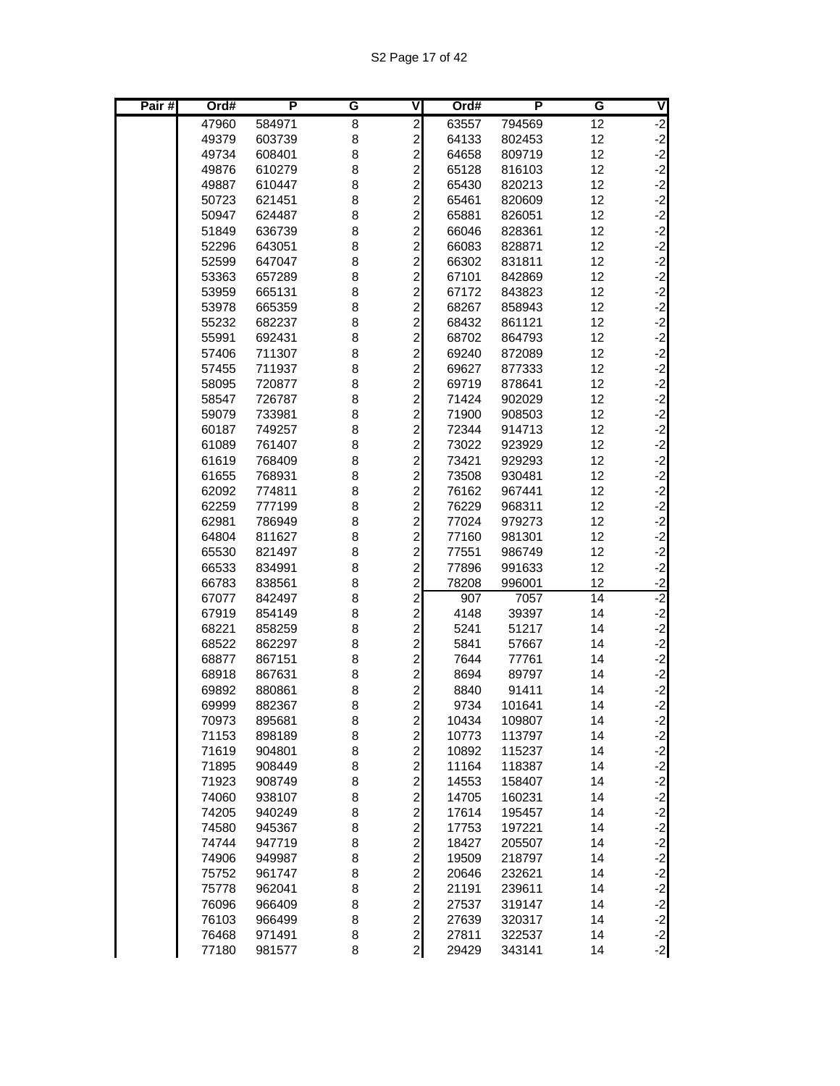S2 Page 17 of 42

| Pair# | Ord#           | P                | G      | ۷                                            | Ord#           | P                | G        | V            |
|-------|----------------|------------------|--------|----------------------------------------------|----------------|------------------|----------|--------------|
|       | 47960          | 584971           | 8      | $\overline{2}$                               | 63557          | 794569           | 12       | $-2$         |
|       | 49379          | 603739           | 8      | $\overline{\mathbf{c}}$                      | 64133          | 802453           | 12       | $-2$         |
|       | 49734          | 608401           | 8      | $\overline{c}$                               | 64658          | 809719           | 12       | $-2$         |
|       | 49876          | 610279           | 8      | $\overline{2}$                               | 65128          | 816103           | 12       | $-2$         |
|       | 49887          | 610447           | 8      | $\overline{\mathbf{c}}$                      | 65430          | 820213           | 12       | $-2$         |
|       | 50723          | 621451           | 8      |                                              | 65461          | 820609           | 12       | $-2$         |
|       | 50947          | 624487           | 8      |                                              | 65881          | 826051           | 12       | $-2$         |
|       | 51849          | 636739           | 8      |                                              | 66046          | 828361           | 12       | $-2$         |
|       | 52296          | 643051           | 8      |                                              | 66083          | 828871           | 12       | $-2$         |
|       | 52599          | 647047           | 8      | 2 2 2 2 2 2                                  | 66302          | 831811           | 12       | $-2$         |
|       | 53363          | 657289           | 8      |                                              | 67101          | 842869           | 12       | $-2$         |
|       | 53959          | 665131           | 8      | $\overline{a}$                               | 67172          | 843823           | 12       | $-2$         |
|       | 53978          | 665359           | 8      | 2 2 2 2 2 2                                  | 68267          | 858943           | 12       | $-2$         |
|       | 55232          | 682237           | 8      |                                              | 68432          | 861121           | 12       | $-2$         |
|       | 55991          | 692431           | 8      |                                              | 68702          | 864793           | 12       | $-2$         |
|       | 57406          | 711307           | 8      |                                              | 69240          | 872089           | 12       | $-2$         |
|       | 57455          | 711937           | 8      |                                              | 69627          | 877333           | 12       | $-2$<br>$-2$ |
|       | 58095<br>58547 | 720877           | 8<br>8 | $\overline{c}$                               | 69719          | 878641           | 12<br>12 | $-2$         |
|       | 59079          | 726787<br>733981 | 8      | $\overline{c}$                               | 71424<br>71900 | 902029           | 12       | $-2$         |
|       | 60187          | 749257           | 8      |                                              | 72344          | 908503<br>914713 | 12       | $-2$         |
|       | 61089          | 761407           | 8      |                                              | 73022          | 923929           | 12       | $-2$         |
|       | 61619          | 768409           | 8      |                                              | 73421          | 929293           | 12       | $-2$         |
|       | 61655          | 768931           | 8      | 222222                                       | 73508          | 930481           | 12       | $-2$         |
|       | 62092          | 774811           | 8      |                                              | 76162          | 967441           | 12       | $-2$         |
|       | 62259          | 777199           | 8      |                                              | 76229          | 968311           | 12       | $-2$         |
|       | 62981          | 786949           | 8      | $\overline{c}$                               | 77024          | 979273           | 12       | $-2$         |
|       | 64804          | 811627           | 8      | $\overline{c}$                               | 77160          | 981301           | 12       | $-2$         |
|       | 65530          | 821497           | 8      | $\overline{c}$                               | 77551          | 986749           | 12       | $-2$         |
|       | 66533          | 834991           | 8      | $\overline{\mathbf{c}}$                      | 77896          | 991633           | 12       | $-2$         |
|       | 66783          | 838561           | 8      |                                              | 78208          | 996001           | 12       | $-2$         |
|       | 67077          | 842497           | 8      | $\begin{array}{c}\n2 \\ 2 \\ 2\n\end{array}$ | 907            | 7057             | 14       | $-2$         |
|       | 67919          | 854149           | 8      |                                              | 4148           | 39397            | 14       | $-2$         |
|       | 68221          | 858259           | 8      |                                              | 5241           | 51217            | 14       | $-2$         |
|       | 68522          | 862297           | 8      | $\overline{\mathbf{c}}$                      | 5841           | 57667            | 14       | $-2$         |
|       | 68877          | 867151           | 8      |                                              | 7644           | 77761            | 14       | $-2$         |
|       | 68918          | 867631           | 8      |                                              | 8694           | 89797            | 14       | $-2$         |
|       | 69892          | 880861           | 8      | $\begin{array}{c}\n2 \\ 2 \\ 2\n\end{array}$ | 8840           | 91411            | 14       | $-2$         |
|       | 69999          | 882367           | 8      |                                              | 9734           | 101641           | 14       | $-2$         |
|       | 70973          | 895681           | 8      |                                              | 10434          | 109807           | 14       | $-2$         |
|       | 71153          | 898189           | 8      |                                              | 10773          | 113797           | 14       | $-2$         |
|       | 71619          | 904801           | 8      |                                              | 10892          | 115237           | 14       | $-2$         |
|       | 71895          | 908449           | 8      |                                              | 11164          | 118387           | 14       | $-2$         |
|       | 71923          | 908749           | 8      |                                              | 14553          | 158407           | 14       | $-2$         |
|       | 74060          | 938107           | 8      |                                              | 14705          | 160231           | 14       | $-2$         |
|       | 74205          | 940249           | 8      | ט ט ט ט ט ט ט ט ט ט ט ט ט ט ט ט              | 17614          | 195457           | 14       | $-2$         |
|       | 74580          | 945367           | 8      |                                              | 17753          | 197221           | 14       | $-2$         |
|       | 74744          | 947719           | 8      |                                              | 18427          | 205507           | 14       | $-2$         |
|       | 74906          | 949987           | 8      |                                              | 19509          | 218797           | 14       | $-2$         |
|       | 75752          | 961747           | 8      |                                              | 20646          | 232621           | 14       | $-2$         |
|       | 75778          | 962041           | 8      |                                              | 21191          | 239611           | 14       | $-2$<br>$-2$ |
|       | 76096<br>76103 | 966409           | 8<br>8 |                                              | 27537<br>27639 | 319147<br>320317 | 14<br>14 | $-2$         |
|       | 76468          | 966499<br>971491 | 8      |                                              | 27811          | 322537           | 14       | $-2$         |
|       |                |                  |        |                                              |                |                  |          |              |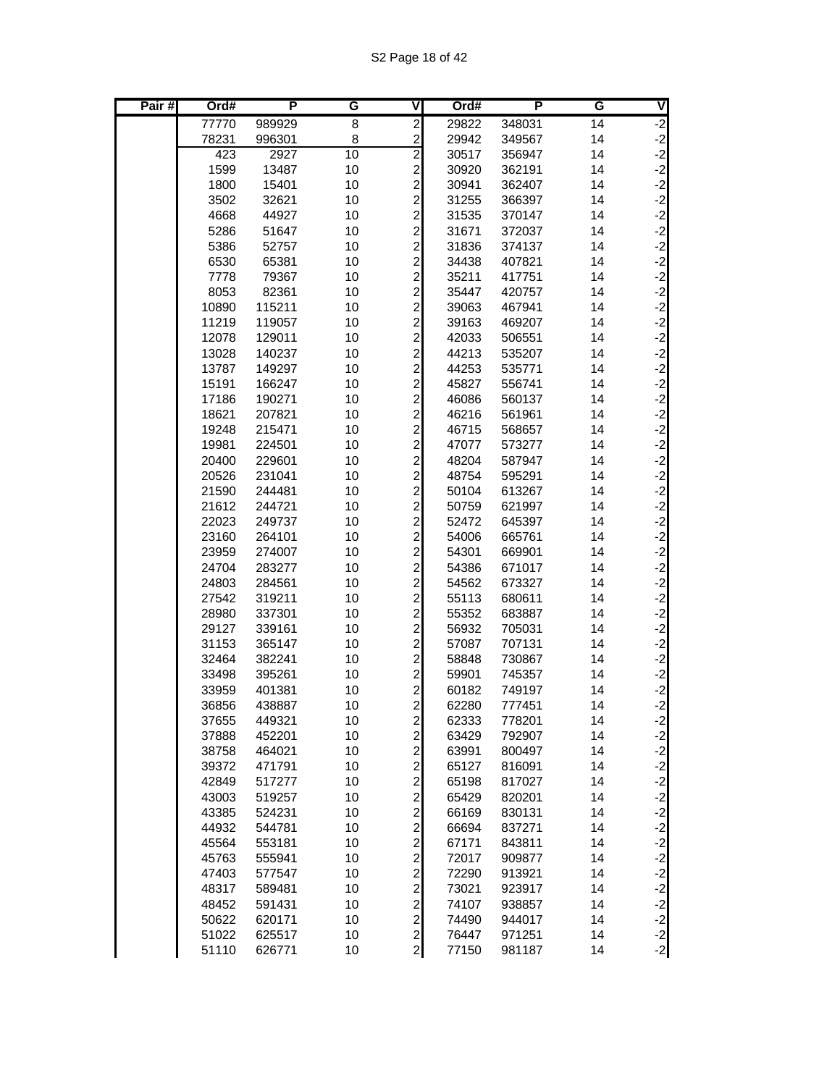| Pair# | Ord#           | P                | G        | V                                         | Ord#           | Р                | G        | V                                        |
|-------|----------------|------------------|----------|-------------------------------------------|----------------|------------------|----------|------------------------------------------|
|       | 77770          | 989929           | 8        | $\overline{\mathbf{c}}$                   | 29822          | 348031           | 14       | $-2$                                     |
|       | 78231          | 996301           | 8        | $\overline{c}$                            | 29942          | 349567           | 14       | $-2$                                     |
|       | 423            | 2927             | 10       | $\overline{2}$                            | 30517          | 356947           | 14       | $-2$                                     |
|       | 1599           | 13487            | 10       | $\overline{c}$                            | 30920          | 362191           | 14       | $-2$                                     |
|       | 1800           | 15401            | 10       | $\overline{\mathbf{c}}$                   | 30941          | 362407           | 14       | $-2$                                     |
|       | 3502           | 32621            | 10       | $\overline{\mathbf{c}}$                   | 31255          | 366397           | 14       | $-2$                                     |
|       | 4668           | 44927            | 10       | $\overline{\mathbf{c}}$                   | 31535          | 370147           | 14       | $-2$<br>$-2$<br>$-2$                     |
|       | 5286           | 51647            | 10       | $\overline{c}$                            | 31671          | 372037           | 14       |                                          |
|       | 5386           | 52757            | 10       | $\overline{\mathbf{c}}$                   | 31836          | 374137           | 14       |                                          |
|       | 6530           | 65381            | 10       | $\overline{c}$                            | 34438          | 407821           | 14       | $-2$                                     |
|       | 7778           | 79367            | 10       | $\overline{c}$                            | 35211          | 417751           | 14       | $-2$                                     |
|       | 8053           | 82361            | 10       | $\overline{\mathbf{c}}$                   | 35447          | 420757           | 14       | $-2$                                     |
|       | 10890          | 115211           | 10       | $\overline{\mathbf{c}}$                   | 39063          | 467941           | 14       | $-2$                                     |
|       | 11219          | 119057           | 10       | $\overline{c}$                            | 39163          | 469207           | 14       | $-2$                                     |
|       | 12078          | 129011           | 10       | $\overline{c}$                            | 42033          | 506551           | 14       | $-2$                                     |
|       | 13028          | 140237           | 10       | $\overline{\mathbf{c}}$                   | 44213          | 535207           | 14       | $\begin{bmatrix} -2 \\ -2 \end{bmatrix}$ |
|       | 13787          | 149297           | 10       | $\overline{c}$                            | 44253          | 535771           | 14       |                                          |
|       | 15191          | 166247           | 10       | $\overline{c}$                            | 45827          | 556741           | 14       | $-2$                                     |
|       | 17186          | 190271           | 10       | $\overline{c}$                            | 46086          | 560137           | 14       | $-2$                                     |
|       | 18621          | 207821           | 10       | $\overline{\mathbf{c}}$                   | 46216          | 561961           | 14       | $-2$                                     |
|       | 19248          | 215471           | 10       | $\overline{\mathbf{c}}$                   | 46715          | 568657           | 14       | $-2$<br>$-2$                             |
|       | 19981          | 224501           | 10       | $\overline{\mathbf{c}}$                   | 47077          | 573277           | 14       |                                          |
|       | 20400          | 229601           | 10       | $\overline{\mathbf{c}}$                   | 48204          | 587947           | 14       | $-2$<br>$-2$                             |
|       | 20526          | 231041           | 10       | $\overline{c}$                            | 48754          | 595291           | 14       |                                          |
|       | 21590          | 244481           | 10       | $\overline{c}$                            | 50104          | 613267           | 14       | $-2$                                     |
|       | 21612          | 244721           | 10       | $\overline{c}$                            | 50759          | 621997           | 14       | $-2$                                     |
|       | 22023          | 249737           | 10       | $\overline{\mathbf{c}}$                   | 52472          | 645397           | 14       | $-2$                                     |
|       | 23160          | 264101           | 10       | $\overline{c}$                            | 54006          | 665761           | 14       | $-2$                                     |
|       | 23959          | 274007           | 10       | $\overline{c}$                            | 54301          | 669901           | 14       | $-2$                                     |
|       | 24704          | 283277           | 10       | $\overline{\mathbf{c}}$                   | 54386          | 671017           | 14       | $\begin{bmatrix} -2 \\ -2 \end{bmatrix}$ |
|       | 24803          | 284561           | 10       | $\overline{c}$                            | 54562          | 673327           | 14       |                                          |
|       | 27542          | 319211           | 10       | $\overline{c}$                            | 55113          | 680611           | 14       | $-2$                                     |
|       | 28980          | 337301           | 10       | $\overline{c}$                            | 55352          | 683887           | 14       | $-2$                                     |
|       | 29127          | 339161           | 10       | $\overline{\mathbf{c}}$                   | 56932          | 705031           | 14       | $-2$                                     |
|       | 31153          | 365147           | 10       | $\overline{\mathbf{c}}$                   | 57087          | 707131           | 14       | $-2$                                     |
|       | 32464          | 382241           | 10       | $\overline{c}$                            | 58848          | 730867           | 14       | $-2$                                     |
|       | 33498          | 395261           | 10       | $\overline{\mathbf{c}}$<br>$\overline{c}$ | 59901          | 745357           | 14       | $-2$<br>$-2$                             |
|       | 33959          | 401381<br>438887 | 10<br>10 | $\overline{a}$                            | 60182<br>62280 | 749197<br>777451 | 14<br>14 | $-2$                                     |
|       | 36856<br>37655 |                  | 10       |                                           | 62333          | 778201           | 14       |                                          |
|       | 37888          | 449321<br>452201 | 10       | $\mathbf{2}$<br>$\overline{a}$            | 63429          | 792907           | 14       | $-2$                                     |
|       | 38758          | 464021           | 10       | $\overline{a}$                            | 63991          | 800497           | 14       |                                          |
|       | 39372          | 471791           | 10       | $\overline{c}$                            | 65127          | 816091           | 14       | $-2$<br>$-2$<br>$-2$                     |
|       | 42849          | 517277           | 10       | $\overline{c}$                            | 65198          | 817027           | 14       | $-2$                                     |
|       | 43003          | 519257           | 10       |                                           | 65429          | 820201           | 14       |                                          |
|       | 43385          | 524231           | 10       | $\frac{2}{2}$                             | 66169          | 830131           | 14       | $-2$<br>$-2$                             |
|       | 44932          | 544781           | 10       | $\overline{a}$                            | 66694          | 837271           | 14       | $-2$                                     |
|       | 45564          | 553181           | 10       | $\overline{\mathbf{c}}$                   | 67171          | 843811           | 14       | $-2$                                     |
|       | 45763          | 555941           | 10       | $\overline{\mathbf{c}}$                   | 72017          | 909877           | 14       | $-2$                                     |
|       | 47403          | 577547           | 10       | $\overline{a}$                            | 72290          | 913921           | 14       |                                          |
|       | 48317          | 589481           | 10       | $\overline{a}$                            | 73021          | 923917           | 14       | $\begin{bmatrix} -2 \\ -2 \end{bmatrix}$ |
|       | 48452          | 591431           | 10       | $\overline{\mathbf{c}}$                   | 74107          | 938857           | 14       | $-2$                                     |
|       | 50622          | 620171           | 10       | $\overline{a}$                            | 74490          | 944017           | 14       | $-2$                                     |
|       | 51022          | 625517           | 10       | $\mathbf{z}$                              | 76447          | 971251           | 14       |                                          |
|       | 51110          | 626771           | 10       | $\mathbf{z}$                              | 77150          | 981187           | 14       | $\begin{bmatrix} -2 \\ -2 \end{bmatrix}$ |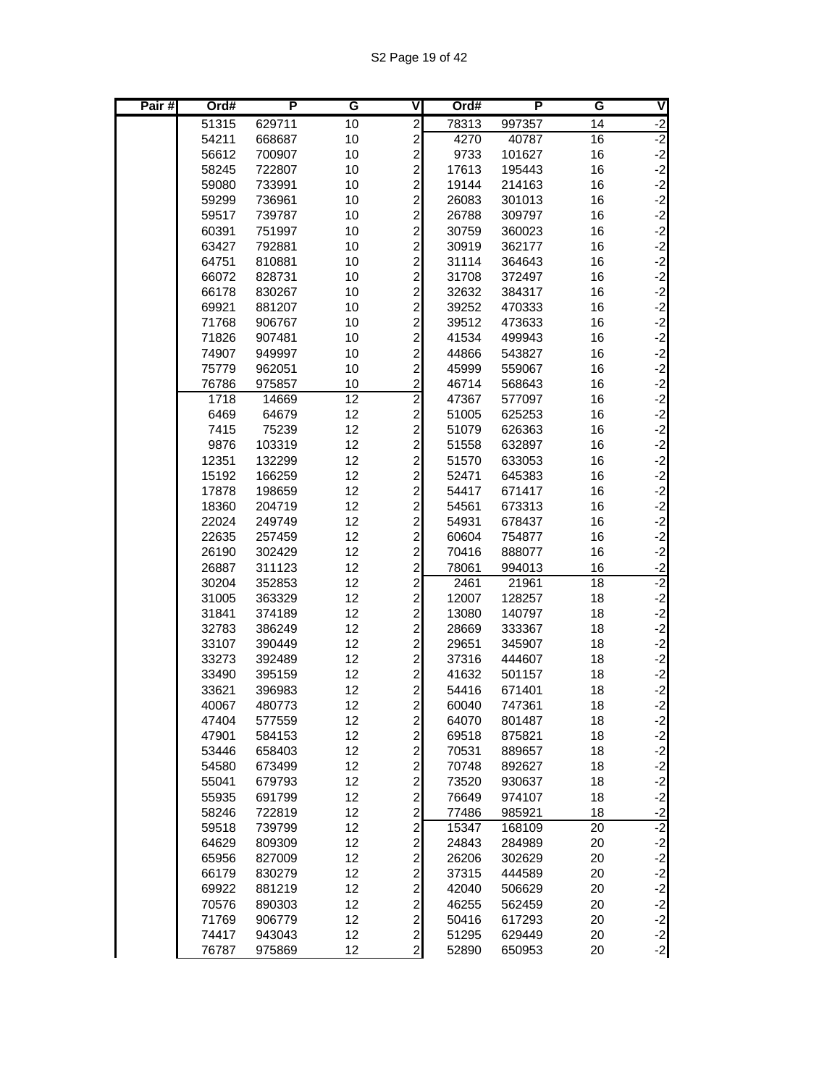| Pair# | Ord#  | P      | G               | ۷                                            | Ord#  | P      | G  | V                                        |
|-------|-------|--------|-----------------|----------------------------------------------|-------|--------|----|------------------------------------------|
|       | 51315 | 629711 | 10              | $\overline{2}$                               | 78313 | 997357 | 14 | $-2$                                     |
|       | 54211 | 668687 | 10              | $\overline{c}$                               | 4270  | 40787  | 16 | $-2$                                     |
|       | 56612 | 700907 | 10              | $\overline{c}$                               | 9733  | 101627 | 16 | $-2$                                     |
|       | 58245 | 722807 | 10              | $\overline{c}$                               | 17613 | 195443 | 16 | $-2$                                     |
|       | 59080 | 733991 | 10              | $\overline{\mathbf{c}}$                      | 19144 | 214163 | 16 | ے کہ کہ کہ ک                             |
|       | 59299 | 736961 | 10              | $\frac{2}{2}$                                | 26083 | 301013 | 16 |                                          |
|       | 59517 | 739787 | 10              |                                              | 26788 | 309797 | 16 |                                          |
|       | 60391 | 751997 | 10              | $\frac{2}{2}$                                | 30759 | 360023 | 16 |                                          |
|       | 63427 | 792881 | 10              |                                              | 30919 | 362177 | 16 |                                          |
|       | 64751 | 810881 | 10              | $\overline{c}$                               | 31114 | 364643 | 16 | $-2$                                     |
|       | 66072 | 828731 | 10              | $\overline{c}$                               | 31708 | 372497 | 16 | $-2$                                     |
|       | 66178 | 830267 | 10              | $\overline{\mathbf{c}}$                      | 32632 | 384317 | 16 |                                          |
|       | 69921 | 881207 | 10              | $\frac{2}{2}$                                | 39252 | 470333 | 16 | دا دا دا دا دا دا                        |
|       | 71768 | 906767 | 10              |                                              | 39512 | 473633 | 16 |                                          |
|       | 71826 | 907481 | 10              | $\overline{\mathbf{c}}$                      | 41534 | 499943 | 16 |                                          |
|       | 74907 | 949997 | 10              | $\overline{c}$                               | 44866 | 543827 | 16 |                                          |
|       | 75779 | 962051 | 10              | $\overline{c}$                               | 45999 | 559067 | 16 |                                          |
|       | 76786 | 975857 | 10              | $\overline{c}$                               | 46714 | 568643 | 16 | $-2$                                     |
|       | 1718  | 14669  | $\overline{12}$ | $\overline{2}$                               | 47367 | 577097 | 16 | $-2$                                     |
|       | 6469  | 64679  | 12              | $\overline{\mathbf{c}}$                      | 51005 | 625253 | 16 |                                          |
|       | 7415  | 75239  | 12              | $\overline{\mathbf{c}}$                      | 51079 | 626363 | 16 |                                          |
|       | 9876  | 103319 | 12              | $\frac{2}{2}$                                | 51558 | 632897 | 16 |                                          |
|       | 12351 | 132299 | 12              |                                              | 51570 | 633053 | 16 |                                          |
|       | 15192 | 166259 | 12              | $\overline{\mathbf{c}}$                      | 52471 | 645383 | 16 | د د د د د                                |
|       | 17878 | 198659 | 12              | $\overline{c}$                               | 54417 | 671417 | 16 | $-2$                                     |
|       | 18360 | 204719 | 12              | $\overline{c}$                               | 54561 | 673313 | 16 | $-2$                                     |
|       | 22024 | 249749 | 12              | $\overline{c}$                               | 54931 | 678437 | 16 | $-2$                                     |
|       | 22635 | 257459 | 12              | $\overline{c}$                               | 60604 | 754877 | 16 | $-2$                                     |
|       | 26190 | 302429 | 12              | $\overline{c}$                               | 70416 | 888077 | 16 | $-2$                                     |
|       | 26887 | 311123 | 12              | $\overline{\mathbf{c}}$                      | 78061 | 994013 | 16 | $-2$                                     |
|       | 30204 | 352853 | 12              | $\overline{c}$                               | 2461  | 21961  | 18 | $-2$                                     |
|       | 31005 | 363329 | 12              | $\overline{c}$                               | 12007 | 128257 | 18 | $-2$                                     |
|       | 31841 | 374189 | 12              | $\overline{\mathbf{c}}$                      | 13080 | 140797 | 18 | $\begin{bmatrix} -2 \\ -2 \end{bmatrix}$ |
|       | 32783 | 386249 | 12              | $\overline{\mathbf{c}}$                      | 28669 | 333367 | 18 |                                          |
|       | 33107 | 390449 | 12              | $\overline{\mathbf{c}}$                      | 29651 | 345907 | 18 | $-2$                                     |
|       | 33273 | 392489 | 12              | $\overline{c}$                               | 37316 | 444607 | 18 | $-2$                                     |
|       | 33490 | 395159 | 12              | $\overline{c}$                               | 41632 | 501157 | 18 | $-2$<br>$-2$                             |
|       | 33621 | 396983 | 12              | $\overline{c}$                               | 54416 | 671401 | 18 |                                          |
|       | 40067 | 480773 | 12              | $\overline{a}$                               | 60040 | 747361 | 18 | $-2$                                     |
|       | 47404 | 577559 | 12              | $\overline{\mathbf{c}}$                      | 64070 | 801487 | 18 | $-2$<br>$-2$<br>$-2$                     |
|       | 47901 | 584153 | 12              | $\frac{2}{2}$                                | 69518 | 875821 | 18 |                                          |
|       | 53446 | 658403 | 12              |                                              | 70531 | 889657 | 18 |                                          |
|       | 54580 | 673499 | 12              | $\overline{\mathbf{c}}$                      | 70748 | 892627 | 18 | $\frac{-2}{2}$                           |
|       | 55041 | 679793 | 12              | $\overline{\mathbf{c}}$                      | 73520 | 930637 | 18 |                                          |
|       | 55935 | 691799 | 12              | $\frac{2}{2}$                                | 76649 | 974107 | 18 |                                          |
|       | 58246 | 722819 | 12              |                                              | 77486 | 985921 | 18 |                                          |
|       | 59518 | 739799 | 12              | $\overline{\mathbf{c}}$                      | 15347 | 168109 | 20 |                                          |
|       | 64629 | 809309 | 12              |                                              | 24843 | 284989 | 20 |                                          |
|       | 65956 | 827009 | 12              |                                              | 26206 | 302629 | 20 |                                          |
|       | 66179 | 830279 | 12              | $\begin{array}{c}\n2 \\ 2 \\ 2\n\end{array}$ | 37315 | 444589 | 20 | $-2$<br>$-2$<br>$-2$<br>$-2$<br>$-2$     |
|       | 69922 | 881219 | 12              |                                              | 42040 | 506629 | 20 |                                          |
|       | 70576 | 890303 | 12              | $\overline{a}$                               | 46255 | 562459 | 20 |                                          |
|       | 71769 | 906779 | 12              | $\overline{c}$                               | 50416 | 617293 | 20 | $-2$                                     |
|       | 74417 | 943043 | 12              | $\overline{c}$                               | 51295 | 629449 | 20 | $-2$<br>$-2$                             |
|       | 76787 | 975869 | 12              | $\overline{c}$                               | 52890 | 650953 | 20 |                                          |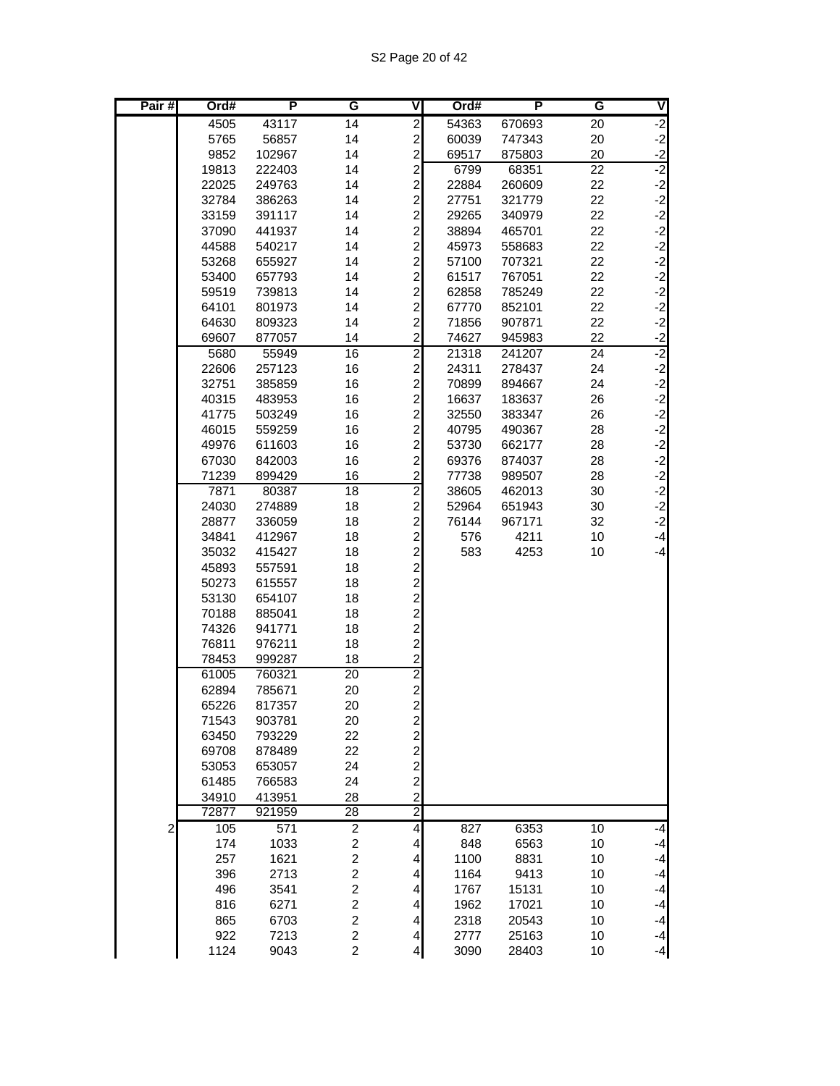| Pair#          | Ord#           | P                | G                       | V                                            | Ord#           | P                | G        | V                       |
|----------------|----------------|------------------|-------------------------|----------------------------------------------|----------------|------------------|----------|-------------------------|
|                | 4505           | 43117            | 14                      | $\overline{2}$                               | 54363          | 670693           | 20       | $-2$                    |
|                | 5765           | 56857            | 14                      | $\overline{c}$                               | 60039          | 747343           | 20       | $\frac{-2}{-2}$         |
|                | 9852           | 102967           | 14                      | $\overline{a}$                               | 69517          | 875803           | 20       |                         |
|                | 19813          | 222403           | 14                      | $\overline{c}$                               | 6799           | 68351            | 22       |                         |
|                | 22025          | 249763           | 14                      | $\overline{a}$                               | 22884          | 260609           | 22       |                         |
|                | 32784          | 386263           | 14                      | $\frac{2}{2}$                                | 27751          | 321779           | 22       | <u>یہ</u> ٰ یہ یہ یہ یہ |
|                | 33159          | 391117           | 14                      |                                              | 29265          | 340979           | 22       |                         |
|                | 37090          | 441937           | 14                      | $\overline{\mathbf{c}}$                      | 38894          | 465701           | 22       |                         |
|                | 44588          | 540217           | 14                      | $\overline{c}$                               | 45973          | 558683           | 22       |                         |
|                | 53268          | 655927           | 14                      | $\overline{c}$                               | 57100          | 707321           | 22       |                         |
|                | 53400          | 657793           | 14                      | $\overline{c}$                               | 61517          | 767051           | 22       | $-2$                    |
|                | 59519          | 739813           | 14                      | $\overline{\mathbf{c}}$                      | 62858          | 785249           | 22       |                         |
|                | 64101          | 801973           | 14                      | $\overline{\mathbf{c}}$                      | 67770          | 852101           | 22       |                         |
|                | 64630          | 809323           | 14                      | $\overline{c}$                               | 71856          | 907871           | 22       |                         |
|                | 69607          | 877057           | 14                      | $\overline{\mathbf{c}}$                      | 74627          | 945983           | 22       | ن ن ن ن <mark>ن</mark>  |
|                | 5680           | 55949            | 16                      | $\overline{2}$<br>$\overline{a}$             | 21318          | 241207           | 24<br>24 | $-2$                    |
|                | 22606          | 257123<br>385859 | 16<br>16                | $\overline{a}$                               | 24311          | 278437           | 24       | $-2$                    |
|                | 32751<br>40315 | 483953           | 16                      | $\overline{\mathbf{c}}$                      | 70899<br>16637 | 894667<br>183637 | 26       | $-2$                    |
|                | 41775          | 503249           | 16                      | $\overline{\mathbf{c}}$                      | 32550          | 383347           | 26       |                         |
|                | 46015          | 559259           | 16                      | $\overline{\mathbf{c}}$                      | 40795          | 490367           | 28       |                         |
|                | 49976          | 611603           | 16                      | $\overline{\mathbf{c}}$                      | 53730          | 662177           | 28       |                         |
|                | 67030          | 842003           | 16                      |                                              | 69376          | 874037           | 28       |                         |
|                | 71239          | 899429           | 16                      | $\frac{2}{2}$                                | 77738          | 989507           | 28       |                         |
|                | 7871           | 80387            | 18                      | $\overline{2}$                               | 38605          | 462013           | 30       | دا دا دا دا دا دا دا    |
|                | 24030          | 274889           | 18                      | $\overline{\mathbf{c}}$                      | 52964          | 651943           | 30       |                         |
|                | 28877          | 336059           | 18                      | $\overline{\mathbf{c}}$                      | 76144          | 967171           | 32       | $-2$                    |
|                | 34841          | 412967           | 18                      | $\overline{\mathbf{c}}$                      | 576            | 4211             | 10       | $-4$                    |
|                | 35032          | 415427           | 18                      | $\overline{a}$                               | 583            | 4253             | 10       | $-4$                    |
|                | 45893          | 557591           | 18                      | 2 מ מ מ מ<br>2 מ מ                           |                |                  |          |                         |
|                | 50273          | 615557           | 18                      |                                              |                |                  |          |                         |
|                | 53130          | 654107           | 18                      |                                              |                |                  |          |                         |
|                | 70188          | 885041           | 18                      |                                              |                |                  |          |                         |
|                | 74326          | 941771           | 18                      |                                              |                |                  |          |                         |
|                | 76811          | 976211           | 18                      |                                              |                |                  |          |                         |
|                | 78453          | 999287           | 18                      | $\overline{a}$                               |                |                  |          |                         |
|                | 61005<br>62894 | 760321<br>785671 | 20<br>20                | $\begin{array}{c}\n2 \\ 2 \\ 2\n\end{array}$ |                |                  |          |                         |
|                | 65226          | 817357           | 20                      |                                              |                |                  |          |                         |
|                | 71543          | 903781           | 20                      |                                              |                |                  |          |                         |
|                | 63450          | 793229           | 22                      |                                              |                |                  |          |                         |
|                | 69708          | 878489           | 22                      |                                              |                |                  |          |                         |
|                | 53053          | 653057           | 24                      |                                              |                |                  |          |                         |
|                | 61485          | 766583           | 24                      |                                              |                |                  |          |                         |
|                | 34910          | 413951           | 28                      | 22222                                        |                |                  |          |                         |
|                | 72877          | 921959           | $\overline{28}$         | $\overline{2}$                               |                |                  |          |                         |
| $\overline{c}$ | 105            | 571              | $\overline{2}$          | $\overline{\mathbf{r}}$                      | 827            | 6353             | 10       | $-4$                    |
|                | 174            | 1033             | $\boldsymbol{2}$        | $\overline{\mathbf{r}}$                      | 848            | 6563             | 10       | $-4$                    |
|                | 257            | 1621             | $\boldsymbol{2}$        | 4                                            | 1100           | 8831             | 10       | $-4$                    |
|                | 396            | 2713             | $\boldsymbol{2}$        | 4                                            | 1164           | 9413             | 10       | $-4$                    |
|                | 496            | 3541             | $\overline{c}$          | 4                                            | 1767           | 15131            | 10       | $-4$                    |
|                | 816            | 6271             | $\overline{\mathbf{c}}$ | $\vert$                                      | 1962           | 17021            | 10       | $-4$                    |
|                | 865            | 6703             | $\overline{c}$          | $\vert$                                      | 2318           | 20543            | 10       | $-4$                    |
|                | 922            | 7213             | $\overline{c}$          | $\overline{4}$                               | 2777           | 25163            | 10       | $-4$                    |
|                | 1124           | 9043             | $\overline{c}$          | $\overline{4}$                               | 3090           | 28403            | 10       | $-4$                    |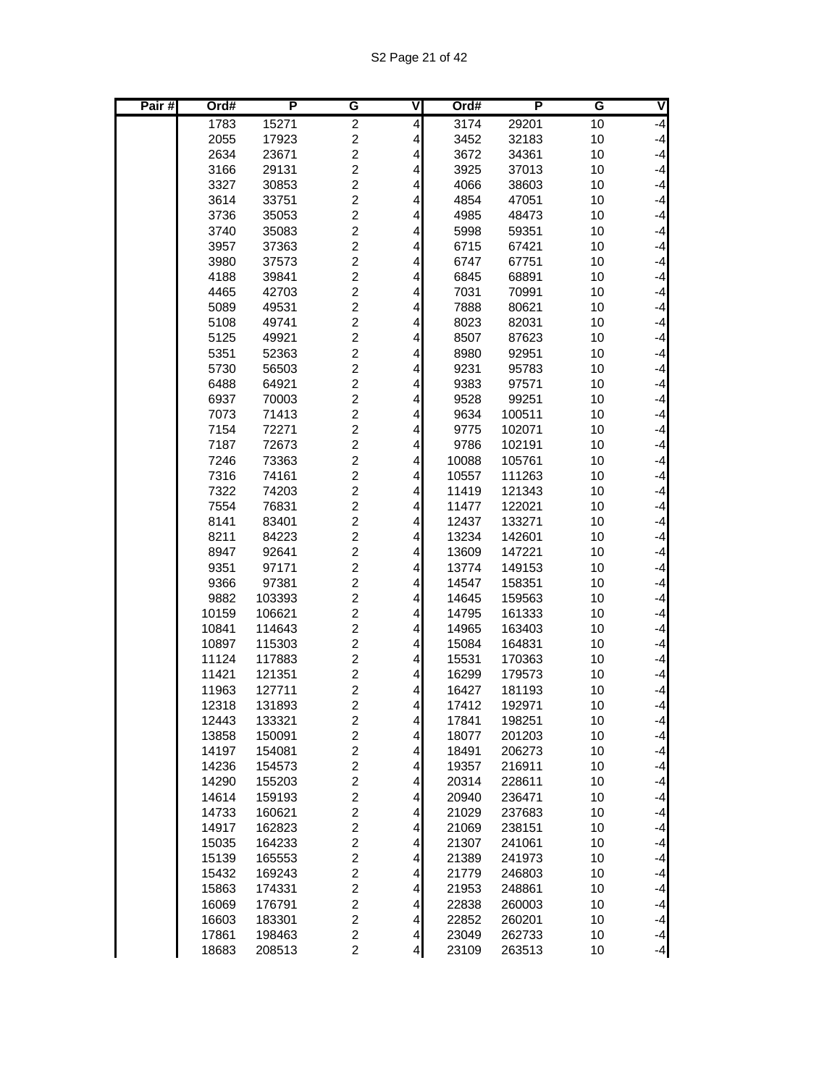| Pair# | Ord#           | P                | G                                | ٧                            | Ord#           | P                | G        | V            |
|-------|----------------|------------------|----------------------------------|------------------------------|----------------|------------------|----------|--------------|
|       | 1783           | 15271            | $\overline{\mathbf{c}}$          | 4                            | 3174           | 29201            | 10       | $-4$         |
|       | 2055           | 17923            | $\boldsymbol{2}$                 | $\overline{4}$               | 3452           | 32183            | 10       | $-4$         |
|       | 2634           | 23671            | $\overline{c}$                   | $\overline{\mathbf{4}}$      | 3672           | 34361            | 10       | $-4$         |
|       | 3166           | 29131            | $\overline{c}$                   | 4                            | 3925           | 37013            | 10       | $-4$         |
|       | 3327           | 30853            | $\overline{c}$                   | 4                            | 4066           | 38603            | 10       | $-4$         |
|       | 3614           | 33751            | $\overline{c}$                   | 4                            | 4854           | 47051            | 10       | $-4$         |
|       | 3736           | 35053            | $\overline{c}$                   | 4                            | 4985           | 48473            | 10       | $-4$         |
|       | 3740           | 35083            | $\overline{c}$                   | 4                            | 5998           | 59351            | 10       | $-4$         |
|       | 3957           | 37363            | $\overline{c}$                   | 4                            | 6715           | 67421            | 10       | $-4$         |
|       | 3980           | 37573            | $\overline{c}$                   | 4                            | 6747           | 67751            | 10       | $-4$         |
|       | 4188           | 39841            | $\overline{c}$                   | 4                            | 6845           | 68891            | 10       | $-4$         |
|       | 4465           | 42703            | $\overline{c}$                   | 4                            | 7031           | 70991            | 10       | $-4$         |
|       | 5089           | 49531            | $\overline{c}$<br>$\overline{2}$ | 4                            | 7888           | 80621            | 10       | $-4$         |
|       | 5108           | 49741            |                                  | 4                            | 8023           | 82031            | 10       | $-4$<br>$-4$ |
|       | 5125           | 49921            | $\overline{c}$<br>2              | 4                            | 8507           | 87623            | 10       | $-4$         |
|       | 5351<br>5730   | 52363<br>56503   | $\overline{c}$                   | 4<br>$\overline{\mathbf{r}}$ | 8980<br>9231   | 92951<br>95783   | 10<br>10 | $-4$         |
|       | 6488           | 64921            | $\overline{c}$                   | 4                            | 9383           | 97571            | 10       | $-4$         |
|       | 6937           | 70003            | $\overline{c}$                   | 4                            | 9528           | 99251            | 10       | $-4$         |
|       | 7073           | 71413            | $\overline{c}$                   | 4                            | 9634           | 100511           | 10       | $-4$         |
|       | 7154           | 72271            | $\overline{c}$                   | 4                            | 9775           | 102071           | 10       | $-4$         |
|       | 7187           | 72673            | $\overline{c}$                   | 4                            | 9786           | 102191           | 10       | $-4$         |
|       | 7246           | 73363            | $\overline{c}$                   | 4                            | 10088          | 105761           | 10       | $-4$         |
|       | 7316           | 74161            | $\overline{c}$                   | 4                            | 10557          | 111263           | 10       | $-4$         |
|       | 7322           | 74203            | $\overline{c}$                   | 4                            | 11419          | 121343           | 10       | $-4$         |
|       | 7554           | 76831            | $\overline{c}$                   | 4                            | 11477          | 122021           | 10       | $-4$         |
|       | 8141           | 83401            | $\overline{c}$                   | 4                            | 12437          | 133271           | 10       | $-4$         |
|       | 8211           | 84223            | $\overline{c}$                   | 4                            | 13234          | 142601           | 10       | $-4$         |
|       | 8947           | 92641            | $\overline{c}$                   | 4                            | 13609          | 147221           | 10       | $-4$         |
|       | 9351           | 97171            | $\overline{c}$                   | 4                            | 13774          | 149153           | 10       | $-4$         |
|       | 9366           | 97381            | $\overline{c}$                   | 4                            | 14547          | 158351           | 10       | $-4$         |
|       | 9882           | 103393           | $\overline{2}$                   | 4                            | 14645          | 159563           | 10       | $-4$         |
|       | 10159          | 106621           | $\overline{c}$                   | 4                            | 14795          | 161333           | 10       | $-4$         |
|       | 10841<br>10897 | 114643           | $\overline{c}$<br>$\overline{c}$ | 4                            | 14965          | 163403           | 10       | $-4$         |
|       | 11124          | 115303<br>117883 | $\overline{\mathbf{c}}$          | 4<br>4                       | 15084<br>15531 | 164831<br>170363 | 10<br>10 | $-4$<br>$-4$ |
|       | 11421          | 121351           | $\boldsymbol{2}$                 | 4                            | 16299          | 179573           | 10       | $-4$         |
|       | 11963          | 127711           | $\overline{c}$                   | 4                            | 16427          | 181193           | 10       | $-4$         |
|       | 12318          | 131893           | $\overline{2}$                   | $\overline{4}$               | 17412          | 192971           | 10       | $-4$         |
|       | 12443          | 133321           | $\overline{\mathbf{c}}$          | $\vert$                      | 17841          | 198251           | 10       | $-4$         |
|       | 13858          | 150091           | $\overline{c}$                   | $\vert$                      | 18077          | 201203           | 10       | $-4$         |
|       | 14197          | 154081           | $\overline{\mathbf{c}}$          | $\overline{\mathbf{r}}$      | 18491          | 206273           | 10       | $-4$         |
|       | 14236          | 154573           | $\overline{\mathbf{c}}$          | 4                            | 19357          | 216911           | 10       | $-4$         |
|       | 14290          | 155203           | $\overline{\mathbf{c}}$          | $\overline{\mathbf{r}}$      | 20314          | 228611           | 10       | $-4$         |
|       | 14614          | 159193           | $\overline{\mathbf{c}}$          | $\overline{\mathbf{4}}$      | 20940          | 236471           | 10       | $-4$         |
|       | 14733          | 160621           | $\overline{c}$                   | $\overline{\mathbf{r}}$      | 21029          | 237683           | 10       | $-4$         |
|       | 14917          | 162823           | $\overline{c}$                   | $\vert$                      | 21069          | 238151           | 10       | $-4$         |
|       | 15035          | 164233           | $\overline{c}$                   | $\vert$                      | 21307          | 241061           | 10       | $-4$         |
|       | 15139          | 165553           | $\overline{c}$                   | $\overline{\mathbf{r}}$      | 21389          | 241973           | 10       | $-4$         |
|       | 15432          | 169243           | $\overline{c}$                   | $\overline{4}$               | 21779          | 246803           | 10       | $-4$         |
|       | 15863          | 174331           | $\overline{\mathbf{c}}$          | $\overline{\mathbf{r}}$      | 21953          | 248861           | 10       | $-4$         |
|       | 16069          | 176791           | $\overline{\mathbf{c}}$          | $\overline{\mathbf{4}}$      | 22838          | 260003           | 10       | $-4$         |
|       | 16603<br>17861 | 183301<br>198463 | $\overline{c}$<br>$\overline{c}$ | $\vert$<br>$\vert$           | 22852<br>23049 | 260201<br>262733 | 10<br>10 | $-4$<br>$-4$ |
|       | 18683          | 208513           | $\overline{c}$                   | $\overline{4}$               | 23109          | 263513           | 10       | $-4$         |
|       |                |                  |                                  |                              |                |                  |          |              |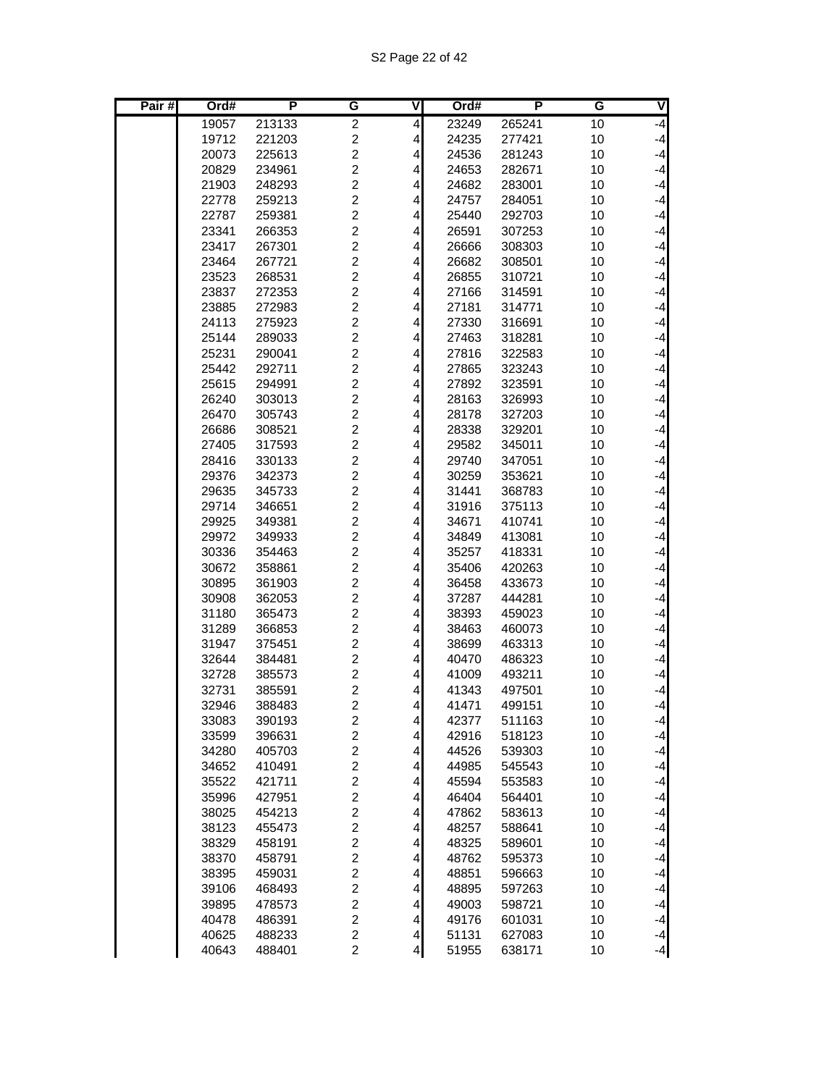| Pair# | Ord#  | P      | G                       | ٧                       | Ord#  | P      | G  | V    |
|-------|-------|--------|-------------------------|-------------------------|-------|--------|----|------|
|       | 19057 | 213133 | $\overline{c}$          | $\overline{\mathbf{r}}$ | 23249 | 265241 | 10 | $-4$ |
|       | 19712 | 221203 | $\overline{c}$          | $\overline{\mathbf{r}}$ | 24235 | 277421 | 10 | $-4$ |
|       | 20073 | 225613 | $\overline{c}$          | $\overline{\mathbf{r}}$ | 24536 | 281243 | 10 | $-4$ |
|       | 20829 | 234961 | $\overline{c}$          | $\overline{\mathbf{r}}$ | 24653 | 282671 | 10 | $-4$ |
|       | 21903 | 248293 | $\overline{c}$          | 4                       | 24682 | 283001 | 10 | $-4$ |
|       | 22778 | 259213 | $\overline{c}$          | 4                       | 24757 | 284051 | 10 | $-4$ |
|       | 22787 | 259381 | $\overline{c}$          | 4                       | 25440 | 292703 | 10 | $-4$ |
|       | 23341 | 266353 | $\overline{c}$          | 4                       | 26591 | 307253 | 10 | $-4$ |
|       | 23417 | 267301 | $\overline{c}$          | 4                       | 26666 | 308303 | 10 | $-4$ |
|       | 23464 | 267721 | $\overline{2}$          | 4                       | 26682 | 308501 | 10 | $-4$ |
|       | 23523 | 268531 | $\overline{c}$          | $\overline{\mathbf{r}}$ | 26855 | 310721 | 10 | $-4$ |
|       | 23837 | 272353 | $\overline{2}$          | 4                       | 27166 | 314591 | 10 | $-4$ |
|       | 23885 | 272983 | $\overline{c}$          | 4                       | 27181 | 314771 | 10 | $-4$ |
|       | 24113 | 275923 | $\overline{c}$          | 4                       | 27330 | 316691 | 10 | $-4$ |
|       | 25144 | 289033 | $\overline{c}$          | 4                       | 27463 | 318281 | 10 | $-4$ |
|       | 25231 | 290041 | $\overline{c}$          | 4                       | 27816 | 322583 | 10 | $-4$ |
|       | 25442 | 292711 | $\overline{c}$          | $\overline{\mathbf{r}}$ | 27865 | 323243 | 10 | $-4$ |
|       | 25615 | 294991 | $\overline{c}$          | $\overline{\mathbf{r}}$ | 27892 | 323591 | 10 | $-4$ |
|       | 26240 | 303013 | $\overline{2}$          | 4                       | 28163 | 326993 | 10 | $-4$ |
|       | 26470 | 305743 | $\overline{2}$          | 4                       | 28178 | 327203 | 10 | $-4$ |
|       | 26686 | 308521 | $\overline{c}$          | 4                       | 28338 | 329201 | 10 | $-4$ |
|       | 27405 | 317593 | $\overline{c}$          | 4                       | 29582 | 345011 | 10 | $-4$ |
|       | 28416 | 330133 | $\overline{c}$          | 4                       | 29740 | 347051 | 10 | $-4$ |
|       | 29376 | 342373 | $\overline{\mathbf{c}}$ | 4                       | 30259 | 353621 | 10 | $-4$ |
|       | 29635 | 345733 | $\overline{c}$          | $\overline{\mathbf{r}}$ | 31441 | 368783 | 10 | $-4$ |
|       | 29714 | 346651 | $\overline{c}$          | 4                       | 31916 | 375113 | 10 | $-4$ |
|       | 29925 | 349381 | $\overline{2}$          | 4                       | 34671 | 410741 | 10 | $-4$ |
|       | 29972 | 349933 | $\overline{2}$          | 4                       | 34849 | 413081 | 10 | $-4$ |
|       | 30336 | 354463 | $\overline{c}$          | 4                       | 35257 | 418331 | 10 | $-4$ |
|       | 30672 | 358861 | $\overline{\mathbf{c}}$ | 4                       | 35406 | 420263 | 10 | $-4$ |
|       | 30895 | 361903 | $\overline{\mathbf{c}}$ | 4                       | 36458 | 433673 | 10 | $-4$ |
|       | 30908 | 362053 | $\overline{c}$          | $\overline{\mathbf{r}}$ | 37287 | 444281 | 10 | $-4$ |
|       | 31180 | 365473 | $\overline{c}$          | $\overline{\mathbf{r}}$ | 38393 | 459023 | 10 | $-4$ |
|       | 31289 | 366853 | $\overline{2}$          | 4                       | 38463 | 460073 | 10 | $-4$ |
|       | 31947 | 375451 | $\overline{2}$          | 4                       | 38699 | 463313 | 10 | $-4$ |
|       | 32644 | 384481 | $\overline{c}$          | 4                       | 40470 | 486323 | 10 | $-4$ |
|       | 32728 | 385573 | $\overline{c}$          | 4                       | 41009 | 493211 | 10 | $-4$ |
|       | 32731 | 385591 | $\overline{\mathbf{c}}$ | 4                       | 41343 | 497501 | 10 | $-4$ |
|       | 32946 | 388483 | $\overline{2}$          | $\vert 4 \vert$         | 41471 | 499151 | 10 | $-4$ |
|       | 33083 | 390193 | $\overline{\mathbf{c}}$ | $\overline{4}$          | 42377 | 511163 | 10 | $-4$ |
|       | 33599 | 396631 | $\overline{c}$          | $\overline{4}$          | 42916 | 518123 | 10 | $-4$ |
|       | 34280 | 405703 | $\boldsymbol{2}$        | $\vert$                 | 44526 | 539303 | 10 | $-4$ |
|       | 34652 | 410491 | $\overline{\mathbf{c}}$ | $\overline{\mathbf{r}}$ | 44985 | 545543 | 10 | $-4$ |
|       | 35522 | 421711 | $\boldsymbol{2}$        | 4                       | 45594 | 553583 | 10 | $-4$ |
|       | 35996 | 427951 | $\boldsymbol{2}$        | 4                       | 46404 | 564401 | 10 | $-4$ |
|       | 38025 | 454213 | $\overline{\mathbf{c}}$ | $\vert 4 \vert$         | 47862 | 583613 | 10 | $-4$ |
|       | 38123 | 455473 | $\overline{c}$          | $\vert 4 \vert$         | 48257 | 588641 | 10 | $-4$ |
|       | 38329 | 458191 | $\boldsymbol{2}$        | $\vert 4 \vert$         | 48325 | 589601 | 10 | $-4$ |
|       | 38370 | 458791 | $\boldsymbol{2}$        | $\frac{4}{3}$           | 48762 | 595373 | 10 | $-4$ |
|       | 38395 | 459031 | $\overline{\mathbf{c}}$ | 4                       | 48851 | 596663 | 10 | $-4$ |
|       | 39106 | 468493 | $\overline{c}$          | 4                       | 48895 | 597263 | 10 | $-4$ |
|       | 39895 | 478573 | $\boldsymbol{2}$        | 4                       | 49003 | 598721 | 10 | $-4$ |
|       | 40478 | 486391 | $\overline{c}$          | $\vert$                 | 49176 | 601031 | 10 | $-4$ |
|       | 40625 | 488233 | $\overline{c}$          | $\overline{4}$          | 51131 | 627083 | 10 | $-4$ |
|       | 40643 | 488401 | $\overline{c}$          | $\overline{4}$          | 51955 | 638171 | 10 | $-4$ |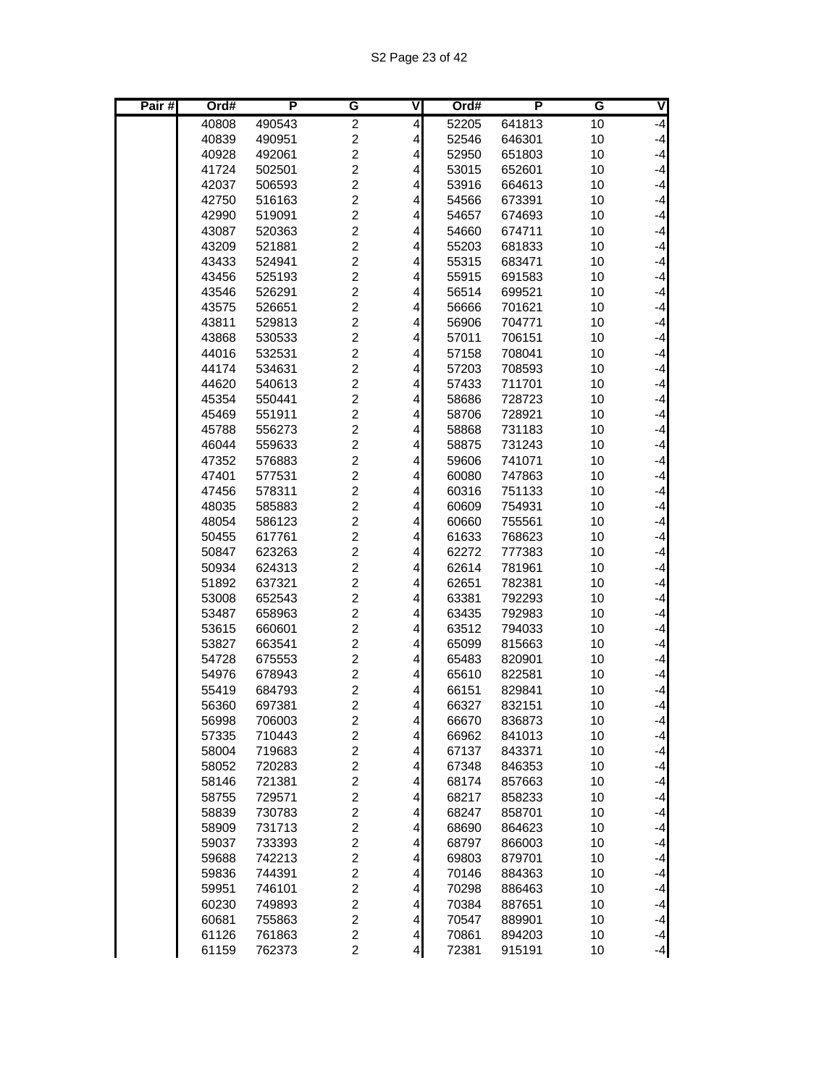| Pair# | Ord#           | P                | G                                | $\overline{\mathsf{V}}$ | Ord#           | P                | G        | V            |
|-------|----------------|------------------|----------------------------------|-------------------------|----------------|------------------|----------|--------------|
|       | 40808          | 490543           | $\overline{c}$                   | 4                       | 52205          | 641813           | 10       | $-4$         |
|       | 40839          | 490951           | $\overline{c}$                   | $\overline{\mathbf{r}}$ | 52546          | 646301           | 10       | $-4$         |
|       | 40928          | 492061           | $\overline{c}$                   | $\overline{\mathbf{r}}$ | 52950          | 651803           | 10       | $-4$         |
|       | 41724          | 502501           | $\overline{c}$                   | 4                       | 53015          | 652601           | 10       | $-4$         |
|       | 42037          | 506593           | $\overline{c}$                   | 4                       | 53916          | 664613           | 10       | $-4$         |
|       | 42750          | 516163           | $\overline{c}$                   | 4                       | 54566          | 673391           | 10       | $-4$         |
|       | 42990          | 519091           | $\overline{c}$                   | 4                       | 54657          | 674693           | 10       | $-4$         |
|       | 43087          | 520363           | $\overline{c}$                   | 4                       | 54660          | 674711           | 10       | $-4$         |
|       | 43209          | 521881           | $\overline{c}$                   | 4                       | 55203          | 681833           | 10       | $-4$         |
|       | 43433          | 524941           | $\overline{c}$                   | $\overline{\mathbf{r}}$ | 55315          | 683471           | 10       | $-4$         |
|       | 43456          | 525193           | $\overline{c}$                   | $\overline{\mathbf{r}}$ | 55915          | 691583           | 10       | $-4$         |
|       | 43546          | 526291           | $\overline{c}$                   | 4                       | 56514          | 699521           | 10       | $-4$         |
|       | 43575          | 526651           | $\overline{c}$                   | 4                       | 56666          | 701621           | 10       | $-4$         |
|       | 43811          | 529813           | $\overline{c}$                   | 4                       | 56906          | 704771           | 10       | $-4$         |
|       | 43868          | 530533           | $\overline{c}$                   | 4                       | 57011          | 706151           | 10       | $-4$         |
|       | 44016          | 532531           | $\overline{c}$                   | 4                       | 57158          | 708041           | 10       | $-4$         |
|       | 44174          | 534631           | $\overline{c}$                   | $\overline{\mathbf{r}}$ | 57203          | 708593           | 10       | $-4$<br>$-4$ |
|       | 44620          | 540613           | $\overline{c}$<br>$\overline{2}$ | $\overline{\mathbf{r}}$ | 57433          | 711701           | 10       | $-4$         |
|       | 45354          | 550441<br>551911 | $\overline{c}$                   | 4                       | 58686<br>58706 | 728723<br>728921 | 10<br>10 | $-4$         |
|       | 45469<br>45788 | 556273           | $\overline{c}$                   | 4<br>4                  | 58868          | 731183           | 10       | $-4$         |
|       | 46044          | 559633           | $\overline{c}$                   | 4                       | 58875          | 731243           | 10       | $-4$         |
|       | 47352          | 576883           | $\overline{c}$                   | 4                       | 59606          | 741071           | 10       | $-4$         |
|       | 47401          | 577531           | $\overline{c}$                   | 4                       | 60080          | 747863           | 10       | $-4$         |
|       | 47456          | 578311           | $\overline{c}$                   | $\overline{\mathbf{r}}$ | 60316          | 751133           | 10       | $-4$         |
|       | 48035          | 585883           | $\overline{2}$                   | $\vert 4 \vert$         | 60609          | 754931           | 10       | $-4$         |
|       | 48054          | 586123           | $\overline{c}$                   | 4                       | 60660          | 755561           | 10       | $-4$         |
|       | 50455          | 617761           | $\overline{c}$                   | 4                       | 61633          | 768623           | 10       | $-4$         |
|       | 50847          | 623263           | $\overline{c}$                   | 4                       | 62272          | 777383           | 10       | $-4$         |
|       | 50934          | 624313           | 2                                | 4                       | 62614          | 781961           | 10       | $-4$         |
|       | 51892          | 637321           | 2                                | 4                       | 62651          | 782381           | 10       | $-4$         |
|       | 53008          | 652543           | $\overline{c}$                   | $\overline{\mathbf{r}}$ | 63381          | 792293           | 10       | $-4$         |
|       | 53487          | 658963           | $\overline{c}$                   | 4                       | 63435          | 792983           | 10       | $-4$         |
|       | 53615          | 660601           | $\overline{c}$                   | 4                       | 63512          | 794033           | 10       | $-4$         |
|       | 53827          | 663541           | $\overline{c}$                   | 4                       | 65099          | 815663           | 10       | $-4$         |
|       | 54728          | 675553           | $\overline{c}$                   | 4                       | 65483          | 820901           | 10       | $-4$         |
|       | 54976          | 678943           | $\overline{c}$                   | 4                       | 65610          | 822581           | 10       | $-4$         |
|       | 55419          | 684793           | $\overline{c}$                   | 4                       | 66151          | 829841           | 10       | $-4$         |
|       | 56360          | 697381           | $\overline{c}$                   | $\overline{4}$          | 66327          | 832151           | 10       | $-4$         |
|       | 56998          | 706003           | 2                                | $\vert$                 | 66670          | 836873           | 10       | $-4$         |
|       | 57335          | 710443           | $\overline{c}$                   | $\overline{4}$          | 66962          | 841013           | 10       | $-4$         |
|       | 58004          | 719683           | $\overline{c}$                   | $\vert$                 | 67137          | 843371           | 10       | $-4$         |
|       | 58052          | 720283           | $\overline{c}$                   | 4                       | 67348          | 846353           | 10       | $-4$         |
|       | 58146          | 721381           | $\overline{c}$                   | 4                       | 68174          | 857663           | 10       | $-4$         |
|       | 58755          | 729571           | $\overline{\mathbf{c}}$          | 4                       | 68217          | 858233           | 10       | $-4$         |
|       | 58839          | 730783           | $\overline{c}$                   | $\vert 4 \vert$         | 68247          | 858701           | 10       | $-4$         |
|       | 58909          | 731713           | $\overline{c}$                   | $\vert 4 \vert$         | 68690          | 864623           | 10       | $-4$         |
|       | 59037          | 733393           | $\overline{c}$                   | $\vert 4 \vert$         | 68797          | 866003           | 10       | $-4$         |
|       | 59688          | 742213           | $\overline{c}$<br>$\overline{c}$ | $\vert 4 \vert$         | 69803          | 879701           | 10       | $-4$         |
|       | 59836<br>59951 | 744391<br>746101 | $\overline{c}$                   | 4<br>4                  | 70146<br>70298 | 884363<br>886463 | 10<br>10 | $-4$<br>$-4$ |
|       | 60230          | 749893           | $\overline{\mathbf{c}}$          | 4                       | 70384          | 887651           | 10       | $-4$         |
|       | 60681          | 755863           | $\overline{c}$                   | $\vert$                 | 70547          | 889901           | 10       | $-4$         |
|       | 61126          | 761863           | $\overline{c}$                   | $\overline{4}$          | 70861          | 894203           | 10       | $-4$         |
|       | 61159          | 762373           | $\overline{c}$                   | $\overline{4}$          | 72381          | 915191           | 10       | $-4$         |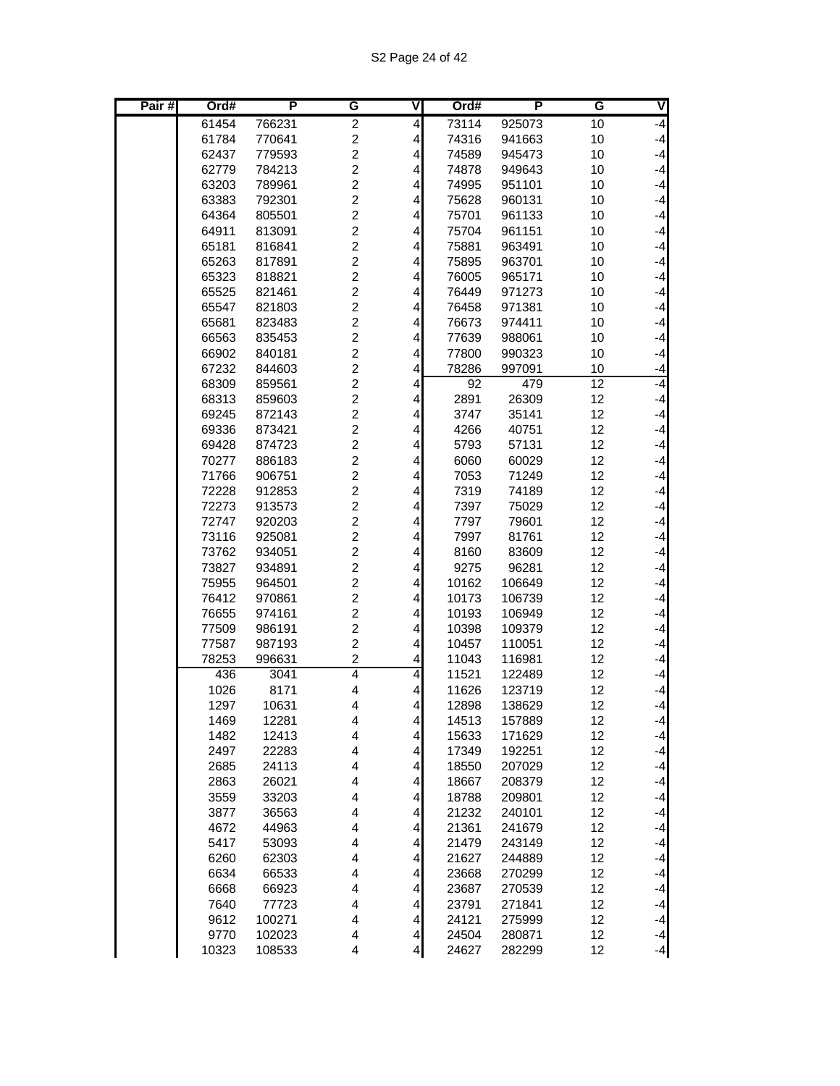| Pair# | Ord#           | Р                | G                       | v                            | Ord#           | Р                | G               | V            |
|-------|----------------|------------------|-------------------------|------------------------------|----------------|------------------|-----------------|--------------|
|       | 61454          | 766231           | $\overline{c}$          | $\overline{\mathbf{4}}$      | 73114          | 925073           | 10              | -4           |
|       | 61784          | 770641           | $\overline{c}$          | $\overline{\mathbf{r}}$      | 74316          | 941663           | 10              | $-4$         |
|       | 62437          | 779593           | $\overline{c}$          | 4                            | 74589          | 945473           | 10              | $-4$         |
|       | 62779          | 784213           | $\overline{c}$          | $\overline{\mathbf{r}}$      | 74878          | 949643           | 10              | $-4$         |
|       | 63203          | 789961           | $\overline{c}$          | 4                            | 74995          | 951101           | 10              | $-4$         |
|       | 63383          | 792301           | $\overline{c}$          | 4                            | 75628          | 960131           | 10              | $-4$         |
|       | 64364          | 805501           | $\overline{c}$          | 4                            | 75701          | 961133           | 10              | $-4$         |
|       | 64911          | 813091           | $\overline{c}$          | 4                            | 75704          | 961151           | 10              | $-4$         |
|       | 65181          | 816841           | $\overline{c}$          | 4                            | 75881          | 963491           | 10              | $-4$         |
|       | 65263          | 817891           | $\overline{c}$          | 4                            | 75895          | 963701           | 10              | $-4$         |
|       | 65323          | 818821           | $\overline{c}$          | $\overline{\mathbf{r}}$      | 76005          | 965171           | 10              | $-4$         |
|       | 65525          | 821461           | $\overline{c}$          | $\overline{\mathbf{r}}$      | 76449          | 971273           | 10              | $-4$         |
|       | 65547          | 821803           | $\overline{c}$          | 4                            | 76458          | 971381           | 10              | $-4$         |
|       | 65681          | 823483           | $\overline{c}$          | 4                            | 76673          | 974411           | 10              | $-4$         |
|       | 66563          | 835453           | $\overline{c}$          | 4                            | 77639          | 988061           | 10              | $-4$         |
|       | 66902          | 840181           | $\overline{c}$          | 4                            | 77800          | 990323           | 10              | $-4$         |
|       | 67232          | 844603           | $\overline{c}$          | 4                            | 78286          | 997091           | 10              | $-4$         |
|       | 68309          | 859561           | $\overline{c}$          | $\overline{\mathbf{r}}$      | 92             | 479              | $\overline{12}$ | $-4$         |
|       | 68313          | 859603           | $\overline{c}$          | $\vert$                      | 2891           | 26309            | 12              | $-4$         |
|       | 69245          | 872143           | $\overline{c}$          | $\vert 4 \vert$              | 3747           | 35141            | 12              | $-4$         |
|       | 69336          | 873421           | $\overline{c}$          | $\vert$                      | 4266           | 40751            | 12              | $-4$         |
|       | 69428          | 874723           | $\overline{c}$          | 4                            | 5793           | 57131            | 12              | $-4$         |
|       | 70277          | 886183           | $\overline{c}$          | 4                            | 6060           | 60029            | 12              | $-4$         |
|       | 71766          | 906751           | $\overline{c}$          | $\overline{\mathbf{r}}$      | 7053           | 71249            | 12              | $-4$         |
|       | 72228          | 912853           | $\overline{c}$          | $\overline{\mathbf{4}}$      | 7319           | 74189            | 12              | $-4$         |
|       | 72273          | 913573           | $\overline{c}$          | $\vert$                      | 7397           | 75029            | 12              | $-4$         |
|       | 72747          | 920203           | $\overline{2}$          | $\vert 4 \vert$              | 7797           | 79601            | 12              | $-4$         |
|       | 73116          | 925081           | $\overline{c}$          | $\vert 4 \vert$              | 7997           | 81761            | 12              | $-4$         |
|       | 73762          | 934051           | $\overline{c}$          | 4                            | 8160           | 83609            | 12              | $-4$<br>$-4$ |
|       | 73827          | 934891           | 2<br>$\overline{c}$     | 4                            | 9275           | 96281            | 12              |              |
|       | 75955<br>76412 | 964501<br>970861 | 2                       | 4<br>$\overline{\mathbf{r}}$ | 10162<br>10173 | 106649<br>106739 | 12<br>12        | $-4$<br>$-4$ |
|       | 76655          | 974161           | $\overline{c}$          | $\overline{\mathbf{r}}$      | 10193          | 106949           | 12              | $-4$         |
|       | 77509          | 986191           | $\overline{2}$          | 4                            | 10398          | 109379           | 12              | $-4$         |
|       | 77587          | 987193           | $\overline{c}$          | 4                            | 10457          | 110051           | 12              | $-4$         |
|       | 78253          | 996631           | $\overline{c}$          | 4                            | 11043          | 116981           | 12              | $-4$         |
|       | 436            | 3041             | $\overline{4}$          | $\overline{\mathbf{r}}$      | 11521          | 122489           | 12              | $-4$         |
|       | 1026           | 8171             | 4                       | 4                            | 11626          | 123719           | 12              | $-4$         |
|       | 1297           | 10631            | $\overline{4}$          | $\overline{4}$               | 12898          | 138629           | 12              | $-4$         |
|       | 1469           | 12281            | 4                       | $\overline{4}$               | 14513          | 157889           | 12              | $-4$         |
|       | 1482           | 12413            | $\overline{\mathbf{4}}$ | $\overline{4}$               | 15633          | 171629           | 12              | $-4$         |
|       | 2497           | 22283            | 4                       | $\vert 4 \vert$              | 17349          | 192251           | 12              | $-4$         |
|       | 2685           | 24113            | $\overline{\mathbf{4}}$ | $\vert 4 \vert$              | 18550          | 207029           | 12              | $-4$         |
|       | 2863           | 26021            | $\overline{\mathbf{4}}$ | 4                            | 18667          | 208379           | 12              | $-4$         |
|       | 3559           | 33203            | 4                       | 4                            | 18788          | 209801           | 12              | $-4$         |
|       | 3877           | 36563            | 4                       | $\vert 4 \vert$              | 21232          | 240101           | 12              | $-4$         |
|       | 4672           | 44963            | $\overline{\mathbf{4}}$ | $\vert 4 \vert$              | 21361          | 241679           | 12              | $-4$         |
|       | 5417           | 53093            | $\overline{\mathbf{4}}$ | $\vert 4 \vert$              | 21479          | 243149           | 12              | $-4$         |
|       | 6260           | 62303            | $\overline{\mathbf{4}}$ | $\vert 4 \vert$              | 21627          | 244889           | 12              | $-4$         |
|       | 6634           | 66533            | $\overline{\mathbf{4}}$ | $\vert 4 \vert$              | 23668          | 270299           | 12              | $-4$         |
|       | 6668           | 66923            | 4                       | $\vert 4 \vert$              | 23687          | 270539           | 12              | $-4$         |
|       | 7640           | 77723            | 4                       | 4                            | 23791          | 271841           | 12              | $-4$         |
|       | 9612           | 100271           | 4                       | $\vert 4 \vert$              | 24121          | 275999           | 12              | $-4$         |
|       | 9770           | 102023           | 4                       | $\vert 4 \vert$              | 24504          | 280871           | 12              | $-4$         |
|       | 10323          | 108533           | $\overline{\mathbf{4}}$ | $\overline{\mathbf{4}}$      | 24627          | 282299           | 12              | $-4$         |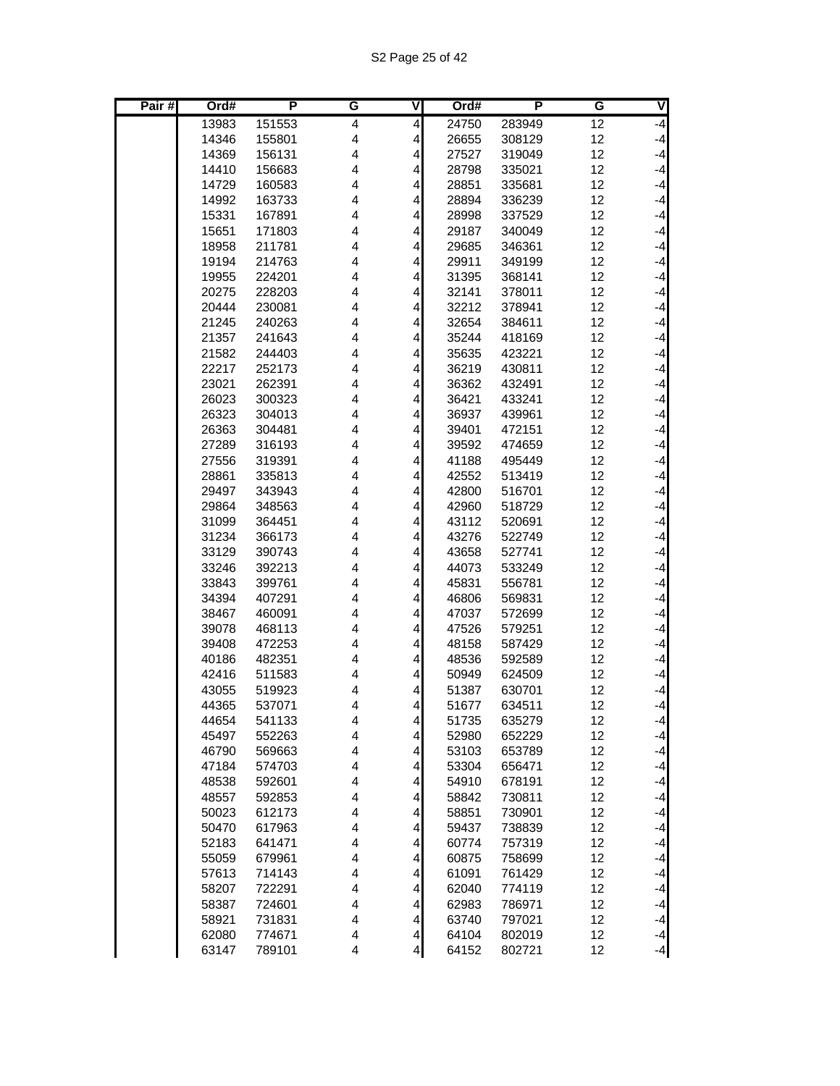| Pair# | Ord#           | P                | G                       | ٧                       | Ord#           | P                | G        | V            |
|-------|----------------|------------------|-------------------------|-------------------------|----------------|------------------|----------|--------------|
|       | 13983          | 151553           | 4                       | $\overline{\mathbf{r}}$ | 24750          | 283949           | 12       | -4           |
|       | 14346          | 155801           | 4                       | $\vert 4 \vert$         | 26655          | 308129           | 12       | $-4$         |
|       | 14369          | 156131           | 4                       | $\overline{\mathbf{r}}$ | 27527          | 319049           | 12       | $-4$         |
|       | 14410          | 156683           | 4                       | $\overline{\mathbf{r}}$ | 28798          | 335021           | 12       | $-4$         |
|       | 14729          | 160583           | 4                       | $\vert 4 \vert$         | 28851          | 335681           | 12       | $-4$         |
|       | 14992          | 163733           | 4                       | 4                       | 28894          | 336239           | 12       | $-4$         |
|       | 15331          | 167891           | 4                       | 4                       | 28998          | 337529           | 12       | $-4$         |
|       | 15651          | 171803           | 4                       | $\overline{\mathbf{r}}$ | 29187          | 340049           | 12       | $-4$         |
|       | 18958          | 211781           | 4                       | 4                       | 29685          | 346361           | 12       | $-4$         |
|       | 19194          | 214763           | 4                       | $\overline{\mathbf{4}}$ | 29911          | 349199           | 12       | $-4$         |
|       | 19955          | 224201           | 4                       | $\overline{\mathbf{r}}$ | 31395          | 368141           | 12       | $-4$         |
|       | 20275          | 228203           | 4                       | $\overline{\mathbf{4}}$ | 32141          | 378011           | 12       | $-4$         |
|       | 20444          | 230081           | 4                       | $\vert 4 \vert$         | 32212          | 378941           | 12       | $-4$         |
|       | 21245          | 240263           | 4                       | 4                       | 32654          | 384611           | 12       | $-4$         |
|       | 21357          | 241643           | $\overline{4}$          | 4                       | 35244          | 418169           | 12       | $-4$         |
|       | 21582          | 244403           | $\overline{4}$          | 4                       | 35635          | 423221           | 12       | $-4$         |
|       | 22217          | 252173           | $\overline{4}$          | 4                       | 36219          | 430811           | 12       | $-4$         |
|       | 23021          | 262391           | 4                       | $\overline{\mathbf{r}}$ | 36362          | 432491           | 12       | $-4$         |
|       | 26023          | 300323           | 4                       | $\overline{\mathbf{4}}$ | 36421          | 433241           | 12       | $-4$         |
|       | 26323          | 304013           | 4                       | $\vert 4 \vert$         | 36937          | 439961           | 12       | $-4$         |
|       | 26363          | 304481           | 4                       | 4                       | 39401          | 472151           | 12       | $-4$         |
|       | 27289          | 316193           | 4                       | 4                       | 39592          | 474659           | 12       | $-4$         |
|       | 27556          | 319391           | 4                       | 4                       | 41188          | 495449           | 12       | $-4$         |
|       | 28861          | 335813           | 4                       | $\overline{\mathbf{r}}$ | 42552          | 513419           | 12       | $-4$         |
|       | 29497          | 343943           | 4                       | $\overline{\mathbf{r}}$ | 42800          | 516701           | 12       | $-4$         |
|       | 29864          | 348563           | $\overline{\mathbf{4}}$ | $\overline{\mathbf{r}}$ | 42960          | 518729           | 12       | $-4$         |
|       | 31099          | 364451           | $\overline{4}$          | $\vert 4 \vert$         | 43112          | 520691           | 12       | $-4$         |
|       | 31234          | 366173           | 4                       | 4                       | 43276          | 522749           | 12       | $-4$         |
|       | 33129          | 390743           | 4                       | 4                       | 43658          | 527741           | 12       | $-4$         |
|       | 33246          | 392213           | 4                       | 4                       | 44073          | 533249           | 12       | $-4$         |
|       | 33843          | 399761           | $\overline{4}$          | 4                       | 45831          | 556781           | 12       | $-4$         |
|       | 34394          | 407291           | 4                       | $\overline{\mathbf{r}}$ | 46806          | 569831           | 12       | $-4$         |
|       | 38467          | 460091           | 4                       | $\overline{\mathbf{r}}$ | 47037<br>47526 | 572699           | 12<br>12 | $-4$<br>$-4$ |
|       | 39078          | 468113           | 4<br>4                  | $\vert 4 \vert$         |                | 579251           | 12       | $-4$         |
|       | 39408          | 472253<br>482351 | 4                       | 4                       | 48158          | 587429           | 12       | $-4$         |
|       | 40186<br>42416 | 511583           | 4                       | 4<br>4                  | 48536<br>50949 | 592589<br>624509 | 12       | $-4$         |
|       | 43055          | 519923           | 4                       | $\overline{\mathbf{r}}$ | 51387          | 630701           | 12       | $-4$         |
|       | 44365          | 537071           | 4                       | $\overline{4}$          | 51677          | 634511           | 12       | $-4$         |
|       | 44654          | 541133           | 4                       | $\overline{4}$          | 51735          | 635279           | 12       | $-4$         |
|       | 45497          | 552263           | 4                       | $\overline{4}$          | 52980          | 652229           | 12       | $-4$         |
|       | 46790          | 569663           | $\overline{\mathbf{4}}$ | $\vert$                 | 53103          | 653789           | 12       | $-4$         |
|       | 47184          | 574703           | $\overline{\mathbf{4}}$ | $\vert$                 | 53304          | 656471           | 12       | $-4$         |
|       | 48538          | 592601           | $\overline{\mathbf{4}}$ | $\overline{\mathbf{4}}$ | 54910          | 678191           | 12       | $-4$         |
|       | 48557          | 592853           | 4                       | $\vert 4 \vert$         | 58842          | 730811           | 12       | $-4$         |
|       | 50023          | 612173           | 4                       | $\vert$                 | 58851          | 730901           | 12       | $-4$         |
|       | 50470          | 617963           | $\overline{\mathbf{4}}$ | $\vert$                 | 59437          | 738839           | 12       | $-4$         |
|       | 52183          | 641471           | $\overline{\mathbf{4}}$ | $\overline{4}$          | 60774          | 757319           | 12       | $-4$         |
|       | 55059          | 679961           | $\overline{\mathbf{4}}$ | $\vert$                 | 60875          | 758699           | 12       | $-4$         |
|       | 57613          | 714143           | $\overline{\mathbf{4}}$ | $\vert$                 | 61091          | 761429           | 12       | $-4$         |
|       | 58207          | 722291           | $\overline{\mathbf{4}}$ | 4                       | 62040          | 774119           | 12       | $-4$         |
|       | 58387          | 724601           | 4                       | $\vert 4 \vert$         | 62983          | 786971           | 12       | $-4$         |
|       | 58921          | 731831           | 4                       | $\vert$                 | 63740          | 797021           | 12       | $-4$         |
|       | 62080          | 774671           | $\overline{\mathbf{4}}$ | $\overline{4}$          | 64104          | 802019           | 12       | $-4$         |
|       | 63147          | 789101           | $\overline{\mathbf{4}}$ | $\overline{4}$          | 64152          | 802721           | 12       | $-4$         |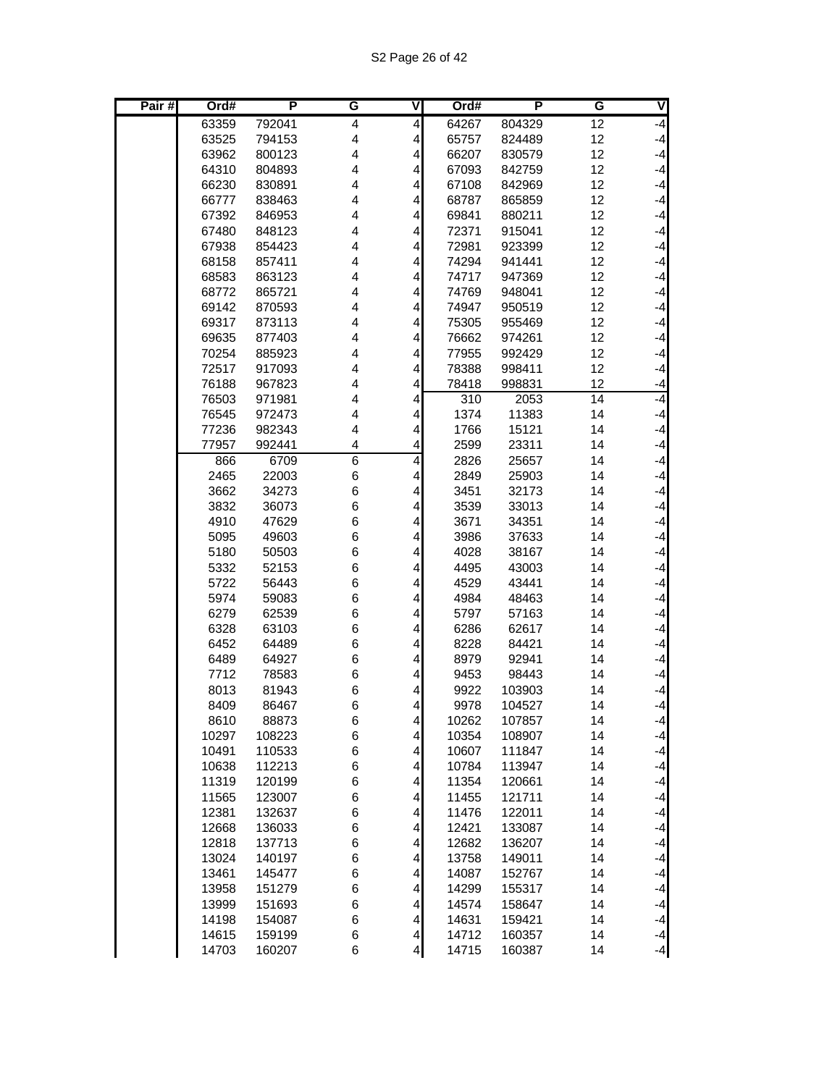| Pair# | Ord#           | Р                | G                       | ٧                                  | Ord#           | P                | G        | V            |
|-------|----------------|------------------|-------------------------|------------------------------------|----------------|------------------|----------|--------------|
|       | 63359          | 792041           | $\overline{\mathbf{4}}$ | $\overline{4}$                     | 64267          | 804329           | 12       | -4           |
|       | 63525          | 794153           | 4                       | $\overline{4}$                     | 65757          | 824489           | 12       | $-4$         |
|       | 63962          | 800123           | 4                       | $\overline{4}$                     | 66207          | 830579           | 12       | $-4$         |
|       | 64310          | 804893           | 4                       | 4                                  | 67093          | 842759           | 12       | $-4$         |
|       | 66230          | 830891           | $\overline{4}$          | 4                                  | 67108          | 842969           | 12       | $-4$         |
|       | 66777          | 838463           | 4                       | 4                                  | 68787          | 865859           | 12       | $-4$         |
|       | 67392          | 846953           | 4                       | 4                                  | 69841          | 880211           | 12       | $-4$         |
|       | 67480          | 848123           | 4                       | 4                                  | 72371          | 915041           | 12       | $-4$         |
|       | 67938          | 854423           | $\overline{4}$          | 4                                  | 72981          | 923399           | 12       | $-4$         |
|       | 68158          | 857411           | 4                       | 4                                  | 74294          | 941441           | 12       | $-4$         |
|       | 68583          | 863123           | 4                       | 4                                  | 74717          | 947369           | 12       | $-4$         |
|       | 68772          | 865721           | 4                       | 4                                  | 74769          | 948041           | 12       | $-4$         |
|       | 69142          | 870593           | 4                       | 4                                  | 74947          | 950519           | 12       | $-4$         |
|       | 69317          | 873113           | 4                       | 4                                  | 75305          | 955469           | 12       | $-4$         |
|       | 69635          | 877403           | $\overline{4}$          | 4                                  | 76662          | 974261           | 12       | $-4$         |
|       | 70254          | 885923           | $\overline{4}$          | 4                                  | 77955          | 992429           | 12       | $-4$         |
|       | 72517          | 917093           | $\overline{4}$<br>4     | 4<br>4                             | 78388          | 998411           | 12<br>12 | $-4$         |
|       | 76188          | 967823           | 4                       |                                    | 78418          | 998831           | 14       | $-4$<br>$-4$ |
|       | 76503<br>76545 | 971981<br>972473 | 4                       | $\overline{\mathbf{r}}$<br>4       | 310<br>1374    | 2053<br>11383    | 14       | $-4$         |
|       | 77236          | 982343           | $\overline{4}$          | 4                                  | 1766           | 15121            | 14       | $-4$         |
|       | 77957          | 992441           | 4                       | 4                                  | 2599           | 23311            | 14       | $-4$         |
|       | 866            | 6709             | $\overline{6}$          | 4                                  | 2826           | 25657            | 14       | $-4$         |
|       | 2465           | 22003            | 6                       | $\overline{\mathbf{4}}$            | 2849           | 25903            | 14       | $-4$         |
|       | 3662           | 34273            | 6                       | $\overline{\mathbf{r}}$            | 3451           | 32173            | 14       | $-4$         |
|       | 3832           | 36073            | 6                       | $\overline{\mathbf{r}}$            | 3539           | 33013            | 14       | $-4$         |
|       | 4910           | 47629            | 6                       | 4                                  | 3671           | 34351            | 14       | $-4$         |
|       | 5095           | 49603            | 6                       | $\overline{\mathbf{r}}$            | 3986           | 37633            | 14       | $-4$         |
|       | 5180           | 50503            | 6                       | 4                                  | 4028           | 38167            | 14       | $-4$         |
|       | 5332           | 52153            | 6                       | 4                                  | 4495           | 43003            | 14       | $-4$         |
|       | 5722           | 56443            | 6                       | $\overline{\mathbf{r}}$            | 4529           | 43441            | 14       | $-4$         |
|       | 5974           | 59083            | 6                       | $\overline{\mathbf{r}}$            | 4984           | 48463            | 14       | $-4$         |
|       | 6279           | 62539            | 6                       | 4                                  | 5797           | 57163            | 14       | $-4$         |
|       | 6328           | 63103            | 6                       | 4                                  | 6286           | 62617            | 14       | $-4$         |
|       | 6452           | 64489            | 6                       | 4                                  | 8228           | 84421            | 14       | $-4$         |
|       | 6489           | 64927            | 6                       | 4                                  | 8979           | 92941            | 14       | $-4$         |
|       | 7712           | 78583            | 6                       | 4                                  | 9453           | 98443            | 14       | $-4$         |
|       | 8013           | 81943            | 6                       | $\overline{\mathbf{r}}$            | 9922           | 103903           | 14       | $-4$         |
|       | 8409           | 86467            | 6                       | $\overline{4}$                     | 9978           | 104527           | 14       | $-4$         |
|       | 8610           | 88873            | 6                       | $\vert$                            | 10262          | 107857           | 14       | $-4$         |
|       | 10297          | 108223           | 6                       | $\vert$                            | 10354          | 108907           | 14       | $-4$         |
|       | 10491          | 110533           | 6                       | $\vert$                            | 10607          | 111847           | 14       | $-4$         |
|       | 10638          | 112213           | 6                       | $\overline{4}$                     | 10784          | 113947           | 14       | $-4$         |
|       | 11319          | 120199           | 6                       | $\overline{4}$                     | 11354          | 120661           | 14       | $-4$         |
|       | 11565          | 123007           | 6                       | $\overline{\mathbf{r}}$            | 11455          | 121711           | 14       | $-4$         |
|       | 12381          | 132637           | 6                       | $\overline{\mathbf{4}}$            | 11476          | 122011           | 14       | $-4$         |
|       | 12668          | 136033           | 6                       | $\overline{\mathbf{r}}$            | 12421          | 133087<br>136207 | 14       | $-4$         |
|       | 12818          | 137713           | 6                       | $\vert$                            | 12682          |                  | 14       | $-4$         |
|       | 13024          | 140197           | 6                       | $\vert$<br>$\overline{\mathbf{4}}$ | 13758          | 149011           | 14       | $-4$         |
|       | 13461<br>13958 | 145477<br>151279 | 6<br>6                  | $\overline{4}$                     | 14087<br>14299 | 152767<br>155317 | 14<br>14 | $-4$<br>$-4$ |
|       | 13999          | 151693           | 6                       | $\overline{4}$                     | 14574          | 158647           | 14       | $-4$         |
|       | 14198          | 154087           | 6                       | $\vert$                            | 14631          | 159421           | 14       | $-4$         |
|       | 14615          | 159199           | 6                       | $\vert$                            | 14712          | 160357           | 14       | $-4$         |
|       | 14703          | 160207           | 6                       | $\overline{4}$                     | 14715          | 160387           | 14       | $-4$         |
|       |                |                  |                         |                                    |                |                  |          |              |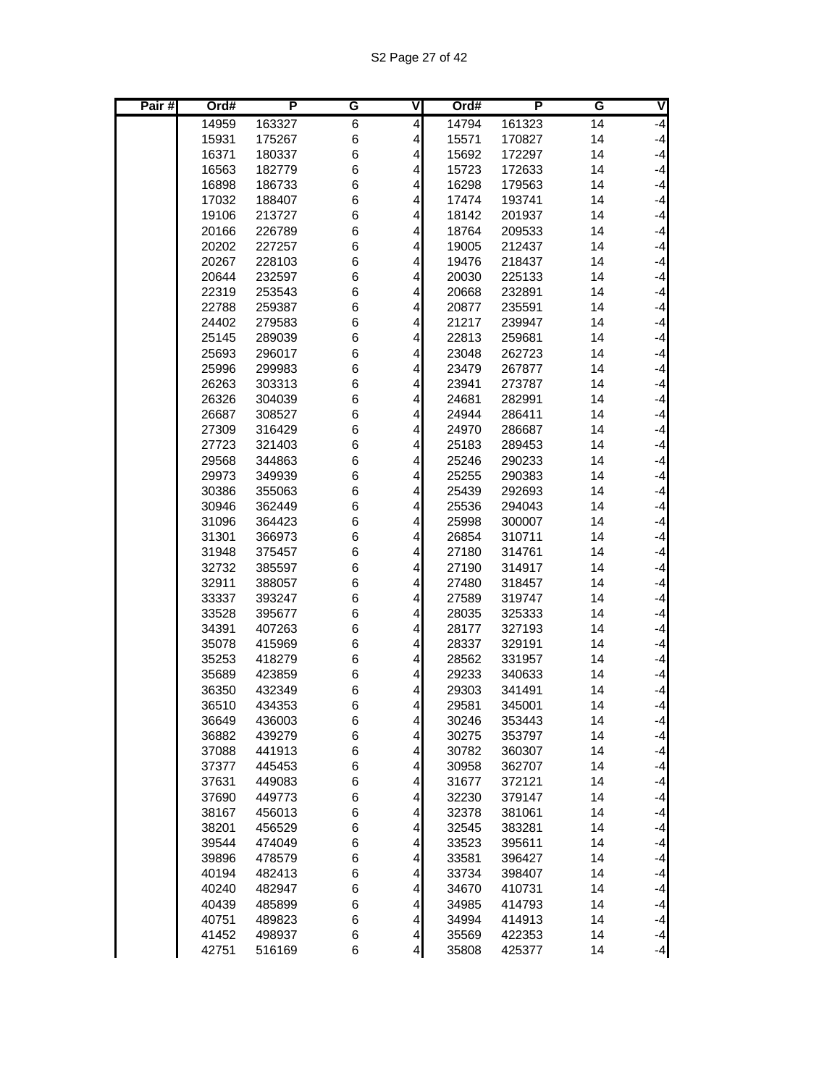S2 Page 27 of 42

| Pair# | Ord#           | P                | G      | ٧                            | Ord#           | P                | G        | V            |
|-------|----------------|------------------|--------|------------------------------|----------------|------------------|----------|--------------|
|       | 14959          | 163327           | 6      | $\overline{\mathbf{4}}$      | 14794          | 161323           | 14       | $-4$         |
|       | 15931          | 175267           | 6      | 4                            | 15571          | 170827           | 14       | $-4$         |
|       | 16371          | 180337           | 6      | 4                            | 15692          | 172297           | 14       | $-4$         |
|       | 16563          | 182779           | 6      | 4                            | 15723          | 172633           | 14       | $-4$         |
|       | 16898          | 186733           | 6      | 4                            | 16298          | 179563           | 14       | $-4$         |
|       | 17032          | 188407           | 6      | 4                            | 17474          | 193741           | 14       | $-4$         |
|       | 19106          | 213727           | 6      | 4                            | 18142          | 201937           | 14       | $-4$         |
|       | 20166          | 226789           | 6      | 4                            | 18764          | 209533           | 14       | $-4$         |
|       | 20202          | 227257           | 6      | 4                            | 19005          | 212437           | 14       | $-4$         |
|       | 20267          | 228103           | 6      | 4                            | 19476          | 218437           | 14       | $-4$         |
|       | 20644          | 232597           | 6      | 4                            | 20030          | 225133           | 14       | $-4$         |
|       | 22319          | 253543           | 6      | $\overline{\mathbf{r}}$      | 20668          | 232891           | 14       | $-4$         |
|       | 22788          | 259387           | 6      | 4                            | 20877          | 235591           | 14       | $-4$         |
|       | 24402          | 279583           | 6      | 4                            | 21217          | 239947           | 14       | $-4$         |
|       | 25145          | 289039           | 6      | 4                            | 22813          | 259681           | 14       | $-4$         |
|       | 25693          | 296017           | 6      | 4                            | 23048          | 262723           | 14       | $-4$         |
|       | 25996          | 299983           | 6      | 4                            | 23479          | 267877           | 14       | $-4$         |
|       | 26263          | 303313           | 6      | 4                            | 23941          | 273787           | 14       | $-4$         |
|       | 26326          | 304039           | 6      | $\overline{\mathbf{r}}$      | 24681          | 282991           | 14       | $-4$         |
|       | 26687          | 308527           | 6      | 4                            | 24944          | 286411           | 14       | $-4$         |
|       | 27309          | 316429           | 6      | 4                            | 24970          | 286687           | 14       | $-4$         |
|       | 27723          | 321403           | 6      | 4                            | 25183          | 289453           | 14       | $-4$         |
|       | 29568          | 344863           | 6      | 4                            | 25246          | 290233           | 14       | $-4$         |
|       | 29973          | 349939           | 6      | 4                            | 25255          | 290383           | 14       | $-4$         |
|       | 30386          | 355063           | 6      | 4<br>$\overline{\mathbf{r}}$ | 25439          | 292693           | 14       | $-4$<br>$-4$ |
|       | 30946<br>31096 | 362449<br>364423 | 6<br>6 | 4                            | 25536<br>25998 | 294043<br>300007 | 14<br>14 | $-4$         |
|       | 31301          | 366973           | 6      | 4                            | 26854          | 310711           | 14       | $-4$         |
|       | 31948          | 375457           | 6      | 4                            | 27180          | 314761           | 14       | $-4$         |
|       | 32732          | 385597           | 6      | 4                            | 27190          | 314917           | 14       | $-4$         |
|       | 32911          | 388057           | 6      | 4                            | 27480          | 318457           | 14       | $-4$         |
|       | 33337          | 393247           | 6      | 4                            | 27589          | 319747           | 14       | $-4$         |
|       | 33528          | 395677           | 6      | $\overline{\mathbf{r}}$      | 28035          | 325333           | 14       | $-4$         |
|       | 34391          | 407263           | 6      | 4                            | 28177          | 327193           | 14       | $-4$         |
|       | 35078          | 415969           | 6      | 4                            | 28337          | 329191           | 14       | $-4$         |
|       | 35253          | 418279           | 6      | 4                            | 28562          | 331957           | 14       | $-4$         |
|       | 35689          | 423859           | 6      | 4                            | 29233          | 340633           | 14       | $-4$         |
|       | 36350          | 432349           | 6      | 4                            | 29303          | 341491           | 14       | $-4$         |
|       | 36510          | 434353           | 6      | $\overline{4}$               | 29581          | 345001           | 14       | $-4$         |
|       | 36649          | 436003           | 6      | $\vert$                      | 30246          | 353443           | 14       | -4           |
|       | 36882          | 439279           | 6      | $\vert$                      | 30275          | 353797           | 14       | $-4$         |
|       | 37088          | 441913           | 6      | $\overline{\mathbf{r}}$      | 30782          | 360307           | 14       | $-4$         |
|       | 37377          | 445453           | 6      | 4                            | 30958          | 362707           | 14       | $-4$         |
|       | 37631          | 449083           | 6      | 4                            | 31677          | 372121           | 14       | $-4$         |
|       | 37690          | 449773           | 6      | $\overline{\mathcal{L}}$     | 32230          | 379147           | 14       | $-4$         |
|       | 38167          | 456013           | 6      | $\overline{\mathcal{L}}$     | 32378          | 381061           | 14       | $-4$         |
|       | 38201          | 456529           | 6      | $\overline{4}$               | 32545          | 383281           | 14       | $-4$         |
|       | 39544          | 474049           | 6      | 4                            | 33523          | 395611           | 14       | $-4$         |
|       | 39896          | 478579           | 6      | $\overline{\mathbf{r}}$      | 33581          | 396427           | 14       | $-4$         |
|       | 40194          | 482413           | 6      | 4                            | 33734          | 398407           | 14       | $-4$         |
|       | 40240          | 482947           | 6      | 4                            | 34670          | 410731           | 14       | $-4$         |
|       | 40439          | 485899           | 6      | 4                            | 34985          | 414793           | 14       | $-4$         |
|       | 40751          | 489823           | 6      | $\overline{\mathbf{r}}$      | 34994          | 414913           | 14       | $-4$         |
|       | 41452          | 498937           | 6      | $\overline{\mathcal{L}}$     | 35569          | 422353           | 14       | $-4$         |
|       | 42751          | 516169           | 6      | $\overline{\mathbf{4}}$      | 35808          | 425377           | 14       | $-4$         |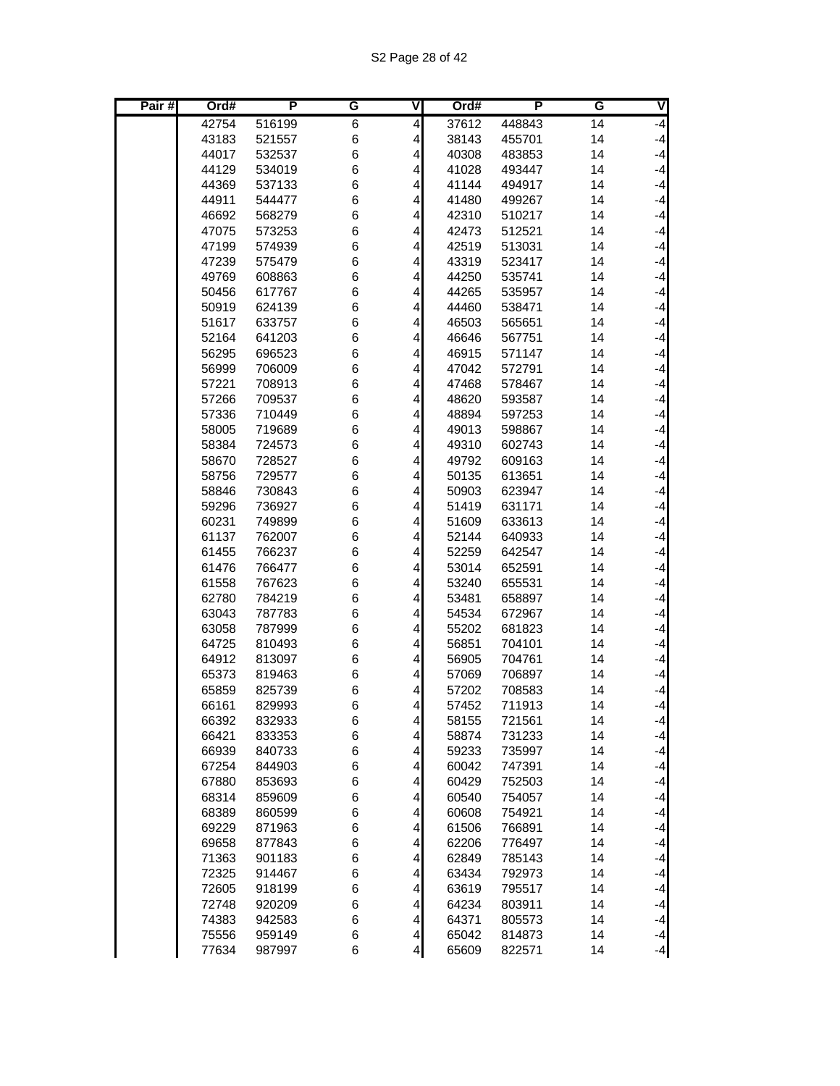| Pair# | Ord#           | P                | G      | ٧                            | Ord#           | P                | G        | V            |
|-------|----------------|------------------|--------|------------------------------|----------------|------------------|----------|--------------|
|       | 42754          | 516199           | 6      | 4                            | 37612          | 448843           | 14       | $-4$         |
|       | 43183          | 521557           | 6      | $\overline{\mathbf{r}}$      | 38143          | 455701           | 14       | $-4$         |
|       | 44017          | 532537           | 6      | $\overline{\mathbf{r}}$      | 40308          | 483853           | 14       | $-4$         |
|       | 44129          | 534019           | 6      | 4                            | 41028          | 493447           | 14       | $-4$         |
|       | 44369          | 537133           | 6      | 4                            | 41144          | 494917           | 14       | $-4$         |
|       | 44911          | 544477           | 6      | 4                            | 41480          | 499267           | 14       | $-4$         |
|       | 46692          | 568279           | 6      | 4                            | 42310          | 510217           | 14       | $-4$         |
|       | 47075          | 573253           | 6      | 4                            | 42473          | 512521           | 14       | $-4$         |
|       | 47199          | 574939           | 6      | 4                            | 42519          | 513031           | 14       | $-4$         |
|       | 47239          | 575479           | 6      | $\overline{\mathbf{r}}$      | 43319          | 523417           | 14       | $-4$         |
|       | 49769          | 608863           | 6      | $\overline{\mathbf{r}}$      | 44250          | 535741           | 14       | $-4$         |
|       | 50456          | 617767           | 6      | 4                            | 44265          | 535957           | 14       | $-4$         |
|       | 50919          | 624139           | 6      | 4                            | 44460          | 538471           | 14       | $-4$         |
|       | 51617          | 633757           | 6      | 4                            | 46503          | 565651           | 14       | $-4$         |
|       | 52164          | 641203           | 6      | 4                            | 46646          | 567751           | 14       | $-4$         |
|       | 56295          | 696523           | 6      | 4                            | 46915          | 571147           | 14       | $-4$         |
|       | 56999          | 706009           | 6      | $\overline{\mathbf{r}}$      | 47042          | 572791           | 14       | $-4$         |
|       | 57221          | 708913           | 6      | $\overline{\mathbf{r}}$      | 47468          | 578467           | 14       | $-4$         |
|       | 57266          | 709537           | 6      | 4                            | 48620          | 593587           | 14       | $-4$         |
|       | 57336          | 710449           | 6      | 4                            | 48894          | 597253           | 14       | $-4$         |
|       | 58005          | 719689           | 6      | 4                            | 49013          | 598867           | 14       | $-4$         |
|       | 58384          | 724573           | 6      | 4                            | 49310          | 602743           | 14       | $-4$         |
|       | 58670          | 728527           | 6      | 4                            | 49792          | 609163           | 14       | $-4$         |
|       | 58756          | 729577           | 6      | 4                            | 50135          | 613651           | 14       | $-4$         |
|       | 58846          | 730843           | 6      | $\overline{\mathbf{r}}$      | 50903          | 623947           | 14       | $-4$         |
|       | 59296          | 736927           | 6      | 4                            | 51419          | 631171           | 14       | $-4$         |
|       | 60231          | 749899           | 6      | 4                            | 51609          | 633613           | 14       | $-4$         |
|       | 61137          | 762007           | 6      | 4                            | 52144          | 640933           | 14       | $-4$         |
|       | 61455          | 766237           | 6      | 4                            | 52259          | 642547           | 14       | $-4$         |
|       | 61476          | 766477           | 6      | 4                            | 53014          | 652591           | 14       | $-4$         |
|       | 61558          | 767623           | 6      | 4                            | 53240          | 655531           | 14       | $-4$         |
|       | 62780          | 784219           | 6      | $\overline{\mathbf{r}}$      | 53481          | 658897           | 14       | $-4$         |
|       | 63043          | 787783           | 6      | 4                            | 54534          | 672967           | 14       | $-4$         |
|       | 63058          | 787999           | 6      | 4                            | 55202          | 681823           | 14       | $-4$<br>$-4$ |
|       | 64725          | 810493           | 6      | 4                            | 56851          | 704101           | 14       | $-4$         |
|       | 64912<br>65373 | 813097<br>819463 | 6<br>6 | $\overline{\mathbf{r}}$<br>4 | 56905<br>57069 | 704761<br>706897 | 14<br>14 | $-4$         |
|       | 65859          | 825739           | 6      | $\overline{\mathbf{r}}$      | 57202          | 708583           | 14       | $-4$         |
|       | 66161          | 829993           | 6      | $\overline{4}$               | 57452          | 711913           | 14       | $-4$         |
|       | 66392          | 832933           | 6      | $\vert$                      | 58155          | 721561           | 14       | $-4$         |
|       | 66421          | 833353           | 6      | $\overline{4}$               | 58874          | 731233           | 14       | $-4$         |
|       | 66939          | 840733           | 6      | $\vert$                      | 59233          | 735997           | 14       | $-4$         |
|       | 67254          | 844903           | 6      | 4                            | 60042          | 747391           | 14       | $-4$         |
|       | 67880          | 853693           | 6      | 4                            | 60429          | 752503           | 14       | $-4$         |
|       | 68314          | 859609           | 6      | $\vert 4 \vert$              | 60540          | 754057           | 14       | $-4$         |
|       | 68389          | 860599           | 6      | $\vert$                      | 60608          | 754921           | 14       | $-4$         |
|       | 69229          | 871963           | 6      | $\vert$                      | 61506          | 766891           | 14       | $-4$         |
|       | 69658          | 877843           | 6      | $\vert 4 \vert$              | 62206          | 776497           | 14       | $-4$         |
|       | 71363          | 901183           | 6      | $\vert$                      | 62849          | 785143           | 14       | $-4$         |
|       | 72325          | 914467           | 6      | $\vert$                      | 63434          | 792973           | 14       | $-4$         |
|       | 72605          | 918199           | 6      | 4                            | 63619          | 795517           | 14       | $-4$         |
|       | 72748          | 920209           | 6      | $\vert 4 \vert$              | 64234          | 803911           | 14       | $-4$         |
|       | 74383          | 942583           | 6      | $\vert$                      | 64371          | 805573           | 14       | $-4$         |
|       | 75556          | 959149           | 6      | $\overline{4}$               | 65042          | 814873           | 14       | $-4$         |
|       | 77634          | 987997           | 6      | $\overline{4}$               | 65609          | 822571           | 14       | $-4$         |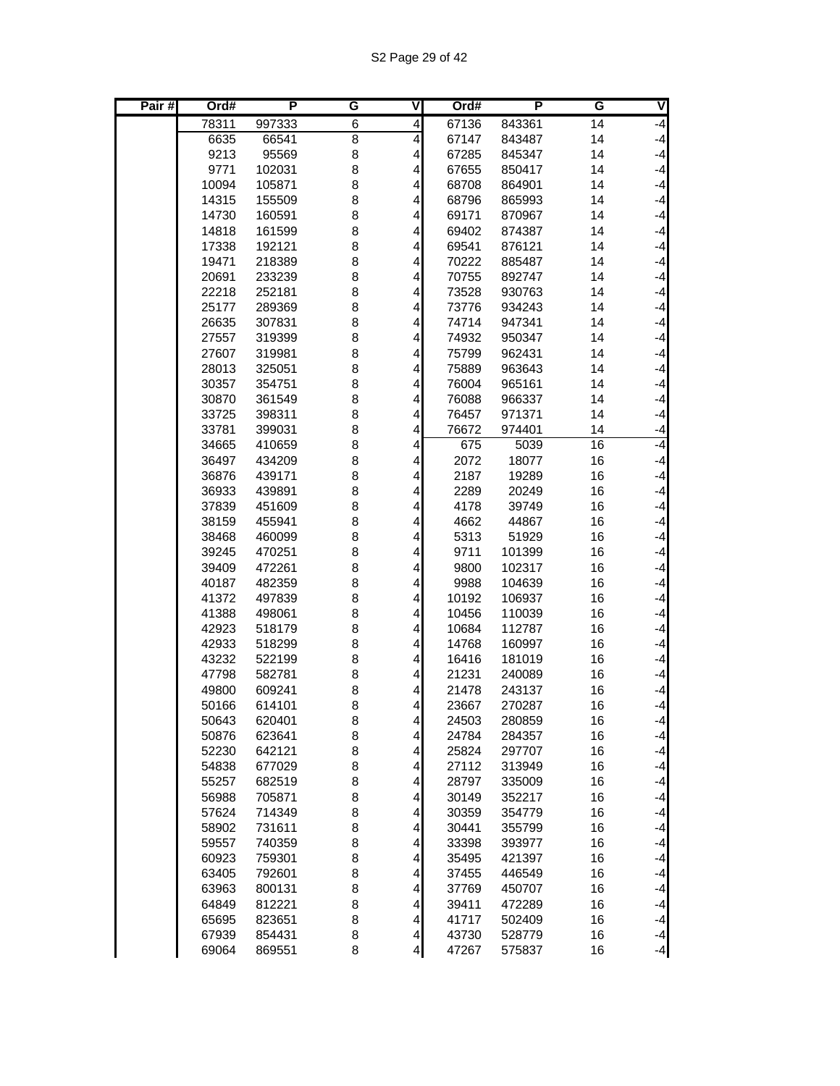| Pair# | Ord#           | P                | G              | ٧                         | Ord#           | P                | G        | ◀            |
|-------|----------------|------------------|----------------|---------------------------|----------------|------------------|----------|--------------|
|       | 78311          | 997333           | 6              | 4                         | 67136          | 843361           | 14       | $-4$         |
|       | 6635           | 66541            | $\overline{8}$ | 4                         | 67147          | 843487           | 14       | $-4$         |
|       | 9213           | 95569            | 8              | $\overline{\mathbf{r}}$   | 67285          | 845347           | 14       | $-4$         |
|       | 9771           | 102031           | 8              | 4                         | 67655          | 850417           | 14       | $-4$         |
|       | 10094          | 105871           | 8              | 4                         | 68708          | 864901           | 14       | $-4$         |
|       | 14315          | 155509           | 8              | 4                         | 68796          | 865993           | 14       | $-4$         |
|       | 14730          | 160591           | 8              | 4                         | 69171          | 870967           | 14       | $-4$         |
|       | 14818          | 161599           | 8              | 4                         | 69402          | 874387           | 14       | $-4$         |
|       | 17338          | 192121           | 8              | 4                         | 69541          | 876121           | 14       | $-4$         |
|       | 19471          | 218389           | 8              | $\overline{\mathbf{r}}$   | 70222          | 885487           | 14       | $-4$         |
|       | 20691          | 233239           | 8              | 4                         | 70755          | 892747           | 14       | $-4$         |
|       | 22218          | 252181           | 8              | 4                         | 73528          | 930763           | 14       | $-4$<br>$-4$ |
|       | 25177          | 289369           | 8              | 4                         | 73776          | 934243           | 14       | $-4$         |
|       | 26635<br>27557 | 307831<br>319399 | 8<br>8         | 4<br>4                    | 74714<br>74932 | 947341<br>950347 | 14<br>14 | $-4$         |
|       | 27607          | 319981           | 8              | 4                         | 75799          | 962431           | 14       | $-4$         |
|       | 28013          | 325051           | 8              | 4                         | 75889          | 963643           | 14       | $-4$         |
|       | 30357          | 354751           | 8              | 4                         | 76004          | 965161           | 14       | $-4$         |
|       | 30870          | 361549           | 8              | 4                         | 76088          | 966337           | 14       | $-4$         |
|       | 33725          | 398311           | 8              | 4                         | 76457          | 971371           | 14       | $-4$         |
|       | 33781          | 399031           | 8              | 4                         | 76672          | 974401           | 14       | $-4$         |
|       | 34665          | 410659           | 8              | 4                         | 675            | 5039             | 16       | $-4$         |
|       | 36497          | 434209           | 8              | 4                         | 2072           | 18077            | 16       | $-4$         |
|       | 36876          | 439171           | 8              | $\overline{\mathbf{r}}$   | 2187           | 19289            | 16       | $-4$         |
|       | 36933          | 439891           | 8              | $\vert$                   | 2289           | 20249            | 16       | $-4$         |
|       | 37839          | 451609           | 8              | $\vert 4 \vert$           | 4178           | 39749            | 16       | $-4$         |
|       | 38159          | 455941           | 8              | 4                         | 4662           | 44867            | 16       | $-4$         |
|       | 38468          | 460099           | 8              | 4                         | 5313           | 51929            | 16       | $-4$         |
|       | 39245          | 470251           | 8              | 4                         | 9711           | 101399           | 16       | $-4$         |
|       | 39409          | 472261           | 8              | $\overline{\mathbf{r}}$   | 9800           | 102317           | 16       | $-4$         |
|       | 40187          | 482359           | 8              | $\overline{\mathbf{r}}$   | 9988           | 104639           | 16       | $-4$         |
|       | 41372          | 497839           | 8              | $\overline{\mathbf{r}}$   | 10192          | 106937           | 16       | $-4$         |
|       | 41388          | 498061           | 8              | 4                         | 10456          | 110039           | 16       | $-4$         |
|       | 42923          | 518179           | 8              | 4                         | 10684          | 112787           | 16       | $-4$         |
|       | 42933          | 518299           | 8              | 4                         | 14768          | 160997           | 16       | $-4$         |
|       | 43232          | 522199           | 8              | 4                         | 16416          | 181019           | 16       | $-4$         |
|       | 47798          | 582781           | 8              | 4                         | 21231          | 240089           | 16       | $-4$         |
|       | 49800          | 609241           | 8              | $\overline{\mathbf{r}}$   | 21478          | 243137           | 16       | $-4$         |
|       | 50166          | 614101           | 8              | $\vert 4 \vert$           | 23667          | 270287           | 16       | $-4$         |
|       | 50643          | 620401           | 8              | $\overline{4}$            | 24503          | 280859           | 16       | $-4$<br>$-4$ |
|       | 50876<br>52230 | 623641<br>642121 | 8<br>8         | $\overline{4}$<br>$\vert$ | 24784<br>25824 | 284357<br>297707 | 16<br>16 | $-4$         |
|       | 54838          | 677029           | 8              | 4                         | 27112          | 313949           | 16       | $-4$         |
|       | 55257          | 682519           | 8              | $\vert 4 \vert$           | 28797          | 335009           | 16       | $-4$         |
|       | 56988          | 705871           | 8              | $\vert$                   | 30149          | 352217           | 16       | $-4$         |
|       | 57624          | 714349           | 8              | $\vert$                   | 30359          | 354779           | 16       | $-4$         |
|       | 58902          | 731611           | 8              | $\vert 4 \vert$           | 30441          | 355799           | 16       | $-4$         |
|       | 59557          | 740359           | 8              | $\vert 4 \vert$           | 33398          | 393977           | 16       | $-4$         |
|       | 60923          | 759301           | 8              | $\vert 4 \vert$           | 35495          | 421397           | 16       | $-4$         |
|       | 63405          | 792601           | 8              | 4                         | 37455          | 446549           | 16       | $-4$         |
|       | 63963          | 800131           | 8              | $\vert 4 \vert$           | 37769          | 450707           | 16       | $-4$         |
|       | 64849          | 812221           | 8              | $\vert$                   | 39411          | 472289           | 16       | $-4$         |
|       | 65695          | 823651           | 8              | $\vert$                   | 41717          | 502409           | 16       | $-4$         |
|       | 67939          | 854431           | 8              | $\overline{4}$            | 43730          | 528779           | 16       | $-4$         |
|       | 69064          | 869551           | 8              | $\overline{4}$            | 47267          | 575837           | 16       | $-4$         |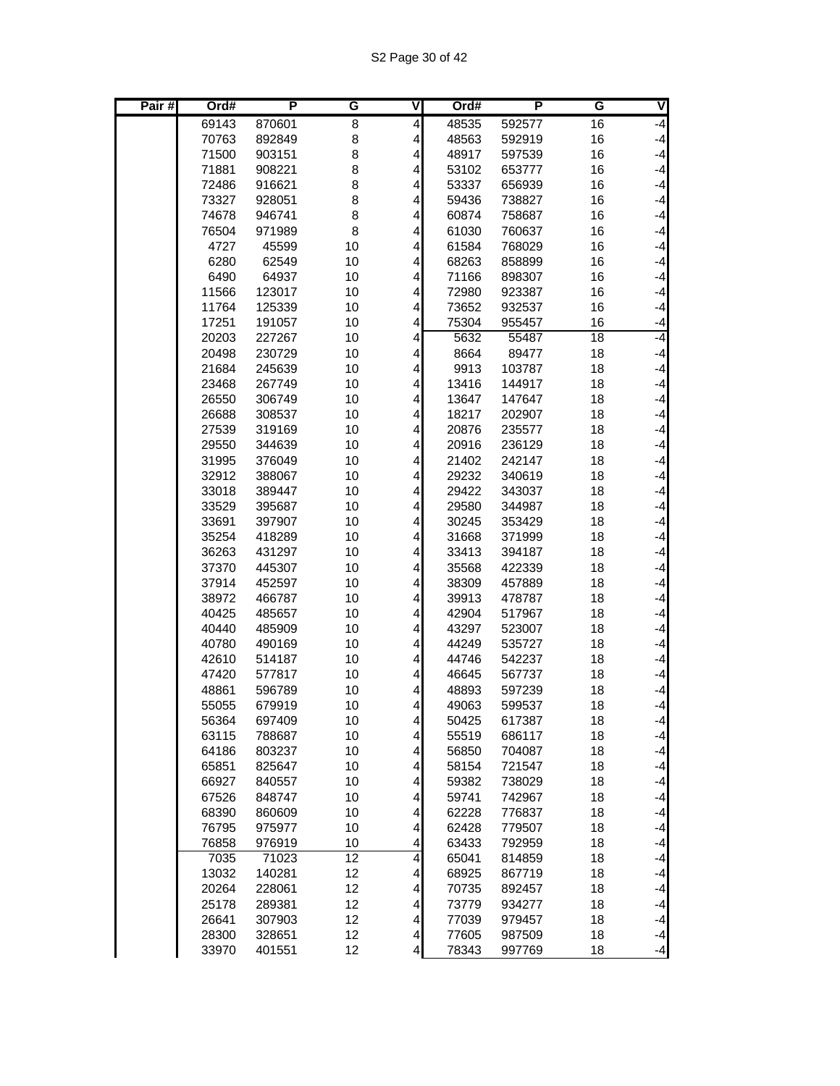| Pair# | Ord#           | P                | G        | ۷                            | Ord#           | P                | G        | ◀            |
|-------|----------------|------------------|----------|------------------------------|----------------|------------------|----------|--------------|
|       | 69143          | 870601           | 8        | 4                            | 48535          | 592577           | 16       | $-4$         |
|       | 70763          | 892849           | 8        | 4                            | 48563          | 592919           | 16       | $-4$         |
|       | 71500          | 903151           | 8        | 4                            | 48917          | 597539           | 16       | $-4$         |
|       | 71881          | 908221           | 8        | 4                            | 53102          | 653777           | 16       | $-4$         |
|       | 72486          | 916621           | 8        | 4                            | 53337          | 656939           | 16       | $-4$         |
|       | 73327          | 928051           | 8        | 4                            | 59436          | 738827           | 16       | $-4$         |
|       | 74678          | 946741           | 8        | 4                            | 60874          | 758687           | 16       | $-4$         |
|       | 76504          | 971989           | 8        | 4                            | 61030          | 760637           | 16       | $-4$         |
|       | 4727           | 45599            | 10       | 4                            | 61584          | 768029           | 16       | $-4$         |
|       | 6280           | 62549            | 10       | 4                            | 68263          | 858899           | 16       | $-4$         |
|       | 6490           | 64937            | 10       | 4                            | 71166          | 898307           | 16       | $-4$         |
|       | 11566          | 123017           | 10       | 4                            | 72980          | 923387           | 16       | $-4$         |
|       | 11764          | 125339           | 10       | 4                            | 73652          | 932537           | 16       | $-4$         |
|       | 17251          | 191057           | 10       | 4                            | 75304          | 955457           | 16       | $-4$<br>$-4$ |
|       | 20203          | 227267           | 10       | 4                            | 5632           | 55487            | 18       |              |
|       | 20498          | 230729           | 10       | 4                            | 8664           | 89477            | 18       | $-4$<br>$-4$ |
|       | 21684          | 245639           | 10<br>10 | 4                            | 9913           | 103787           | 18       | $-4$         |
|       | 23468<br>26550 | 267749           | 10       | 4                            | 13416<br>13647 | 144917<br>147647 | 18<br>18 | $-4$         |
|       | 26688          | 306749<br>308537 | 10       | 4<br>4                       | 18217          | 202907           | 18       | $-4$         |
|       | 27539          | 319169           | 10       | 4                            | 20876          | 235577           | 18       | $-4$         |
|       | 29550          | 344639           | 10       | 4                            | 20916          | 236129           | 18       | $-4$         |
|       | 31995          | 376049           | 10       | 4                            | 21402          | 242147           | 18       | $-4$         |
|       | 32912          | 388067           | 10       | 4                            | 29232          | 340619           | 18       | $-4$         |
|       | 33018          | 389447           | 10       | 4                            | 29422          | 343037           | 18       | $-4$         |
|       | 33529          | 395687           | 10       | 4                            | 29580          | 344987           | 18       | $-4$         |
|       | 33691          | 397907           | 10       | 4                            | 30245          | 353429           | 18       | $-4$         |
|       | 35254          | 418289           | 10       | 4                            | 31668          | 371999           | 18       | $-4$         |
|       | 36263          | 431297           | 10       | 4                            | 33413          | 394187           | 18       | $-4$         |
|       | 37370          | 445307           | 10       | 4                            | 35568          | 422339           | 18       | $-4$         |
|       | 37914          | 452597           | 10       | 4                            | 38309          | 457889           | 18       | $-4$         |
|       | 38972          | 466787           | 10       | 4                            | 39913          | 478787           | 18       | $-4$         |
|       | 40425          | 485657           | 10       | 4                            | 42904          | 517967           | 18       | $-4$         |
|       | 40440          | 485909           | 10       | 4                            | 43297          | 523007           | 18       | $-4$         |
|       | 40780          | 490169           | 10       | 4                            | 44249          | 535727           | 18       | $-4$         |
|       | 42610          | 514187           | 10       | 4                            | 44746          | 542237           | 18       | $-4$         |
|       | 47420          | 577817           | 10       | 4                            | 46645          | 567737           | 18       | $-4$         |
|       | 48861          | 596789           | 10       | 4                            | 48893          | 597239           | 18       | $-4$         |
|       | 55055          | 679919           | 10       | $\overline{4}$               | 49063          | 599537           | 18       | $-4$         |
|       | 56364          | 697409           | 10       | $\overline{a}$               | 50425          | 617387           | 18       | $-4$         |
|       | 63115          | 788687           | 10       | $\vert$                      | 55519          | 686117           | 18       | $-4$         |
|       | 64186          | 803237           | 10       | $\vert 4 \vert$              | 56850          | 704087           | 18       | $-4$         |
|       | 65851          | 825647           | 10       | 4                            | 58154          | 721547           | 18       | $-4$         |
|       | 66927          | 840557           | 10       | $\overline{\mathbf{r}}$      | 59382          | 738029           | 18       | $-4$         |
|       | 67526          | 848747           | 10       | $\overline{\mathbf{r}}$      | 59741          | 742967           | 18       | $-4$         |
|       | 68390          | 860609           | 10       | $\vert$                      | 62228          | 776837           | 18       | $-4$         |
|       | 76795          | 975977           | 10       | $\overline{\mathbf{r}}$      | 62428          | 779507           | 18       | $-4$         |
|       | 76858          | 976919           | 10       | $\vert 4 \vert$              | 63433          | 792959           | 18       | $-4$         |
|       | 7035           | 71023            | 12       | $\vert 4 \vert$              | 65041          | 814859           | 18       | $-4$         |
|       | 13032<br>20264 | 140281<br>228061 | 12<br>12 | 4<br>$\overline{\mathbf{r}}$ | 68925<br>70735 | 867719<br>892457 | 18<br>18 | $-4$<br>$-4$ |
|       | 25178          | 289381           | 12       | $\overline{\mathbf{r}}$      | 73779          | 934277           | 18       | $-4$         |
|       | 26641          | 307903           | 12       | $\vert 4 \vert$              | 77039          | 979457           | 18       | $-4$         |
|       | 28300          | 328651           | 12       | $\vert$                      | 77605          | 987509           | 18       | $-4$         |
|       | 33970          | 401551           | 12       | 4                            | 78343          | 997769           | 18       | $-4$         |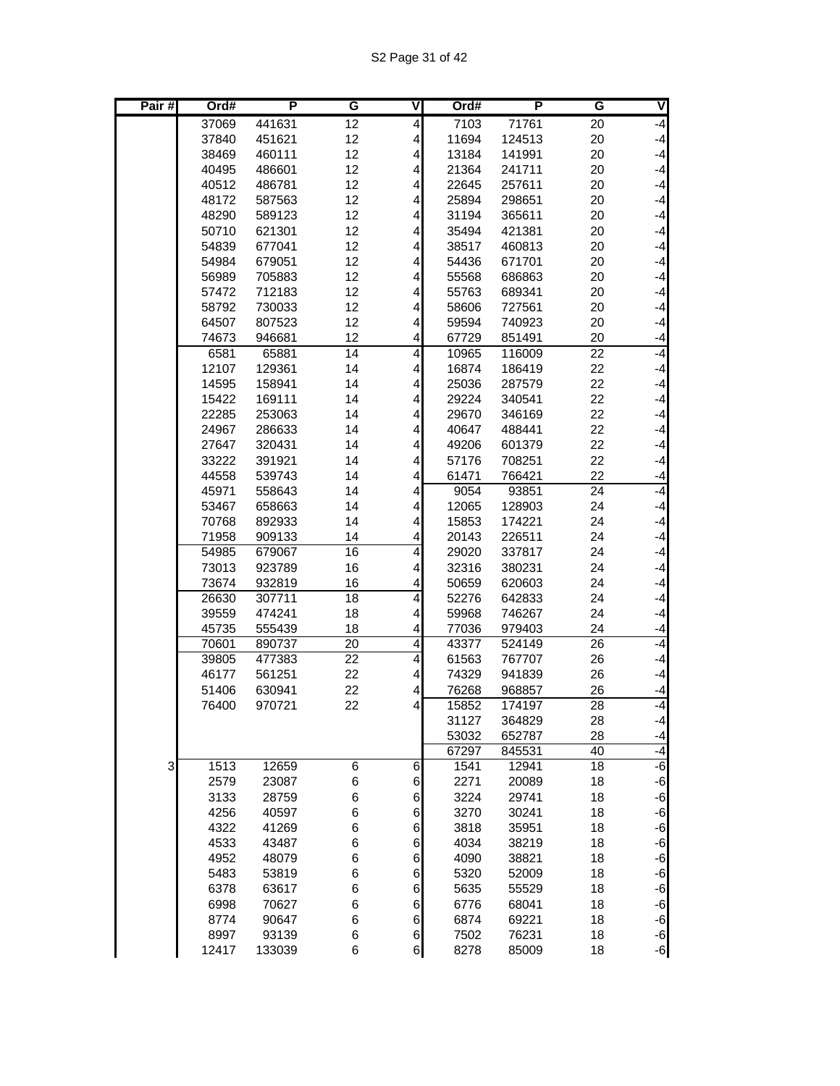| Pair# | Ord#           | P                | G               | ۷                            | Ord#          | P               | G               | ∇            |
|-------|----------------|------------------|-----------------|------------------------------|---------------|-----------------|-----------------|--------------|
|       | 37069          | 441631           | 12              | 4                            | 7103          | 71761           | 20              | $-4$         |
|       | 37840          | 451621           | 12              | 4                            | 11694         | 124513          | 20              | $-4$         |
|       | 38469          | 460111           | 12              | 4                            | 13184         | 141991          | 20              | $-4$         |
|       | 40495          | 486601           | 12              | 4                            | 21364         | 241711          | 20              | $-4$         |
|       | 40512          | 486781           | 12              | 4                            | 22645         | 257611          | 20              | $-4$         |
|       | 48172          | 587563           | 12              | 4                            | 25894         | 298651          | 20              | $-4$         |
|       | 48290          | 589123           | 12              | 4                            | 31194         | 365611          | 20              | $-4$         |
|       | 50710          | 621301           | 12              | 4                            | 35494         | 421381          | 20              | $-4$         |
|       | 54839          | 677041           | 12              | 4                            | 38517         | 460813          | 20              | $-4$         |
|       | 54984          | 679051           | 12              | 4                            | 54436         | 671701          | 20              | $-4$         |
|       | 56989          | 705883           | 12              | 4                            | 55568         | 686863          | 20              | $-4$         |
|       | 57472          | 712183           | 12              | 4                            | 55763         | 689341          | 20              | $-4$         |
|       | 58792          | 730033           | 12              | 4                            | 58606         | 727561          | 20              | $-4$         |
|       | 64507          | 807523           | 12              | 4                            | 59594         | 740923          | 20              | $-4$         |
|       | 74673          | 946681           | 12              | 4                            | 67729         | 851491          | 20              | $-4$         |
|       | 6581           | 65881            | 14              | $\overline{\mathbf{4}}$      | 10965         | 116009          | 22              | -4           |
|       | 12107          | 129361           | 14              | 4                            | 16874         | 186419          | 22              | $-4$         |
|       | 14595          | 158941           | 14              | 4                            | 25036         | 287579          | 22              | $-4$         |
|       | 15422          | 169111           | 14              | 4                            | 29224         | 340541          | 22              | $-4$         |
|       | 22285          | 253063           | 14              | 4                            | 29670         | 346169          | 22              | $-4$         |
|       | 24967          | 286633           | 14              | 4                            | 40647         | 488441          | 22              | $-4$         |
|       | 27647          | 320431           | 14              | 4                            | 49206         | 601379          | 22              | $-4$         |
|       | 33222          | 391921           | 14<br>14        | 4<br>$\overline{\mathbf{4}}$ | 57176         | 708251          | 22              | $-4$         |
|       | 44558<br>45971 | 539743<br>558643 | 14              | 4                            | 61471<br>9054 | 766421<br>93851 | 22<br>24        | $-4$<br>$-4$ |
|       | 53467          | 658663           | 14              | 4                            | 12065         | 128903          | 24              | $-4$         |
|       | 70768          | 892933           | 14              | 4                            | 15853         | 174221          | 24              | $-4$         |
|       | 71958          | 909133           | 14              | 4                            | 20143         | 226511          | 24              | $-4$         |
|       | 54985          | 679067           | 16              | $\overline{4}$               | 29020         | 337817          | 24              | $-4$         |
|       | 73013          | 923789           | 16              | 4                            | 32316         | 380231          | 24              | $-4$         |
|       | 73674          | 932819           | 16              | $\overline{\mathcal{L}}$     | 50659         | 620603          | 24              | $-4$         |
|       | 26630          | 307711           | 18              | 4                            | 52276         | 642833          | 24              | $-4$         |
|       | 39559          | 474241           | 18              | 4                            | 59968         | 746267          | 24              | $-4$         |
|       | 45735          | 555439           | 18              | $\overline{\mathcal{L}}$     | 77036         | 979403          | 24              | $-4$         |
|       | 70601          | 890737           | $\overline{20}$ | $\overline{4}$               | 43377         | 524149          | 26              | $-4$         |
|       | 39805          | 477383           | 22              | $\overline{4}$               | 61563         | 767707          | 26              | $-4$         |
|       | 46177          | 561251           | 22              | 4                            | 74329         | 941839          | 26              | $-4$         |
|       | 51406          | 630941           | 22              | 4                            | 76268         | 968857          | 26              | $-4$         |
|       | 76400          | 970721           | 22              | $\vert 4 \vert$              | 15852         | 174197          | $\overline{28}$ | $-4$         |
|       |                |                  |                 |                              | 31127         | 364829          | 28              | $-4$         |
|       |                |                  |                 |                              | 53032         | 652787          | 28              | $-4$         |
|       |                |                  |                 |                              | 67297         | 845531          | 40              | $-4$         |
| 3     | 1513           | 12659            | 6               | 6                            | 1541          | 12941           | 18              | $-6$         |
|       | 2579           | 23087            | 6               | $\,$ 6 $\,$                  | 2271          | 20089           | 18              | $-6$         |
|       | 3133           | 28759            | 6               | $\,$ 6 $\,$                  | 3224          | 29741           | 18              | $-6$         |
|       | 4256           | 40597            | 6               | $6 \overline{}$              | 3270          | 30241           | 18              | $-6$         |
|       | 4322           | 41269            | 6               | $\,$ 6 $\,$                  | 3818          | 35951           | 18              | $-6$         |
|       | 4533           | 43487            | 6               | $\,$ 6 $\,$                  | 4034          | 38219           | 18              | $-6$         |
|       | 4952           | 48079            | 6               | $\,$ 6 $\,$                  | 4090          | 38821           | 18              | $-6$         |
|       | 5483           | 53819            | 6               | $\,$ 6 $\,$                  | 5320          | 52009           | 18              | $-6$         |
|       | 6378           | 63617            | 6               | $\,$ 6 $\,$                  | 5635          | 55529           | 18              | $-6$         |
|       | 6998           | 70627            | 6               | $\,$ 6 $\,$                  | 6776          | 68041           | 18              | $-6$         |
|       | 8774           | 90647            | 6               | $6 \overline{}$              | 6874          | 69221           | 18              | $-6$         |
|       | 8997           | 93139            | 6               | $6 \mid$                     | 7502          | 76231           | 18              | $-6$         |
|       | 12417          | 133039           | 6               | $6 \,$                       | 8278          | 85009           | 18              | $-6$         |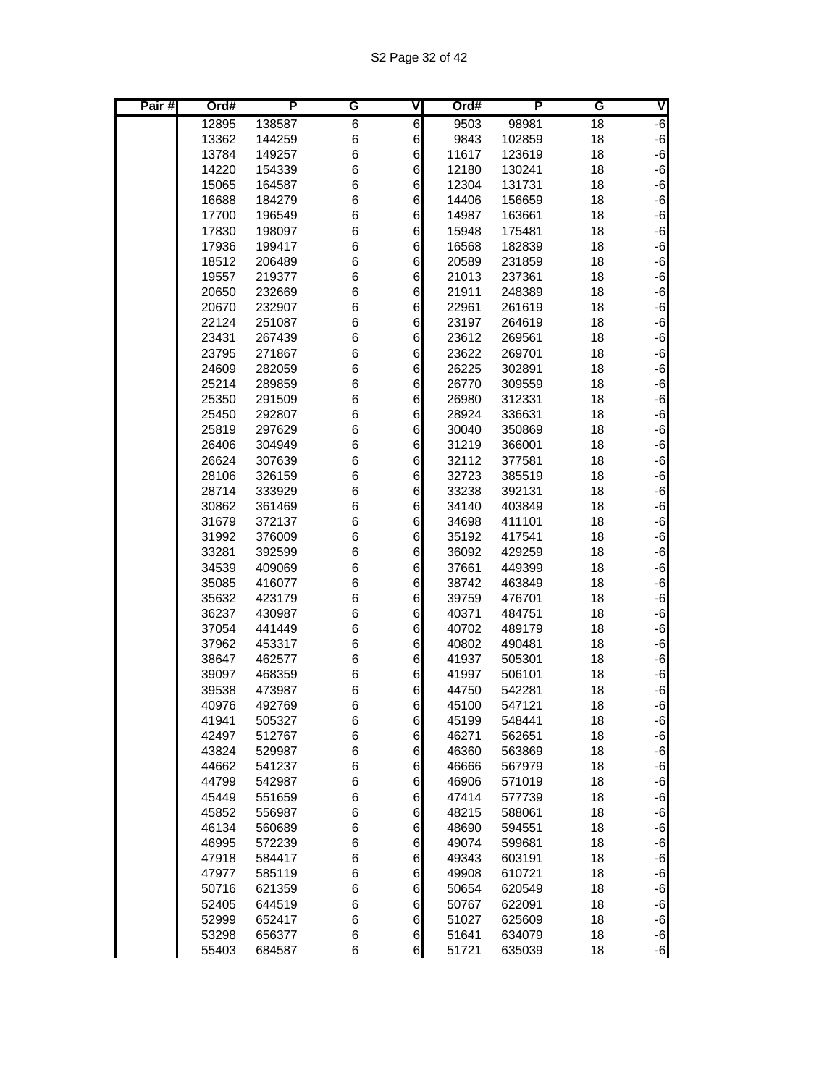| Pair $#$ | Ord#           | P                | G      | v                | Ord#           | P                | G        | V            |
|----------|----------------|------------------|--------|------------------|----------------|------------------|----------|--------------|
|          | 12895          | 138587           | 6      | $\,6$            | 9503           | 98981            | 18       | $-6$         |
|          | 13362          | 144259           | 6      | 6                | 9843           | 102859           | 18       | $-6$         |
|          | 13784          | 149257           | 6      | 6                | 11617          | 123619           | 18       | $-6$         |
|          | 14220          | 154339           | 6      | 6                | 12180          | 130241           | 18       | $-6$         |
|          | 15065          | 164587           | 6      | 6                | 12304          | 131731           | 18       | $-6$         |
|          | 16688          | 184279           | 6      | 6                | 14406          | 156659           | 18       | $-6$         |
|          | 17700          | 196549           | 6      | 6                | 14987          | 163661           | 18       | $-6$         |
|          | 17830          | 198097           | 6      | 6                | 15948          | 175481           | 18       | $-6$         |
|          | 17936          | 199417           | 6      | 6                | 16568          | 182839           | 18       | $-6$         |
|          | 18512          | 206489           | 6      | 6                | 20589          | 231859           | 18       | $-6$         |
|          | 19557          | 219377           | 6      | 6                | 21013          | 237361           | 18       | $-6$         |
|          | 20650          | 232669           | 6      | 6                | 21911          | 248389           | 18       | $-6$         |
|          | 20670          | 232907           | 6      | 6                | 22961          | 261619           | 18       | $-6$         |
|          | 22124          | 251087           | 6      | 6                | 23197          | 264619           | 18       | $-6$         |
|          | 23431          | 267439           | 6      | 6                | 23612          | 269561           | 18       | $-6$         |
|          | 23795          | 271867           | 6      | 6                | 23622          | 269701           | 18       | $-6$         |
|          | 24609          | 282059           | 6      | 6                | 26225          | 302891           | 18       | $-6$<br>$-6$ |
|          | 25214<br>25350 | 289859           | 6      | 6                | 26770<br>26980 | 309559           | 18       |              |
|          | 25450          | 291509<br>292807 | 6<br>6 | 6<br>6           | 28924          | 312331<br>336631 | 18<br>18 | $-6$<br>$-6$ |
|          | 25819          | 297629           | 6      | 6                | 30040          | 350869           | 18       | $-6$         |
|          | 26406          | 304949           | 6      | 6                | 31219          | 366001           | 18       | $-6$         |
|          | 26624          | 307639           | 6      | 6                | 32112          | 377581           | 18       | $-6$         |
|          | 28106          | 326159           | 6      | 6                | 32723          | 385519           | 18       | $-6$         |
|          | 28714          | 333929           | 6      | 6                | 33238          | 392131           | 18       | $-6$         |
|          | 30862          | 361469           | 6      | 6                | 34140          | 403849           | 18       | $-6$         |
|          | 31679          | 372137           | 6      | 6                | 34698          | 411101           | 18       | $-6$         |
|          | 31992          | 376009           | 6      | 6                | 35192          | 417541           | 18       | $-6$         |
|          | 33281          | 392599           | 6      | 6                | 36092          | 429259           | 18       | $-6$         |
|          | 34539          | 409069           | 6      | 6                | 37661          | 449399           | 18       | $-6$         |
|          | 35085          | 416077           | 6      | 6                | 38742          | 463849           | 18       | $-6$         |
|          | 35632          | 423179           | 6      | 6                | 39759          | 476701           | 18       | $-6$         |
|          | 36237          | 430987           | 6      | 6                | 40371          | 484751           | 18       | $-6$         |
|          | 37054          | 441449           | 6      | 6                | 40702          | 489179           | 18       | $-6$         |
|          | 37962          | 453317           | 6      | 6                | 40802          | 490481           | 18       | $-6$         |
|          | 38647          | 462577           | 6      | 6                | 41937          | 505301           | 18       | $-6$         |
|          | 39097          | 468359           | 6      | 6                | 41997          | 506101           | 18       | $-6$         |
|          | 39538          | 473987           | 6      | 6                | 44750          | 542281           | 18       | $-6$         |
|          | 40976          | 492769           | 6      | 6                | 45100          | 547121           | 18       | $-6$         |
|          | 41941          | 505327           | 6      | $\,$ 6 $\,$      | 45199          | 548441           | 18       | $-6$         |
|          | 42497          | 512767           | 6      | $\,$ 6 $\,$      | 46271          | 562651           | 18       | $-6$         |
|          | 43824          | 529987           | 6      | 6                | 46360          | 563869           | 18       | $-6$         |
|          | 44662          | 541237           | 6      | 6                | 46666          | 567979           | 18       | $-6$         |
|          | 44799          | 542987           | 6      | $\,6$            | 46906          | 571019           | 18       | $-6$         |
|          | 45449          | 551659           | 6      | $\,6$            | 47414          | 577739           | 18       | $-6$         |
|          | 45852          | 556987           | 6      | $\,6$            | 48215          | 588061           | 18       | $-6$         |
|          | 46134          | 560689           | 6      | $\,$ 6 $\,$      | 48690          | 594551           | 18       | $-6$         |
|          | 46995          | 572239           | 6      | $\,6$            | 49074          | 599681           | 18       | $-6$         |
|          | 47918<br>47977 | 584417           | 6      | 6                | 49343          | 603191           | 18       | $-6$         |
|          | 50716          | 585119<br>621359 | 6<br>6 | 6<br>$\,6$       | 49908<br>50654 | 610721<br>620549 | 18<br>18 | $-6$<br>$-6$ |
|          | 52405          | 644519           | 6      | $\,6$            | 50767          | 622091           | 18       | $-6$         |
|          | 52999          | 652417           | 6      | $\,$ 6 $\,$      | 51027          | 625609           | 18       | $-6$         |
|          | 53298          | 656377           | 6      | $6 \overline{6}$ | 51641          | 634079           | 18       | $-6$         |
|          | 55403          | 684587           | 6      | $6 \mid$         | 51721          | 635039           | 18       | $-6$         |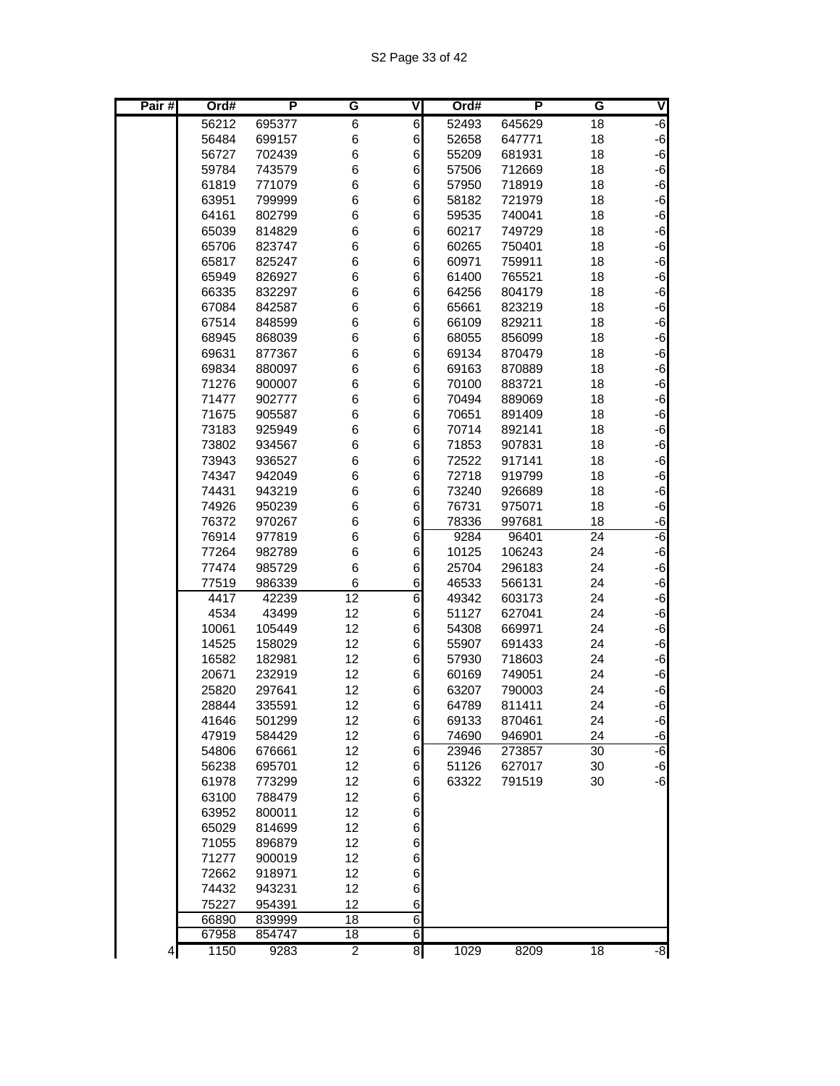| Pair $#$ | Ord#           | $\overline{P}$   | G              | ۷               | Ord#           | P               | G               | V            |
|----------|----------------|------------------|----------------|-----------------|----------------|-----------------|-----------------|--------------|
|          | 56212          | 695377           | 6              | $6 \,$          | 52493          | 645629          | 18              | $-6$         |
|          | 56484          | 699157           | 6              | 6               | 52658          | 647771          | 18              | $-6$         |
|          | 56727          | 702439           | 6              | 6               | 55209          | 681931          | 18              | $-6$         |
|          | 59784          | 743579           | 6              | 6               | 57506          | 712669          | 18              | $-6$         |
|          | 61819          | 771079           | 6              | 6               | 57950          | 718919          | 18              | $-6$         |
|          | 63951          | 799999           | 6              | 6               | 58182          | 721979          | 18              | $-6$         |
|          | 64161          | 802799           | 6              | 6               | 59535          | 740041          | 18              | $-6$         |
|          | 65039          | 814829           | 6              | 6               | 60217          | 749729          | 18              | $-6$         |
|          | 65706          | 823747           | 6              | 6               | 60265          | 750401          | 18              | $-6$         |
|          | 65817          | 825247           | 6              | 6               | 60971          | 759911          | 18              | $-6$         |
|          | 65949          | 826927           | 6              | 6               | 61400          | 765521          | 18              | $-6$         |
|          | 66335          | 832297           | 6              | 6               | 64256          | 804179          | 18              | $-6$         |
|          | 67084          | 842587           | 6              | 6               | 65661          | 823219          | 18              | $-6$         |
|          | 67514          | 848599           | 6              | 6               | 66109          | 829211          | 18              | $-6$         |
|          | 68945          | 868039           | 6              | 6               | 68055          | 856099          | 18              | $-6$         |
|          | 69631          | 877367           | 6              | 6               | 69134          | 870479          | 18              | $-6$         |
|          | 69834          | 880097           | 6              | 6               | 69163          | 870889          | 18              | $-6$         |
|          | 71276          | 900007           | 6              | 6               | 70100          | 883721          | 18              | $-6$         |
|          | 71477          | 902777           | 6              | 6               | 70494          | 889069          | 18              | $-6$         |
|          | 71675          | 905587           | 6              | 6               | 70651          | 891409          | 18              | $-6$         |
|          | 73183          | 925949           | 6              | 6               | 70714          | 892141          | 18              | $-6$         |
|          | 73802          | 934567           | 6              | 6               | 71853          | 907831          | 18              | $-6$         |
|          | 73943          | 936527           | 6              | 6               | 72522          | 917141          | 18              | $-6$         |
|          | 74347          | 942049           | 6              | 6               | 72718          | 919799          | 18              | $-6$         |
|          | 74431          | 943219           | 6              | 6               | 73240          | 926689          | 18              | $-6$         |
|          | 74926<br>76372 | 950239<br>970267 | 6<br>6         | 6               | 76731<br>78336 | 975071          | 18<br>18        | $-6$<br>$-6$ |
|          | 76914          | 977819           | 6              | 6<br>6          | 9284           | 997681<br>96401 | $\overline{24}$ | -6           |
|          | 77264          | 982789           | 6              | 6               | 10125          | 106243          | 24              | $-6$         |
|          | 77474          | 985729           | 6              | 6               | 25704          | 296183          | 24              | $-6$         |
|          | 77519          | 986339           | 6              | 6               | 46533          | 566131          | 24              | $-6$         |
|          | 4417           | 42239            | 12             | 6               | 49342          | 603173          | 24              | $-6$         |
|          | 4534           | 43499            | 12             | 6               | 51127          | 627041          | 24              | $-6$         |
|          | 10061          | 105449           | 12             | 6               | 54308          | 669971          | 24              | $-6$         |
|          | 14525          | 158029           | 12             | 6               | 55907          | 691433          | 24              | $-6$         |
|          | 16582          | 182981           | 12             | 6               | 57930          | 718603          | 24              | $-6$         |
|          | 20671          | 232919           | 12             | 6               | 60169          | 749051          | 24              | $-6$         |
|          | 25820          | 297641           | 12             | 6               | 63207          | 790003          | 24              | $-6$         |
|          | 28844          | 335591           | 12             | $6 \,$          | 64789          | 811411          | 24              | $-6$         |
|          | 41646          | 501299           | 12             | $6 \,$          | 69133          | 870461          | 24              | $-6$         |
|          | 47919          | 584429           | 12             | $6 \mid$        | 74690          | 946901          | 24              | $-6$         |
|          | 54806          | 676661           | 12             | 6               | 23946          | 273857          | 30              | $-6$         |
|          | 56238          | 695701           | 12             | $6 \,$          | 51126          | 627017          | 30              | $-6$         |
|          | 61978          | 773299           | 12             | 6               | 63322          | 791519          | 30              | $-6$         |
|          | 63100          | 788479           | 12             | $6 \mid$        |                |                 |                 |              |
|          | 63952          | 800011           | 12             | $6 \overline{}$ |                |                 |                 |              |
|          | 65029          | 814699           | 12             | $6 \overline{}$ |                |                 |                 |              |
|          | 71055          | 896879           | 12             | $6 \overline{}$ |                |                 |                 |              |
|          | 71277          | 900019           | 12             | $6 \mid$        |                |                 |                 |              |
|          | 72662          | 918971           | 12             | 6               |                |                 |                 |              |
|          | 74432          | 943231           | 12             | 6               |                |                 |                 |              |
|          | 75227          | 954391           | 12             | 6               |                |                 |                 |              |
|          | 66890          | 839999           | 18             | $\overline{6}$  |                |                 |                 |              |
|          | 67958          | 854747           | 18             | 6               |                |                 |                 |              |
| 4        | 1150           | 9283             | $\overline{2}$ | $\overline{8}$  | 1029           | 8209            | $\overline{18}$ | $-8$         |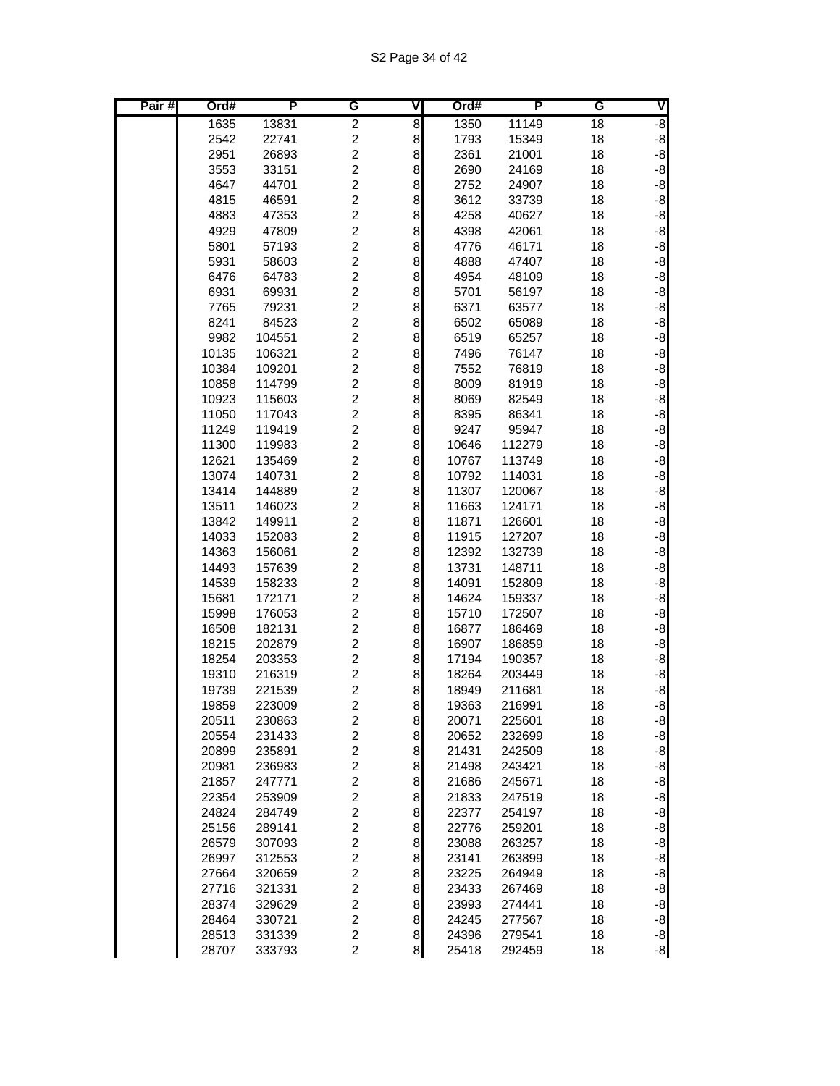| Pair# | Ord#           | P                | G                                         | V        | Ord#           | Р                | G        | V            |
|-------|----------------|------------------|-------------------------------------------|----------|----------------|------------------|----------|--------------|
|       | 1635           | 13831            | $\overline{2}$                            | 8        | 1350           | 11149            | 18       | $-8$         |
|       | 2542           | 22741            | $\overline{c}$                            | 8        | 1793           | 15349            | 18       | $-8$         |
|       | 2951           | 26893            | $\overline{c}$                            | $\bf{8}$ | 2361           | 21001            | 18       | $-8$         |
|       | 3553           | 33151            | $\overline{2}$                            | 8        | 2690           | 24169            | 18       | $-8$         |
|       | 4647           | 44701            | $\overline{c}$                            | 8        | 2752           | 24907            | 18       | $-8$         |
|       | 4815           | 46591            | $\overline{c}$                            | 8        | 3612           | 33739            | 18       | $-8$         |
|       | 4883           | 47353            | $\overline{\mathbf{c}}$                   | 8        | 4258           | 40627            | 18       | $-8$         |
|       | 4929           | 47809            | $\overline{\mathbf{c}}$                   | 8        | 4398           | 42061            | 18       | $-8$         |
|       | 5801           | 57193            | $\overline{c}$                            | 8        | 4776           | 46171            | 18       | $-8$         |
|       | 5931           | 58603            | $\overline{c}$                            | $\bf{8}$ | 4888           | 47407            | 18       | $-8$         |
|       | 6476           | 64783            | $\overline{2}$                            | 8        | 4954           | 48109            | 18       | $-8$         |
|       | 6931           | 69931            | $\overline{2}$                            | 8        | 5701           | 56197            | 18       | $-8$         |
|       | 7765           | 79231            | $\overline{c}$                            | 8        | 6371           | 63577            | 18       | $-8$         |
|       | 8241           | 84523            | $\overline{c}$                            | 8        | 6502           | 65089            | 18       | $-8$         |
|       | 9982           | 104551           | $\overline{c}$                            | 8        | 6519           | 65257            | 18       | $-8$         |
|       | 10135          | 106321           | $\overline{c}$                            | 8        | 7496           | 76147            | 18       | $-8$         |
|       | 10384          | 109201           | $\overline{c}$<br>$\overline{2}$          | $\bf{8}$ | 7552           | 76819            | 18       | $-8$         |
|       | 10858          | 114799<br>115603 | $\overline{c}$                            | 8        | 8009           | 81919            | 18       | $-8$         |
|       | 10923<br>11050 | 117043           | $\overline{c}$                            | 8<br>8   | 8069<br>8395   | 82549<br>86341   | 18<br>18 | $-8$<br>$-8$ |
|       | 11249          | 119419           | $\overline{\mathbf{c}}$                   | 8        | 9247           | 95947            | 18       | $-8$         |
|       | 11300          | 119983           | $\overline{c}$                            | 8        | 10646          | 112279           | 18       | $-8$         |
|       | 12621          | 135469           | $\overline{c}$                            | 8        | 10767          | 113749           | 18       | $-8$         |
|       | 13074          | 140731           | $\overline{c}$                            | 8        | 10792          | 114031           | 18       | $-8$         |
|       | 13414          | 144889           | $\overline{c}$                            | 8        | 11307          | 120067           | 18       | $-8$         |
|       | 13511          | 146023           | $\overline{2}$                            | 8        | 11663          | 124171           | 18       | $-8$         |
|       | 13842          | 149911           | $\overline{c}$                            | 8        | 11871          | 126601           | 18       | $-8$         |
|       | 14033          | 152083           | $\overline{c}$                            | 8        | 11915          | 127207           | 18       | $-8$         |
|       | 14363          | 156061           | $\overline{c}$                            | 8        | 12392          | 132739           | 18       | $-8$         |
|       | 14493          | 157639           | $\overline{\mathbf{c}}$                   | 8        | 13731          | 148711           | 18       | $-8$         |
|       | 14539          | 158233           | $\overline{c}$                            | 8        | 14091          | 152809           | 18       | $-8$         |
|       | 15681          | 172171           | $\overline{c}$                            | 8        | 14624          | 159337           | 18       | $-8$         |
|       | 15998          | 176053           | $\overline{c}$                            | 8        | 15710          | 172507           | 18       | $-8$         |
|       | 16508          | 182131           | $\overline{c}$                            | 8        | 16877          | 186469           | 18       | $-8$         |
|       | 18215          | 202879           | $\overline{c}$                            | 8        | 16907          | 186859           | 18       | $-8$         |
|       | 18254          | 203353           | $\overline{c}$                            | 8        | 17194          | 190357           | 18       | $-8$         |
|       | 19310          | 216319           | $\overline{c}$                            | 8        | 18264          | 203449           | 18       | $-8$         |
|       | 19739          | 221539           | $\overline{c}$                            | 8        | 18949          | 211681           | 18       | $-8$         |
|       | 19859          | 223009           | $\overline{2}$                            | $\bf{8}$ | 19363          | 216991           | 18       | $-8$         |
|       | 20511          | 230863           | $\boldsymbol{2}$                          | $\bf{8}$ | 20071          | 225601           | 18       | $-8$         |
|       | 20554          | 231433           | $\overline{\mathbf{c}}$                   | $\bf{8}$ | 20652          | 232699           | 18       | $-8$         |
|       | 20899          | 235891           | $\overline{\mathbf{c}}$                   | 8        | 21431          | 242509           | 18       | $-8$         |
|       | 20981          | 236983           | $\boldsymbol{2}$                          | 8        | 21498          | 243421           | 18       | $-8$         |
|       | 21857          | 247771           | $\boldsymbol{2}$                          | 8        | 21686          | 245671           | 18       | $-8$         |
|       | 22354          | 253909           | $\overline{c}$                            | 8        | 21833          | 247519           | 18       | $-8$         |
|       | 24824          | 284749           | $\overline{c}$                            | 8        | 22377          | 254197           | 18       | $-8$         |
|       | 25156          | 289141           | $\overline{c}$                            | 8        | 22776          | 259201           | 18       | $-8$         |
|       | 26579          | 307093           | $\boldsymbol{2}$                          | 8        | 23088          | 263257           | 18       | $-8$         |
|       | 26997          | 312553           | $\overline{\mathbf{c}}$<br>$\overline{c}$ | 8<br>8   | 23141          | 263899           | 18       | $-8$         |
|       | 27664<br>27716 | 320659<br>321331 | $\boldsymbol{2}$                          | 8        | 23225<br>23433 | 264949<br>267469 | 18<br>18 | $-8$<br>$-8$ |
|       | 28374          | 329629           | $\overline{c}$                            | $\bf{8}$ | 23993          | 274441           | 18       | $-8$         |
|       | 28464          | 330721           | $\overline{c}$                            | $\bf{8}$ | 24245          | 277567           | 18       | $-8$         |
|       | 28513          | 331339           | $\overline{c}$                            | $\bf{8}$ | 24396          | 279541           | 18       |              |
|       | 28707          | 333793           | $\overline{c}$                            | $\bf{8}$ | 25418          | 292459           | 18       | $-8$<br>$-8$ |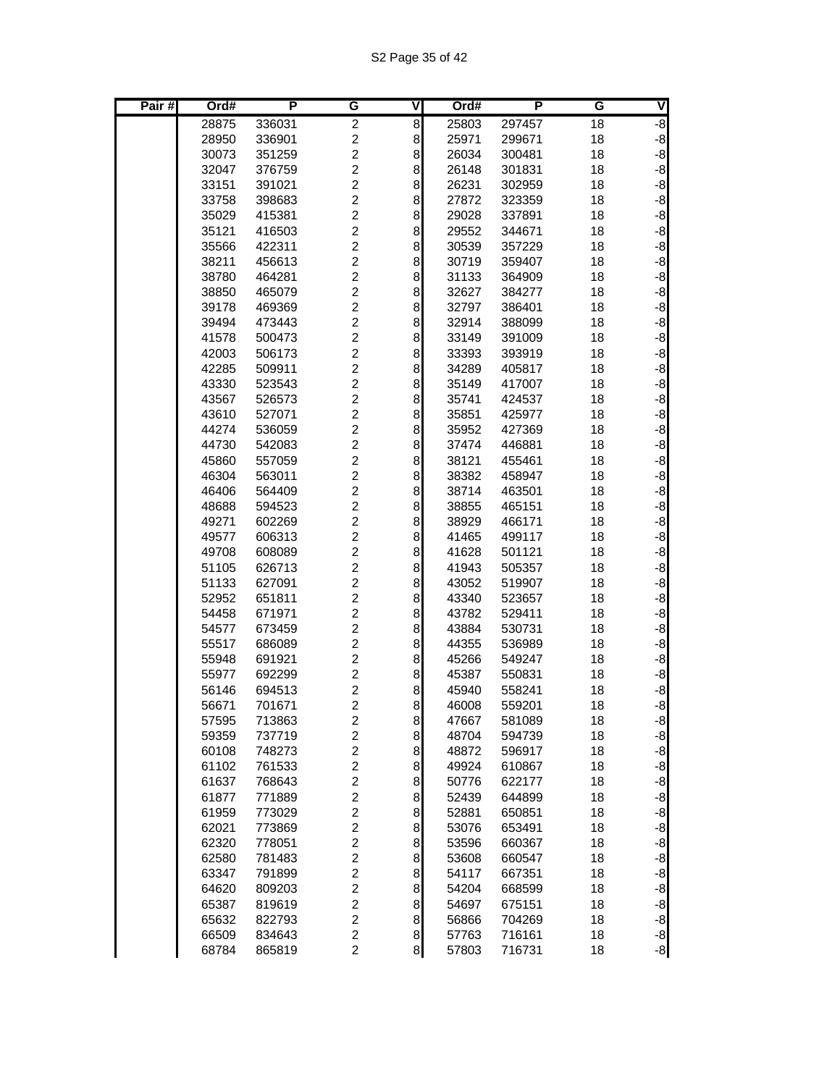| Pair# | Ord#  | P      | G                       | ٧                | Ord#  | P      | G  | V    |
|-------|-------|--------|-------------------------|------------------|-------|--------|----|------|
|       | 28875 | 336031 | $\overline{c}$          | 8                | 25803 | 297457 | 18 | $-8$ |
|       | 28950 | 336901 | $\overline{c}$          | 8                | 25971 | 299671 | 18 | $-8$ |
|       | 30073 | 351259 | $\overline{c}$          | 8                | 26034 | 300481 | 18 | $-8$ |
|       | 32047 | 376759 | $\overline{2}$          | 8                | 26148 | 301831 | 18 | $-8$ |
|       | 33151 | 391021 | $\overline{c}$          | 8                | 26231 | 302959 | 18 | $-8$ |
|       | 33758 | 398683 | $\overline{c}$          | 8                | 27872 | 323359 | 18 | $-8$ |
|       | 35029 | 415381 | $\overline{c}$          | 8                | 29028 | 337891 | 18 | $-8$ |
|       | 35121 | 416503 | $\overline{c}$          | 8                | 29552 | 344671 | 18 | $-8$ |
|       | 35566 | 422311 | $\overline{c}$          | 8                | 30539 | 357229 | 18 | $-8$ |
|       | 38211 | 456613 | $\overline{c}$          | 8                | 30719 | 359407 | 18 | $-8$ |
|       | 38780 | 464281 | $\overline{2}$          | 8                | 31133 | 364909 | 18 | $-8$ |
|       | 38850 | 465079 | $\overline{c}$          | 8                | 32627 | 384277 | 18 | $-8$ |
|       | 39178 | 469369 | $\overline{c}$          | 8                | 32797 | 386401 | 18 | $-8$ |
|       | 39494 | 473443 | $\overline{c}$          | 8                | 32914 | 388099 | 18 | $-8$ |
|       | 41578 | 500473 | $\overline{c}$          | 8                | 33149 | 391009 | 18 | $-8$ |
|       | 42003 | 506173 | $\overline{c}$          | 8                | 33393 | 393919 | 18 | $-8$ |
|       | 42285 | 509911 | $\overline{2}$          | 8                | 34289 | 405817 | 18 | $-8$ |
|       | 43330 | 523543 | $\overline{2}$          | 8                | 35149 | 417007 | 18 | $-8$ |
|       | 43567 | 526573 | $\overline{c}$          | 8                | 35741 | 424537 | 18 | $-8$ |
|       | 43610 | 527071 | $\overline{2}$          | 8                | 35851 | 425977 | 18 | $-8$ |
|       | 44274 | 536059 | $\overline{c}$          | 8                | 35952 | 427369 | 18 | $-8$ |
|       | 44730 | 542083 | $\overline{c}$          | 8                | 37474 | 446881 | 18 | $-8$ |
|       | 45860 | 557059 | $\overline{c}$          | 8                | 38121 | 455461 | 18 | $-8$ |
|       | 46304 | 563011 | $\overline{\mathbf{c}}$ | 8                | 38382 | 458947 | 18 | $-8$ |
|       | 46406 | 564409 | $\overline{c}$          | 8                | 38714 | 463501 | 18 | $-8$ |
|       | 48688 | 594523 | $\overline{c}$          | 8                | 38855 | 465151 | 18 | $-8$ |
|       | 49271 | 602269 | $\overline{2}$          | 8                | 38929 | 466171 | 18 | $-8$ |
|       | 49577 | 606313 | $\overline{c}$          | 8                | 41465 | 499117 | 18 | $-8$ |
|       | 49708 | 608089 | $\overline{2}$          | 8                | 41628 | 501121 | 18 | $-8$ |
|       | 51105 | 626713 | $\overline{c}$          | 8                | 41943 | 505357 | 18 | $-8$ |
|       | 51133 | 627091 | $\overline{c}$          | 8                | 43052 | 519907 | 18 | $-8$ |
|       | 52952 | 651811 | $\overline{c}$          | 8                | 43340 | 523657 | 18 | $-8$ |
|       | 54458 | 671971 | $\overline{c}$          | 8                | 43782 | 529411 | 18 | $-8$ |
|       | 54577 | 673459 | $\overline{2}$          | 8                | 43884 | 530731 | 18 | $-8$ |
|       | 55517 | 686089 | $\overline{c}$          | 8                | 44355 | 536989 | 18 | $-8$ |
|       | 55948 | 691921 | $\overline{c}$          | 8                | 45266 | 549247 | 18 | $-8$ |
|       | 55977 | 692299 | $\overline{c}$          | 8                | 45387 | 550831 | 18 | $-8$ |
|       | 56146 | 694513 | $\overline{c}$          | 8                | 45940 | 558241 | 18 | $-8$ |
|       | 56671 | 701671 | $\overline{c}$          | 8                | 46008 | 559201 | 18 | $-8$ |
|       | 57595 | 713863 | $\overline{\mathbf{c}}$ | $\boldsymbol{8}$ | 47667 | 581089 | 18 | $-8$ |
|       | 59359 | 737719 | $\overline{c}$          | $\bf8$           | 48704 | 594739 | 18 | $-8$ |
|       | 60108 | 748273 | $\boldsymbol{2}$        | 8                | 48872 | 596917 | 18 | $-8$ |
|       | 61102 | 761533 | $\boldsymbol{2}$        | $\bf8$           | 49924 | 610867 | 18 | $-8$ |
|       | 61637 | 768643 | $\boldsymbol{2}$        | 8                | 50776 | 622177 | 18 | $-8$ |
|       | 61877 | 771889 | $\boldsymbol{2}$        | 8                | 52439 | 644899 | 18 | $-8$ |
|       | 61959 | 773029 | $\overline{c}$          | $\bf8$           | 52881 | 650851 | 18 | $-8$ |
|       | 62021 | 773869 | $\overline{c}$          | $\bf8$           | 53076 | 653491 | 18 | $-8$ |
|       | 62320 | 778051 | $\overline{c}$          | $\bf8$           | 53596 | 660367 | 18 | $-8$ |
|       | 62580 | 781483 | $\boldsymbol{2}$        | 8                | 53608 | 660547 | 18 | $-8$ |
|       | 63347 | 791899 | $\overline{\mathbf{c}}$ | 8                | 54117 | 667351 | 18 | $-8$ |
|       | 64620 | 809203 | $\boldsymbol{2}$        | $\bf8$           | 54204 | 668599 | 18 | $-8$ |
|       | 65387 | 819619 | $\boldsymbol{2}$        | 8                | 54697 | 675151 | 18 | $-8$ |
|       | 65632 | 822793 | $\overline{c}$          | $\bf8$           | 56866 | 704269 | 18 | $-8$ |
|       | 66509 | 834643 | $\overline{c}$          | $\bf{8}$         | 57763 | 716161 | 18 | $-8$ |
|       | 68784 | 865819 | $\overline{c}$          | 8                | 57803 | 716731 | 18 | $-8$ |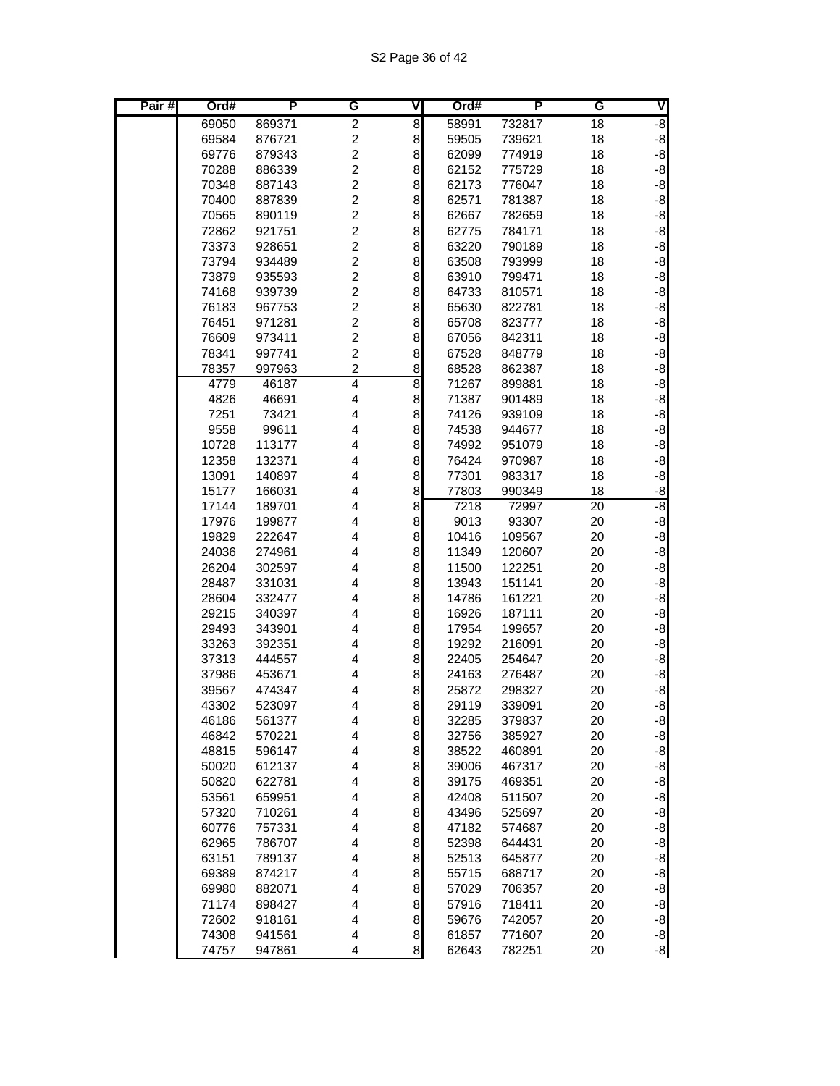| Pair# | Ord#           | $\overline{P}$   | G                            | V        | Ord#           | P                | G               | V            |
|-------|----------------|------------------|------------------------------|----------|----------------|------------------|-----------------|--------------|
|       | 69050          | 869371           | $\overline{c}$               | 8        | 58991          | 732817           | 18              | $-8$         |
|       | 69584          | 876721           | $\boldsymbol{2}$             | 8        | 59505          | 739621           | 18              | $-8$         |
|       | 69776          | 879343           | $\overline{c}$               | 8        | 62099          | 774919           | 18              | $-8$         |
|       | 70288          | 886339           | $\overline{c}$               | 8        | 62152          | 775729           | 18              | $-8$         |
|       | 70348          | 887143           | $\overline{c}$               | 8        | 62173          | 776047           | 18              | $-8$         |
|       | 70400          | 887839           | $\overline{c}$               | 8        | 62571          | 781387           | 18              | $-8$         |
|       | 70565          | 890119           | $\overline{c}$               | 8        | 62667          | 782659           | 18              | $-8$         |
|       | 72862          | 921751           | $\overline{c}$               | 8        | 62775          | 784171           | 18              | $-8$         |
|       | 73373          | 928651           | $\overline{\mathbf{c}}$      | 8        | 63220          | 790189           | 18              | $-8$         |
|       | 73794          | 934489           | $\overline{c}$               | 8        | 63508          | 793999           | 18              | $-8$         |
|       | 73879          | 935593           | $\overline{c}$               | 8        | 63910          | 799471           | 18              | $-8$         |
|       | 74168          | 939739           | $\overline{c}$               | 8        | 64733          | 810571           | 18              | $-8$         |
|       | 76183          | 967753           | $\overline{c}$               | 8        | 65630          | 822781           | 18              | $-8$         |
|       | 76451          | 971281           | $\overline{c}$               | 8        | 65708          | 823777           | 18              | $-8$         |
|       | 76609          | 973411           | $\overline{c}$               | 8        | 67056          | 842311           | 18              | $-8$         |
|       | 78341          | 997741           | 2<br>$\overline{\mathbf{c}}$ | 8<br>8   | 67528<br>68528 | 848779<br>862387 | 18              | $-8$<br>$-8$ |
|       | 78357<br>4779  | 997963<br>46187  | $\overline{4}$               | 8        | 71267          | 899881           | 18<br>18        | $-8$         |
|       | 4826           | 46691            | 4                            | 8        | 71387          | 901489           | 18              | $-8$         |
|       | 7251           | 73421            | 4                            | 8        | 74126          | 939109           | 18              | $-8$         |
|       | 9558           | 99611            | 4                            | 8        | 74538          | 944677           | 18              | $-8$         |
|       | 10728          | 113177           | 4                            | 8        | 74992          | 951079           | 18              | $-8$         |
|       | 12358          | 132371           | 4                            | 8        | 76424          | 970987           | 18              | $-8$         |
|       | 13091          | 140897           | 4                            | 8        | 77301          | 983317           | 18              | $-8$         |
|       | 15177          | 166031           | 4                            | 8        | 77803          | 990349           | 18              | $-8$         |
|       | 17144          | 189701           | 4                            | 8        | 7218           | 72997            | $\overline{20}$ | -8           |
|       | 17976          | 199877           | 4                            | 8        | 9013           | 93307            | 20              | $-8$         |
|       | 19829          | 222647           | 4                            | 8        | 10416          | 109567           | 20              | $-8$         |
|       | 24036          | 274961           | 4                            | 8        | 11349          | 120607           | 20              | $-8$         |
|       | 26204          | 302597           | 4                            | 8        | 11500          | 122251           | 20              | $-8$         |
|       | 28487          | 331031           | 4                            | 8        | 13943          | 151141           | 20              | $-8$         |
|       | 28604          | 332477           | 4                            | 8        | 14786          | 161221           | 20              | $-8$         |
|       | 29215          | 340397           | 4                            | 8        | 16926          | 187111           | 20              | $-8$         |
|       | 29493          | 343901           | 4                            | 8        | 17954          | 199657           | 20              | $-8$         |
|       | 33263          | 392351           | 4                            | 8        | 19292          | 216091           | 20              | $-8$         |
|       | 37313          | 444557           | 4                            | 8        | 22405          | 254647           | 20              | $-8$         |
|       | 37986          | 453671           | 4                            | 8        | 24163          | 276487           | 20              | $-8$         |
|       | 39567          | 474347           | 4                            | 8        | 25872          | 298327           | 20              | $-8$         |
|       | 43302          | 523097           | 4                            | $\bf{8}$ | 29119          | 339091           | 20              | $-8$         |
|       | 46186          | 561377           | 4                            | $\bf{8}$ | 32285          | 379837           | 20              | $-8$         |
|       | 46842          | 570221           | 4                            | $\bf{8}$ | 32756          | 385927           | 20              | $-8$         |
|       | 48815          | 596147           | 4                            | 8        | 38522          | 460891           | 20              | $-8$         |
|       | 50020          | 612137           | 4                            | 8        | 39006          | 467317           | 20              | $-8$         |
|       | 50820          | 622781           | 4                            | 8        | 39175          | 469351           | 20              | $-8$         |
|       | 53561          | 659951           | $\overline{\mathbf{4}}$      | 8        | 42408          | 511507           | 20              | $-8$         |
|       | 57320          | 710261           | 4                            | 8        | 43496          | 525697           | 20              | $-8$         |
|       | 60776          | 757331           | $\overline{\mathbf{4}}$      | 8        | 47182          | 574687           | 20              | $-8$         |
|       | 62965          | 786707           | $\overline{\mathbf{4}}$      | 8        | 52398          | 644431           | 20              | $-8$         |
|       | 63151          | 789137           | $\overline{\mathbf{4}}$      | 8        | 52513          | 645877           | 20              | $-8$         |
|       | 69389          | 874217           | 4                            | 8<br>8   | 55715          | 688717           | 20              | $-8$<br>$-8$ |
|       | 69980<br>71174 | 882071           | 4<br>$\overline{\mathbf{4}}$ | 8        | 57029          | 706357<br>718411 | 20              | $-8$         |
|       | 72602          | 898427<br>918161 | 4                            | $\bf8$   | 57916<br>59676 | 742057           | 20<br>20        | $-8$         |
|       | 74308          | 941561           | $\overline{\mathbf{4}}$      | $\bf{8}$ | 61857          | 771607           | 20              |              |
|       | 74757          | 947861           | 4                            | $\bf{8}$ | 62643          | 782251           | 20              | $-8$<br>$-8$ |
|       |                |                  |                              |          |                |                  |                 |              |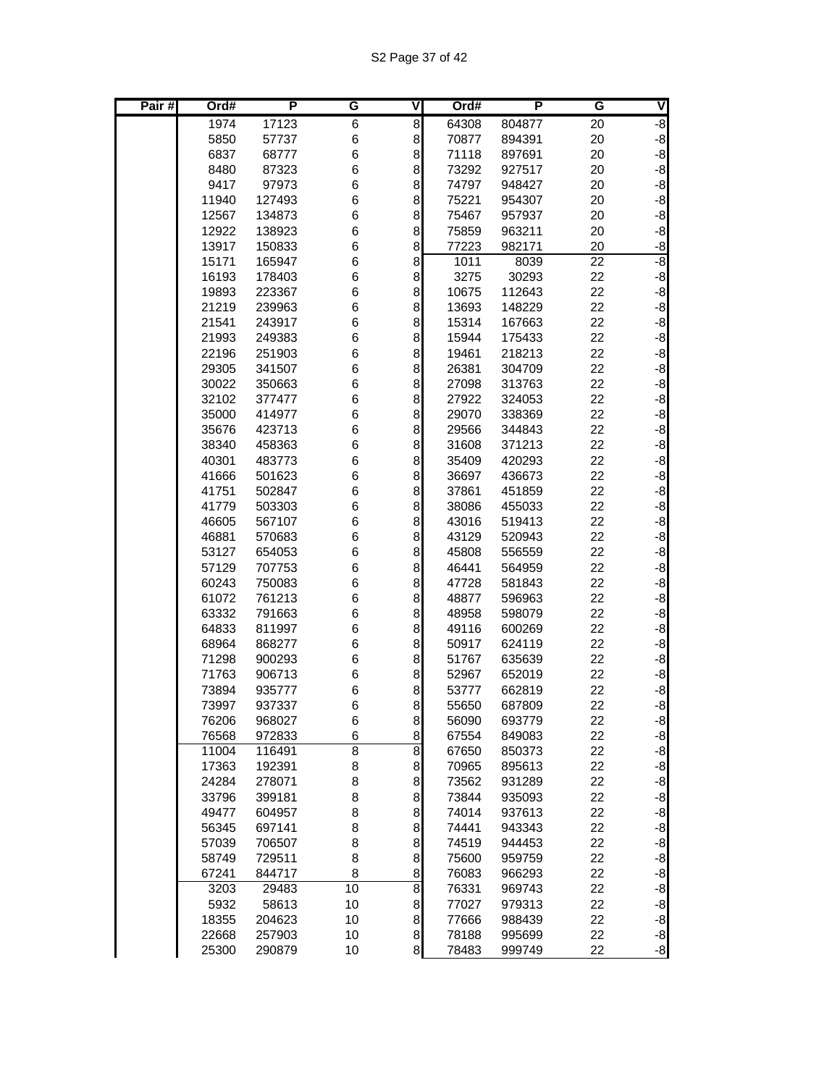| Pair# | Ord#           | P                | G              | ۷                | Ord#           | P                | G        | ٧            |
|-------|----------------|------------------|----------------|------------------|----------------|------------------|----------|--------------|
|       | 1974           | 17123            | 6              | 8                | 64308          | 804877           | 20       | $-8$         |
|       | 5850           | 57737            | 6              | 8                | 70877          | 894391           | 20       | $-8$         |
|       | 6837           | 68777            | 6              | 8                | 71118          | 897691           | 20       | $-8$         |
|       | 8480           | 87323            | 6              | 8                | 73292          | 927517           | 20       | $-8$         |
|       | 9417           | 97973            | 6              | 8                | 74797          | 948427           | 20       | $-8$         |
|       | 11940          | 127493           | 6              | 8                | 75221          | 954307           | 20       | $-8$         |
|       | 12567          | 134873           | 6              | 8                | 75467          | 957937           | 20       | $-8$         |
|       | 12922          | 138923           | 6              | 8                | 75859          | 963211           | 20       | $-8$         |
|       | 13917          | 150833           | 6              | 8                | 77223          | 982171           | 20       | $-8$         |
|       | 15171          | 165947           | 6              | 8                | 1011           | 8039             | 22       | -8           |
|       | 16193          | 178403           | 6              | 8                | 3275           | 30293            | 22       | $-8$         |
|       | 19893          | 223367           | 6              | 8                | 10675          | 112643           | 22       | $-8$         |
|       | 21219          | 239963           | 6              | 8                | 13693          | 148229           | 22       | $-8$         |
|       | 21541          | 243917           | 6              | 8                | 15314          | 167663           | 22       | $-8$         |
|       | 21993          | 249383           | 6              | 8                | 15944          | 175433           | 22       | $-8$         |
|       | 22196          | 251903           | 6<br>6         | 8<br>8           | 19461          | 218213<br>304709 | 22       | $-8$<br>$-8$ |
|       | 29305<br>30022 | 341507<br>350663 | 6              | 8                | 26381<br>27098 | 313763           | 22<br>22 | $-8$         |
|       | 32102          | 377477           | 6              | 8                | 27922          | 324053           | 22       | $-8$         |
|       | 35000          | 414977           | 6              | 8                | 29070          | 338369           | 22       | $-8$         |
|       | 35676          | 423713           | 6              | 8                | 29566          | 344843           | 22       | $-8$         |
|       | 38340          | 458363           | 6              | 8                | 31608          | 371213           | 22       | $-8$         |
|       | 40301          | 483773           | 6              | 8                | 35409          | 420293           | 22       | $-8$         |
|       | 41666          | 501623           | 6              | 8                | 36697          | 436673           | 22       | $-8$         |
|       | 41751          | 502847           | 6              | 8                | 37861          | 451859           | 22       | $-8$         |
|       | 41779          | 503303           | 6              | 8                | 38086          | 455033           | 22       | $-8$         |
|       | 46605          | 567107           | 6              | 8                | 43016          | 519413           | 22       | $-8$         |
|       | 46881          | 570683           | 6              | 8                | 43129          | 520943           | 22       | $-8$         |
|       | 53127          | 654053           | 6              | 8                | 45808          | 556559           | 22       | $-8$         |
|       | 57129          | 707753           | 6              | 8                | 46441          | 564959           | 22       | $-8$         |
|       | 60243          | 750083           | 6              | 8                | 47728          | 581843           | 22       | $-8$         |
|       | 61072          | 761213           | 6              | 8                | 48877          | 596963           | 22       | $-8$         |
|       | 63332          | 791663           | 6              | 8                | 48958          | 598079           | 22       | $-8$         |
|       | 64833          | 811997           | 6              | 8                | 49116          | 600269           | 22       | $-8$         |
|       | 68964          | 868277           | 6              | 8                | 50917          | 624119           | 22       | $-8$         |
|       | 71298          | 900293           | 6              | 8                | 51767          | 635639           | 22       | $-8$         |
|       | 71763          | 906713           | 6              | 8                | 52967          | 652019           | 22       | $-8$         |
|       | 73894          | 935777           | 6              | 8                | 53777          | 662819           | 22       | $-8$         |
|       | 73997          | 937337           | 6              | 8                | 55650          | 687809           | 22       | $-8$         |
|       | 76206          | 968027           | 6              | $\boldsymbol{8}$ | 56090          | 693779           | 22       | $-8$         |
|       | 76568          | 972833           | 6              | $\bf8$           | 67554          | 849083           | 22       | $-8$         |
|       | 11004          | 116491           | $\overline{8}$ | $\infty$         | 67650          | 850373           | 22       | $-8$         |
|       | 17363          | 192391           | 8              | $\bf8$           | 70965          | 895613           | 22       | $-8$         |
|       | 24284          | 278071           | 8              | 8                | 73562          | 931289           | 22       | $-8$         |
|       | 33796          | 399181           | 8              | 8                | 73844          | 935093           | 22       | $-8$         |
|       | 49477          | 604957           | 8              | $\bf8$           | 74014          | 937613           | 22       | $-8$         |
|       | 56345          | 697141           | 8              | $\bf8$           | 74441          | 943343           | 22       | $-8$         |
|       | 57039          | 706507           | 8              | 8                | 74519          | 944453           | 22       | $-8$         |
|       | 58749          | 729511           | 8              | 8                | 75600          | 959759           | 22       | $-8$         |
|       | 67241          | 844717           | 8              | 8                | 76083          | 966293           | 22       | $-8$         |
|       | 3203           | 29483            | 10             | $\overline{8}$   | 76331          | 969743           | 22       | $-8$<br>$-8$ |
|       | 5932<br>18355  | 58613<br>204623  | 10             | 8<br>$\bf8$      | 77027<br>77666 | 979313           | 22<br>22 | $-8$         |
|       | 22668          | 257903           | 10<br>10       | $\bf{8}$         | 78188          | 988439<br>995699 | 22       | $-8$         |
|       | 25300          | 290879           | 10             | 8                | 78483          | 999749           | 22       | $-8$         |
|       |                |                  |                |                  |                |                  |          |              |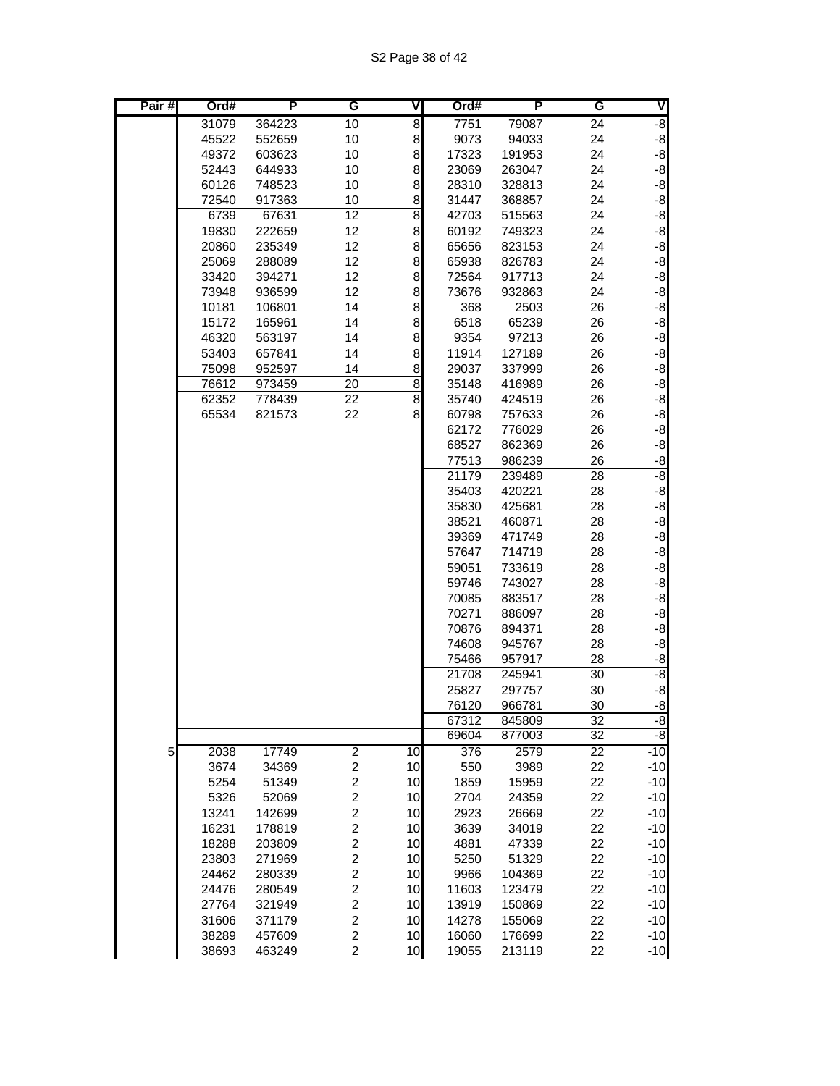| Pair# | Ord#  | Р      | G                       | V              | Ord#           | P                | G               | V            |
|-------|-------|--------|-------------------------|----------------|----------------|------------------|-----------------|--------------|
|       | 31079 | 364223 | 10                      | 8              | 7751           | 79087            | 24              | ġ.           |
|       | 45522 | 552659 | 10                      | 8              | 9073           | 94033            | 24              | $-8$         |
|       | 49372 | 603623 | 10                      | 8              | 17323          | 191953           | 24              | $-8$         |
|       | 52443 | 644933 | 10                      | 8              | 23069          | 263047           | 24              | $-8$         |
|       | 60126 | 748523 | 10                      | 8              | 28310          | 328813           | 24              | $-8$         |
|       | 72540 | 917363 | 10                      | 8              | 31447          | 368857           | 24              | $-8$         |
|       | 6739  | 67631  | 12                      | 8              | 42703          | 515563           | 24              | $-8$         |
|       | 19830 | 222659 | 12                      | 8              | 60192          | 749323           | 24              | $-8$         |
|       | 20860 | 235349 | 12                      | 8              | 65656          | 823153           | 24              | $-8$         |
|       | 25069 | 288089 | 12                      | 8              | 65938          | 826783           | 24              | $-8$         |
|       | 33420 | 394271 | 12                      | 8              | 72564          | 917713           | 24              | $-8$         |
|       | 73948 | 936599 | 12                      | 8              | 73676          | 932863           | 24              | $-8$         |
|       | 10181 | 106801 | 14                      | $\overline{8}$ | 368            | 2503             | 26              | -8           |
|       | 15172 | 165961 | 14                      | 8              | 6518           | 65239            | 26              | $-8$         |
|       | 46320 | 563197 | 14                      | 8              | 9354           | 97213            | 26              | $-8$         |
|       | 53403 | 657841 | 14                      | 8              | 11914          | 127189           | 26              | $-8$         |
|       | 75098 | 952597 | 14                      | 8              | 29037          | 337999           | 26              | $-8$         |
|       | 76612 | 973459 | $\overline{20}$         | 8              | 35148          | 416989           | 26              | $-8$         |
|       | 62352 | 778439 | $\overline{22}$         | 8              | 35740          | 424519           | 26              | $-8$         |
|       | 65534 | 821573 | 22                      | 8              | 60798          | 757633           | 26              | $-8$         |
|       |       |        |                         |                | 62172          | 776029           | 26              | $-8$         |
|       |       |        |                         |                | 68527          | 862369           | 26              | $-8$         |
|       |       |        |                         |                | 77513          | 986239           | 26              | $-8$<br>-8   |
|       |       |        |                         |                | 21179          | 239489           | 28              |              |
|       |       |        |                         |                | 35403          | 420221           | 28              | $-8$         |
|       |       |        |                         |                | 35830          | 425681           | 28              | $-8$         |
|       |       |        |                         |                | 38521<br>39369 | 460871<br>471749 | 28<br>28        | $-8$<br>$-8$ |
|       |       |        |                         |                | 57647          | 714719           | 28              | $-8$         |
|       |       |        |                         |                | 59051          | 733619           | 28              | $-8$         |
|       |       |        |                         |                | 59746          | 743027           | 28              | $-8$         |
|       |       |        |                         |                | 70085          | 883517           | 28              | $-8$         |
|       |       |        |                         |                | 70271          | 886097           | 28              | $-8$         |
|       |       |        |                         |                | 70876          | 894371           | 28              | $-8$         |
|       |       |        |                         |                | 74608          | 945767           | 28              | $-8$         |
|       |       |        |                         |                | 75466          | 957917           | 28              | -8           |
|       |       |        |                         |                | 21708          | 245941           | 30              | စ်           |
|       |       |        |                         |                | 25827          | 297757           | 30              | $-8$         |
|       |       |        |                         |                | 76120          | 966781           | 30              | $-8$         |
|       |       |        |                         |                | 67312          | 845809           | 32              | $-8$         |
|       |       |        |                         |                | 69604          | 877003           | $\overline{32}$ | $-8$         |
| 5     | 2038  | 17749  | $\overline{2}$          | 10             | 376            | 2579             | $\overline{22}$ | $-10$        |
|       | 3674  | 34369  | $\overline{\mathbf{c}}$ | 10             | 550            | 3989             | 22              | $-10$        |
|       | 5254  | 51349  | $\overline{\mathbf{c}}$ | 10             | 1859           | 15959            | 22              | $-10$        |
|       | 5326  | 52069  | $\overline{\mathbf{c}}$ | 10             | 2704           | 24359            | 22              | $-10$        |
|       | 13241 | 142699 | $\overline{\mathbf{c}}$ | 10             | 2923           | 26669            | 22              | $-10$        |
|       | 16231 | 178819 | $\overline{c}$          | 10             | 3639           | 34019            | 22              | $-10$        |
|       | 18288 | 203809 | $\overline{c}$          | 10             | 4881           | 47339            | 22              | $-10$        |
|       | 23803 | 271969 | $\overline{\mathbf{c}}$ | 10             | 5250           | 51329            | 22              | $-10$        |
|       | 24462 | 280339 | $\overline{\mathbf{c}}$ | 10             | 9966           | 104369           | 22              | $-10$        |
|       | 24476 | 280549 | $\overline{\mathbf{c}}$ | 10             | 11603          | 123479           | 22              | $-10$        |
|       | 27764 | 321949 | $\overline{\mathbf{c}}$ | 10             | 13919          | 150869           | 22              | $-10$        |
|       | 31606 | 371179 | $\overline{c}$          | 10             | 14278          | 155069           | 22              | $-10$        |
|       | 38289 | 457609 | $\overline{\mathbf{c}}$ | 10             | 16060          | 176699           | 22              | $-10$        |
|       | 38693 | 463249 | $\overline{c}$          | 10             | 19055          | 213119           | 22              | $-10$        |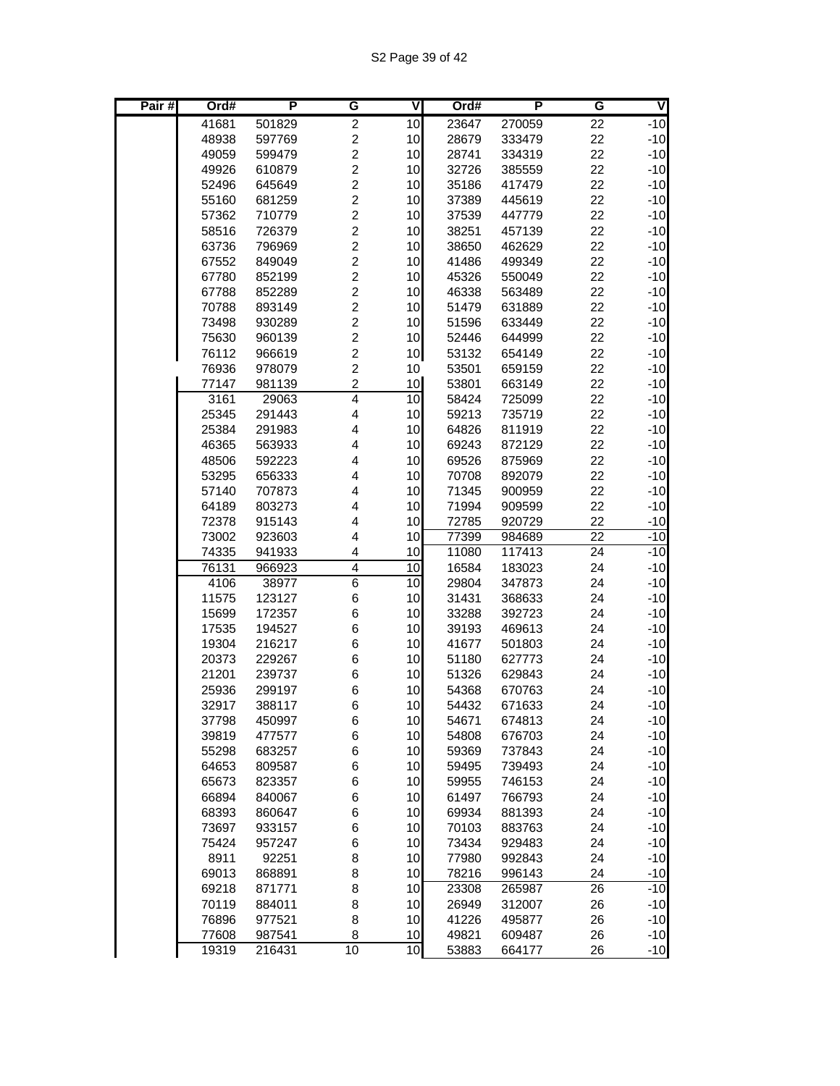| Pair# | Ord#  | P      | G                       | V               | Ord#  | P      | G               | V     |
|-------|-------|--------|-------------------------|-----------------|-------|--------|-----------------|-------|
|       | 41681 | 501829 | $\overline{c}$          | 10              | 23647 | 270059 | 22              | $-10$ |
|       | 48938 | 597769 | $\overline{\mathbf{c}}$ | 10              | 28679 | 333479 | 22              | $-10$ |
|       | 49059 | 599479 | $\overline{c}$          | 10              | 28741 | 334319 | 22              | $-10$ |
|       | 49926 | 610879 | $\overline{c}$          | 10              | 32726 | 385559 | 22              | $-10$ |
|       | 52496 | 645649 | $\overline{c}$          | 10              | 35186 | 417479 | 22              | $-10$ |
|       | 55160 | 681259 | $\overline{c}$          | 10              | 37389 | 445619 | 22              | $-10$ |
|       | 57362 | 710779 | $\overline{c}$          | 10              | 37539 | 447779 | 22              | $-10$ |
|       | 58516 | 726379 | $\overline{c}$          | 10              | 38251 | 457139 | 22              | $-10$ |
|       | 63736 | 796969 | $\overline{c}$          | 10              | 38650 | 462629 | 22              | $-10$ |
|       | 67552 | 849049 | $\overline{c}$          | 10              | 41486 | 499349 | 22              | $-10$ |
|       | 67780 | 852199 | $\overline{c}$          | 10              | 45326 | 550049 | 22              | $-10$ |
|       | 67788 | 852289 | $\overline{c}$          | 10              | 46338 | 563489 | 22              | $-10$ |
|       | 70788 | 893149 | $\overline{c}$          | 10              | 51479 | 631889 | 22              | $-10$ |
|       | 73498 | 930289 | $\overline{c}$          | 10              | 51596 | 633449 | 22              | $-10$ |
|       | 75630 | 960139 | $\overline{c}$          | 10              | 52446 | 644999 | 22              | $-10$ |
|       | 76112 | 966619 | $\overline{c}$          | 10              | 53132 | 654149 | 22              | $-10$ |
|       | 76936 | 978079 | $\overline{c}$          | 10              | 53501 | 659159 | 22              | $-10$ |
|       | 77147 | 981139 | $\overline{2}$          | 10              | 53801 | 663149 | 22              | $-10$ |
|       | 3161  | 29063  | 4                       | $\overline{10}$ | 58424 | 725099 | 22              | $-10$ |
|       | 25345 | 291443 | 4                       | 10              | 59213 | 735719 | 22              | $-10$ |
|       | 25384 | 291983 | 4                       | 10              | 64826 | 811919 | 22              | $-10$ |
|       | 46365 | 563933 | 4                       | 10              | 69243 | 872129 | 22              | $-10$ |
|       | 48506 | 592223 | 4                       | 10              | 69526 | 875969 | 22              | $-10$ |
|       | 53295 | 656333 | $\overline{\mathbf{4}}$ | 10              | 70708 | 892079 | 22              | $-10$ |
|       | 57140 | 707873 | 4                       | 10              | 71345 | 900959 | 22              | $-10$ |
|       | 64189 | 803273 | 4                       | 10              | 71994 | 909599 | 22              | $-10$ |
|       | 72378 | 915143 | 4                       | 10              | 72785 | 920729 | 22              | $-10$ |
|       | 73002 | 923603 | 4                       | 10              | 77399 | 984689 | $\overline{22}$ | $-10$ |
|       | 74335 | 941933 | 4                       | 10              | 11080 | 117413 | 24              | $-10$ |
|       | 76131 | 966923 | $\overline{4}$          | 10              | 16584 | 183023 | 24              | $-10$ |
|       | 4106  | 38977  | $\overline{6}$          | 10              | 29804 | 347873 | 24              | $-10$ |
|       | 11575 | 123127 | 6                       | 10              | 31431 | 368633 | 24              | $-10$ |
|       | 15699 | 172357 | 6                       | 10              | 33288 | 392723 | 24              | $-10$ |
|       | 17535 | 194527 | 6                       | 10              | 39193 | 469613 | 24              | $-10$ |
|       | 19304 | 216217 | 6                       | 10              | 41677 | 501803 | 24              | $-10$ |
|       | 20373 | 229267 | 6                       | 10              | 51180 | 627773 | 24              | $-10$ |
|       | 21201 | 239737 | 6                       | 10              | 51326 | 629843 | 24              | $-10$ |
|       | 25936 | 299197 | 6                       | 10              | 54368 | 670763 | 24              | $-10$ |
|       | 32917 | 388117 | 6                       | 10              | 54432 | 671633 | 24              | $-10$ |
|       | 37798 | 450997 | 6                       | 10              | 54671 | 674813 | 24              | $-10$ |
|       | 39819 | 477577 | 6                       | 10              | 54808 | 676703 | 24              | $-10$ |
|       | 55298 | 683257 | 6                       | 10              | 59369 | 737843 | 24              | $-10$ |
|       | 64653 | 809587 | 6                       | 10              | 59495 | 739493 | 24              | $-10$ |
|       | 65673 | 823357 | 6                       | 10              | 59955 | 746153 | 24              | $-10$ |
|       | 66894 | 840067 | 6                       | 10              | 61497 | 766793 | 24              | $-10$ |
|       | 68393 | 860647 | 6                       | 10              | 69934 | 881393 | 24              | $-10$ |
|       | 73697 | 933157 | 6                       | 10              | 70103 | 883763 | 24              | $-10$ |
|       | 75424 | 957247 | 6                       | 10              | 73434 | 929483 | 24              | $-10$ |
|       | 8911  | 92251  | 8                       | 10              | 77980 | 992843 | 24              | $-10$ |
|       | 69013 | 868891 | 8                       | 10              | 78216 | 996143 | 24              | $-10$ |
|       | 69218 | 871771 | 8                       | 10              | 23308 | 265987 | 26              | $-10$ |
|       | 70119 | 884011 | 8                       | 10              | 26949 | 312007 | 26              | $-10$ |
|       | 76896 | 977521 | 8                       | 10              | 41226 | 495877 | 26              | $-10$ |
|       | 77608 | 987541 | 8                       | 10              | 49821 | 609487 | 26              | $-10$ |
|       | 19319 | 216431 | 10                      | 10              | 53883 | 664177 | 26              | $-10$ |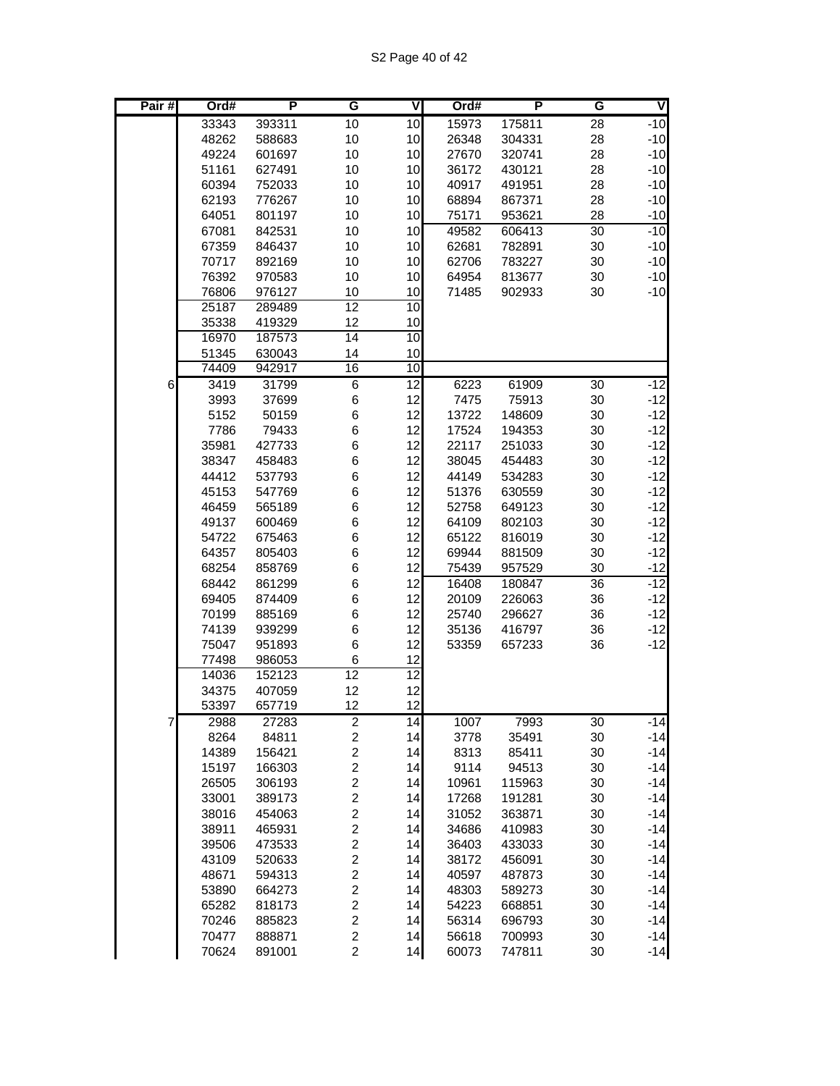| Pair# | Ord#           | P                | G                                         | V               | Ord#           | P                | G               | ₹              |
|-------|----------------|------------------|-------------------------------------------|-----------------|----------------|------------------|-----------------|----------------|
|       | 33343          | 393311           | 10                                        | 10              | 15973          | 175811           | 28              | $-10$          |
|       | 48262          | 588683           | 10                                        | 10              | 26348          | 304331           | 28              | $-10$          |
|       | 49224          | 601697           | 10                                        | 10              | 27670          | 320741           | 28              | $-10$          |
|       | 51161          | 627491           | 10                                        | 10              | 36172          | 430121           | 28              | $-10$          |
|       | 60394          | 752033           | 10                                        | 10              | 40917          | 491951           | 28              | $-10$          |
|       | 62193          | 776267           | 10                                        | 10              | 68894          | 867371           | 28              | $-10$          |
|       | 64051          | 801197           | 10                                        | 10              | 75171          | 953621           | 28              | $-10$          |
|       | 67081          | 842531           | 10                                        | 10              | 49582          | 606413           | 30              | $-10$          |
|       | 67359          | 846437           | 10                                        | 10              | 62681          | 782891           | 30              | $-10$          |
|       | 70717          | 892169           | 10                                        | 10              | 62706          | 783227           | 30              | $-10$          |
|       | 76392          | 970583           | 10                                        | 10              | 64954          | 813677           | 30              | $-10$          |
|       | 76806          | 976127           | 10                                        | 10              | 71485          | 902933           | 30              | $-10$          |
|       | 25187          | 289489           | $\overline{12}$                           | $\overline{10}$ |                |                  |                 |                |
|       | 35338          | 419329           | 12                                        | 10              |                |                  |                 |                |
|       | 16970          | 187573           | 14                                        | $\overline{10}$ |                |                  |                 |                |
|       | 51345          | 630043           | 14                                        | 10              |                |                  |                 |                |
|       | 74409          | 942917           | 16                                        | 10              |                |                  |                 |                |
| 6     | 3419           | 31799            | $6\overline{6}$                           | $\overline{12}$ | 6223           | 61909            | $\overline{30}$ | $-12$          |
|       | 3993           | 37699            | 6                                         | 12              | 7475           | 75913            | 30              | $-12$          |
|       | 5152           | 50159            | 6                                         | 12              | 13722          | 148609           | 30              | $-12$          |
|       | 7786           | 79433            | 6                                         | 12              | 17524          | 194353           | 30              | $-12$          |
|       | 35981          | 427733           | 6                                         | 12              | 22117          | 251033           | 30              | $-12$          |
|       | 38347          | 458483           | 6                                         | 12              | 38045          | 454483           | 30              | $-12$          |
|       | 44412          | 537793           | 6<br>6                                    | 12              | 44149          | 534283           | 30              | $-12$          |
|       | 45153          | 547769           |                                           | 12<br>12        | 51376          | 630559           | 30              | $-12$<br>$-12$ |
|       | 46459<br>49137 | 565189<br>600469 | 6<br>6                                    | 12              | 52758<br>64109 | 649123<br>802103 | 30<br>30        | $-12$          |
|       | 54722          | 675463           | 6                                         | 12              | 65122          | 816019           | 30              | $-12$          |
|       | 64357          | 805403           | 6                                         | 12              | 69944          | 881509           | 30              | $-12$          |
|       | 68254          | 858769           | 6                                         | 12              | 75439          | 957529           | 30              | $-12$          |
|       | 68442          | 861299           | 6                                         | 12              | 16408          | 180847           | 36              | $-12$          |
|       | 69405          | 874409           | 6                                         | 12              | 20109          | 226063           | 36              | $-12$          |
|       | 70199          | 885169           | 6                                         | 12              | 25740          | 296627           | 36              | $-12$          |
|       | 74139          | 939299           | 6                                         | 12              | 35136          | 416797           | 36              | $-12$          |
|       | 75047          | 951893           | 6                                         | 12              | 53359          | 657233           | 36              | $-12$          |
|       | 77498          | 986053           | 6                                         | 12              |                |                  |                 |                |
|       | 14036          | 152123           | $\overline{12}$                           | $\overline{12}$ |                |                  |                 |                |
|       | 34375          | 407059           | 12                                        | 12              |                |                  |                 |                |
|       | 53397          | 657719           | 12                                        | 12              |                |                  |                 |                |
| 7     | 2988           | 27283            | $\overline{\mathbf{c}}$                   | 14              | 1007           | 7993             | 30              | $-14$          |
|       | 8264           | 84811            | $\overline{\mathbf{c}}$                   | 14              | 3778           | 35491            | 30              | $-14$          |
|       | 14389          | 156421           | $\overline{\mathbf{c}}$                   | 14              | 8313           | 85411            | 30              | $-14$          |
|       | 15197          | 166303           | $\overline{\mathbf{c}}$                   | 14              | 9114           | 94513            | 30              | $-14$          |
|       | 26505          | 306193           | $\overline{c}$                            | 14              | 10961          | 115963           | 30              | $-14$          |
|       | 33001          | 389173           | $\overline{\mathbf{c}}$                   | 14              | 17268          | 191281           | 30              | $-14$          |
|       | 38016          | 454063           | $\overline{\mathbf{c}}$                   | 14              | 31052          | 363871           | 30              | $-14$          |
|       | 38911          | 465931           | $\overline{c}$                            | 14              | 34686          | 410983           | 30              | $-14$          |
|       | 39506          | 473533           | $\overline{c}$                            | 14              | 36403          | 433033           | 30              | $-14$          |
|       | 43109          | 520633           | $\overline{\mathbf{c}}$                   | 14              | 38172          | 456091           | 30              | $-14$          |
|       | 48671          | 594313           | $\overline{\mathbf{c}}$                   | 14              | 40597          | 487873           | 30              | $-14$          |
|       | 53890          | 664273           | $\overline{\mathbf{c}}$                   | 14              | 48303          | 589273           | 30              | $-14$          |
|       | 65282          | 818173           | $\overline{\mathbf{c}}$                   | 14              | 54223          | 668851           | 30              | $-14$          |
|       | 70246          | 885823           | $\overline{\mathbf{c}}$                   | 14              | 56314          | 696793           | 30              | $-14$          |
|       | 70477<br>70624 | 888871<br>891001 | $\overline{\mathbf{c}}$<br>$\overline{c}$ | 14<br>14        | 56618<br>60073 | 700993<br>747811 | 30<br>30        | $-14$<br>$-14$ |
|       |                |                  |                                           |                 |                |                  |                 |                |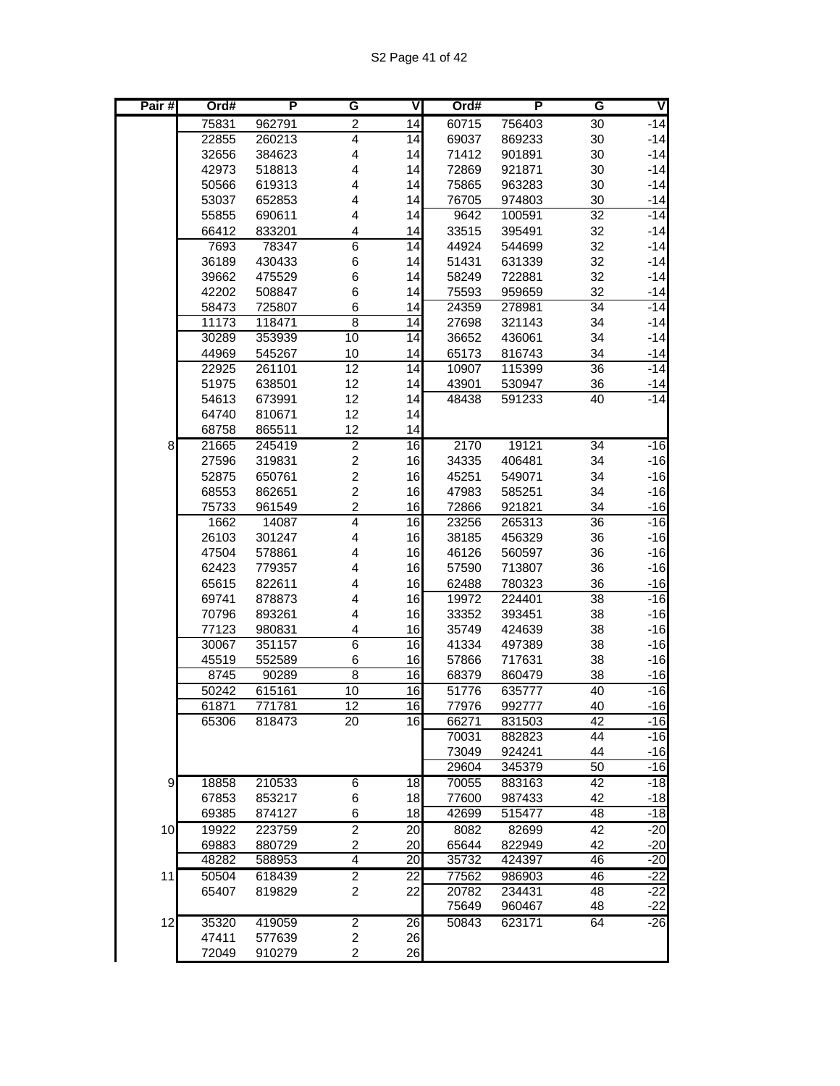| Pair# | Ord#           | P                | G                       | $\overline{\mathsf{V}}$ | Ord#           | P                | G               | V              |
|-------|----------------|------------------|-------------------------|-------------------------|----------------|------------------|-----------------|----------------|
|       | 75831          | 962791           | $\overline{c}$          | 14                      | 60715          | 756403           | 30              | $-14$          |
|       | 22855          | 260213           | $\overline{4}$          | 14                      | 69037          | 869233           | 30              | $-14$          |
|       | 32656          | 384623           | $\overline{\mathbf{4}}$ | 14                      | 71412          | 901891           | 30              | $-14$          |
|       | 42973          | 518813           | 4                       | 14                      | 72869          | 921871           | 30              | $-14$          |
|       | 50566          | 619313           | 4                       | 14                      | 75865          | 963283           | 30              | $-14$          |
|       | 53037          | 652853           | 4                       | 14                      | 76705          | 974803           | 30              | $-14$          |
|       | 55855          | 690611           | 4                       | 14                      | 9642           | 100591           | 32              | $-14$          |
|       | 66412          | 833201           | 4                       | 14                      | 33515          | 395491           | 32              | $-14$          |
|       | 7693           | 78347            | $\overline{6}$          | $\overline{14}$         | 44924          | 544699           | 32              | $-14$          |
|       | 36189          | 430433           | 6                       | 14                      | 51431          | 631339           | 32              | $-14$          |
|       | 39662          | 475529           | 6                       | 14                      | 58249          | 722881           | 32              | $-14$          |
|       | 42202          | 508847           | 6                       | 14                      | 75593          | 959659           | 32              | $-14$          |
|       | 58473          | 725807           | 6                       | 14                      | 24359          | 278981           | $\overline{34}$ | $-14$          |
|       | 11173          | 118471           | $\overline{8}$          | 14                      | 27698          | 321143           | 34              | $-14$          |
|       | 30289          | 353939           | 10                      | $\overline{14}$         | 36652          | 436061           | 34              | $-14$          |
|       | 44969          | 545267<br>261101 | 10<br>$\overline{12}$   | 14<br>14                | 65173<br>10907 | 816743<br>115399 | 34<br>36        | $-14$<br>$-14$ |
|       | 22925<br>51975 | 638501           | 12                      | 14                      | 43901          |                  | 36              |                |
|       | 54613          | 673991           | 12                      | 14                      | 48438          | 530947<br>591233 | 40              | $-14$<br>$-14$ |
|       | 64740          | 810671           | 12                      | 14                      |                |                  |                 |                |
|       | 68758          | 865511           | 12                      | 14                      |                |                  |                 |                |
| 8     | 21665          | 245419           | $\overline{2}$          | $\overline{6}$          | 2170           | 19121            | $\overline{34}$ | $-16$          |
|       | 27596          | 319831           | $\boldsymbol{2}$        | 16                      | 34335          | 406481           | 34              | $-16$          |
|       | 52875          | 650761           | $\overline{c}$          | 16                      | 45251          | 549071           | 34              | $-16$          |
|       | 68553          | 862651           | $\overline{c}$          | 16                      | 47983          | 585251           | 34              | $-16$          |
|       | 75733          | 961549           | $\overline{c}$          | 16                      | 72866          | 921821           | 34              | $-16$          |
|       | 1662           | 14087            | $\overline{4}$          | 16                      | 23256          | 265313           | 36              | $-16$          |
|       | 26103          | 301247           | 4                       | 16                      | 38185          | 456329           | 36              | $-16$          |
|       | 47504          | 578861           | 4                       | 16                      | 46126          | 560597           | 36              | $-16$          |
|       | 62423          | 779357           | 4                       | 16                      | 57590          | 713807           | 36              | $-16$          |
|       | 65615          | 822611           | 4                       | 16                      | 62488          | 780323           | 36              | $-16$          |
|       | 69741          | 878873           | 4                       | 16                      | 19972          | 224401           | $\overline{38}$ | $-16$          |
|       | 70796          | 893261           | 4                       | 16                      | 33352          | 393451           | 38              | $-16$          |
|       | 77123          | 980831           | 4                       | 16                      | 35749          | 424639           | 38              | $-16$          |
|       | 30067          | 351157           | $\overline{6}$          | $\overline{6}$          | 41334          | 497389           | 38              | $-16$          |
|       | 45519          | 552589           | 6                       | 16                      | 57866          | 717631           | 38              | $-16$          |
|       | 8745           | 90289            | $\overline{8}$<br>10    | 16<br>16                | 68379<br>51776 | 860479           | 38<br>40        | $-16$<br>$-16$ |
|       | 50242<br>61871 | 615161<br>771781 | 12                      | 16                      | 77976          | 635777<br>992777 | 40              | $-16$          |
|       | 65306          | 818473           | 20                      | 16                      | 66271          | 831503           | 42              | $-16$          |
|       |                |                  |                         |                         | 70031          | 882823           | 44              | $-16$          |
|       |                |                  |                         |                         | 73049          | 924241           | 44              | $-16$          |
|       |                |                  |                         |                         | 29604          | 345379           | 50              | $-16$          |
| 9     | 18858          | 210533           | 6                       | 18                      | 70055          | 883163           | 42              | $-18$          |
|       | 67853          | 853217           | 6                       | 18                      | 77600          | 987433           | 42              | $-18$          |
|       | 69385          | 874127           | 6                       | 18                      | 42699          | 515477           | 48              | $-18$          |
| 10    | 19922          | 223759           | $\overline{2}$          | 20                      | 8082           | 82699            | 42              | $-20$          |
|       | 69883          | 880729           | $\overline{\mathbf{c}}$ | 20                      | 65644          | 822949           | 42              | $-20$          |
|       | 48282          | 588953           | 4                       | 20                      | 35732          | 424397           | 46              | $-20$          |
| 11    | 50504          | 618439           | $\overline{2}$          | 22                      | 77562          | 986903           | 46              | $-22$          |
|       | 65407          | 819829           | $\boldsymbol{2}$        | 22                      | 20782          | 234431           | 48              | $-22$          |
|       |                |                  |                         |                         | 75649          | 960467           | 48              | $-22$          |
| 12    | 35320          | 419059           | $\overline{2}$          | $\overline{26}$         | 50843          | 623171           | 64              | $-26$          |
|       | 47411<br>72049 | 577639           | 2<br>$\overline{c}$     | 26<br>26                |                |                  |                 |                |
|       |                | 910279           |                         |                         |                |                  |                 |                |